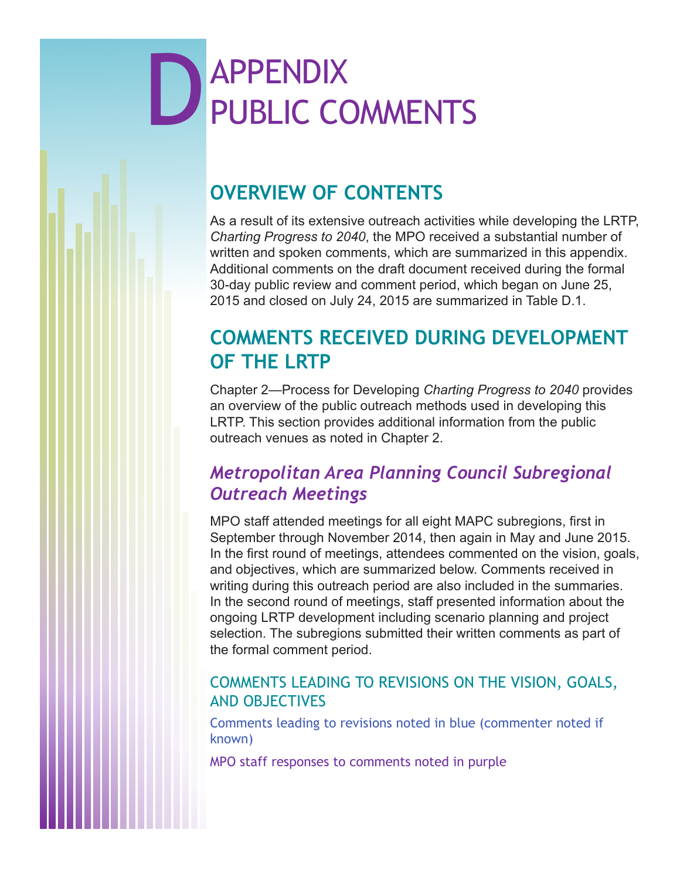# **D**<br> **D**<br>
PUBLIC CO PUBLIC COMMENTS

# **OVERVIEW OF CONTENTS**

As a result of its extensive outreach activities while developing the LRTP, *Charting Progress to 2040*, the MPO received a substantial number of written and spoken comments, which are summarized in this appendix. Additional comments on the draft document received during the formal 30-day public review and comment period, which began on June 25, 2015 and closed on July 24, 2015 are summarized in Table D.1.

# **COMMENTS RECEIVED DURING DEVELOPMENT OF THE LRTP**

Chapter 2—Process for Developing *Charting Progress to 2040* provides an overview of the public outreach methods used in developing this LRTP. This section provides additional information from the public outreach venues as noted in Chapter 2.

# *Metropolitan Area Planning Council Subregional Outreach Meetings*

MPO staff attended meetings for all eight MAPC subregions, first in September through November 2014, then again in May and June 2015. In the first round of meetings, attendees commented on the vision, goals, and objectives, which are summarized below. Comments received in writing during this outreach period are also included in the summaries. In the second round of meetings, staff presented information about the ongoing LRTP development including scenario planning and project selection. The subregions submitted their written comments as part of the formal comment period.

## COMMENTS LEADING TO REVISIONS ON THE VISION, GOALS, AND OBJECTIVES

Comments leading to revisions noted in blue (commenter noted if known)

MPO staff responses to comments noted in purple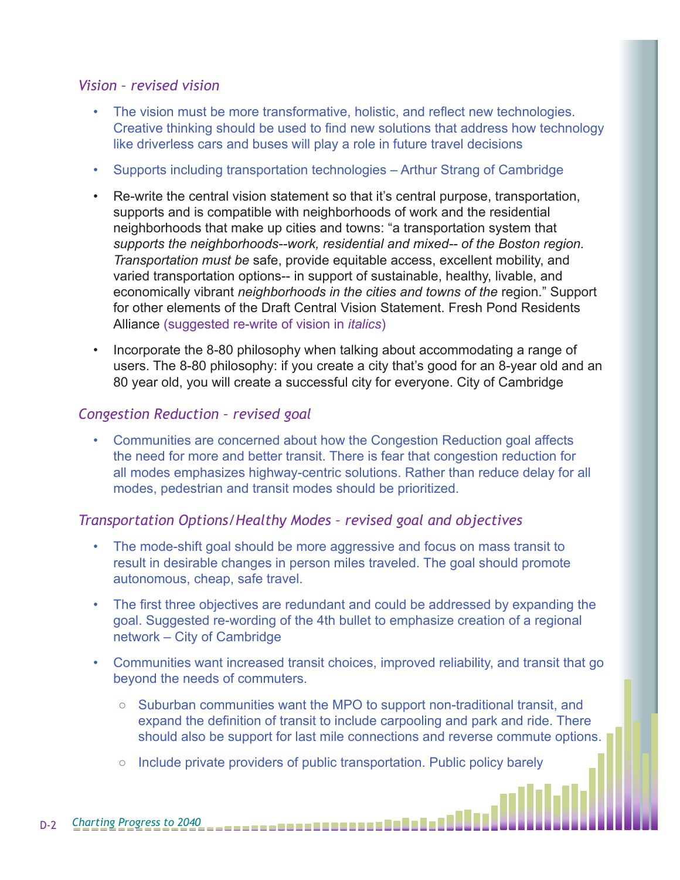#### *Vision – revised vision*

- The vision must be more transformative, holistic, and reflect new technologies. Creative thinking should be used to find new solutions that address how technology like driverless cars and buses will play a role in future travel decisions
- Supports including transportation technologies Arthur Strang of Cambridge
- Re-write the central vision statement so that it's central purpose, transportation, supports and is compatible with neighborhoods of work and the residential neighborhoods that make up cities and towns: "a transportation system that *supports the neighborhoods--work, residential and mixed-- of the Boston region. Transportation must be* safe, provide equitable access, excellent mobility, and varied transportation options-- in support of sustainable, healthy, livable, and economically vibrant *neighborhoods in the cities and towns of the* region." Support for other elements of the Draft Central Vision Statement. Fresh Pond Residents Alliance (suggested re-write of vision in *italics*)
- Incorporate the 8-80 philosophy when talking about accommodating a range of users. The 8-80 philosophy: if you create a city that's good for an 8-year old and an 80 year old, you will create a successful city for everyone. City of Cambridge

#### *Congestion Reduction – revised goal*

• Communities are concerned about how the Congestion Reduction goal affects the need for more and better transit. There is fear that congestion reduction for all modes emphasizes highway-centric solutions. Rather than reduce delay for all modes, pedestrian and transit modes should be prioritized.

#### *Transportation Options/Healthy Modes – revised goal and objectives*

- The mode-shift goal should be more aggressive and focus on mass transit to result in desirable changes in person miles traveled. The goal should promote autonomous, cheap, safe travel.
- The first three objectives are redundant and could be addressed by expanding the goal. Suggested re-wording of the 4th bullet to emphasize creation of a regional network – City of Cambridge
- Communities want increased transit choices, improved reliability, and transit that go beyond the needs of commuters.
	- $\circ$  Suburban communities want the MPO to support non-traditional transit, and expand the definition of transit to include carpooling and park and ride. There should also be support for last mile connections and reverse commute options.
	- Include private providers of public transportation. Public policy barely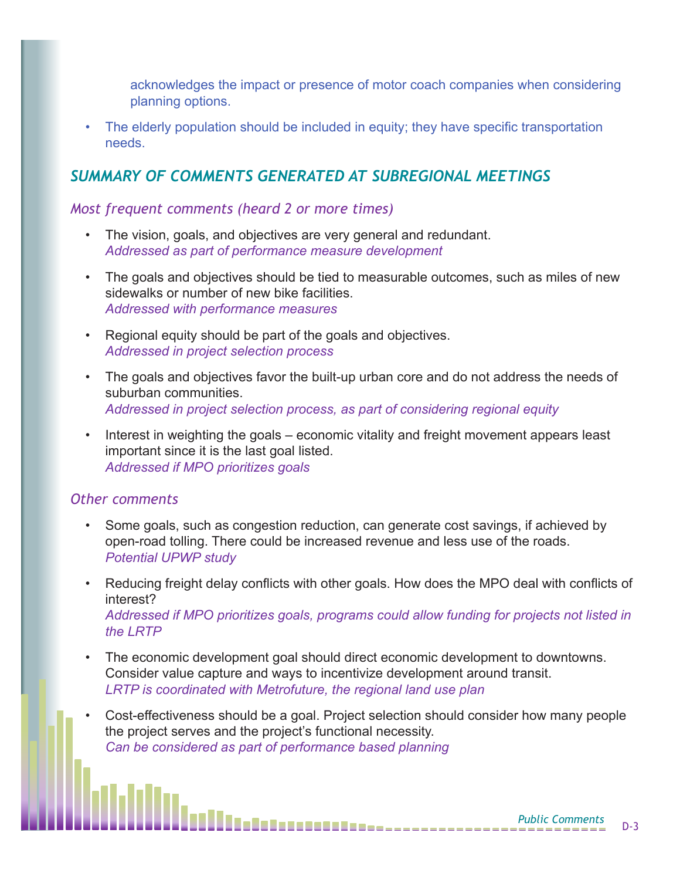acknowledges the impact or presence of motor coach companies when considering planning options.

• The elderly population should be included in equity; they have specific transportation needs.

## *SUMMARY OF COMMENTS GENERATED AT SUBREGIONAL MEETINGS*

#### *Most frequent comments (heard 2 or more times)*

- The vision, goals, and objectives are very general and redundant. *Addressed as part of performance measure development*
- The goals and objectives should be tied to measurable outcomes, such as miles of new sidewalks or number of new bike facilities. *Addressed with performance measures*
- Regional equity should be part of the goals and objectives. *Addressed in project selection process*
- The goals and objectives favor the built-up urban core and do not address the needs of suburban communities. *Addressed in project selection process, as part of considering regional equity*
- Interest in weighting the goals economic vitality and freight movement appears least important since it is the last goal listed. *Addressed if MPO prioritizes goals*

#### *Other comments*

- Some goals, such as congestion reduction, can generate cost savings, if achieved by open-road tolling. There could be increased revenue and less use of the roads. *Potential UPWP study*
- Reducing freight delay conflicts with other goals. How does the MPO deal with conflicts of interest? *Addressed if MPO prioritizes goals, programs could allow funding for projects not listed in the LRTP*
- The economic development goal should direct economic development to downtowns. Consider value capture and ways to incentivize development around transit. *LRTP is coordinated with Metrofuture, the regional land use plan*
- Cost-effectiveness should be a goal. Project selection should consider how many people the project serves and the project's functional necessity. *Can be considered as part of performance based planning*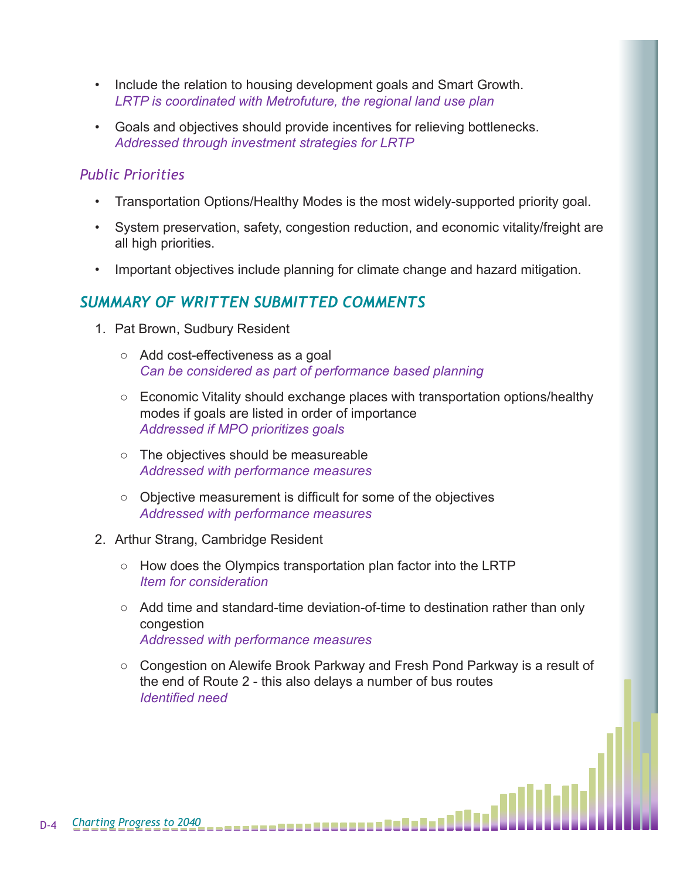- Include the relation to housing development goals and Smart Growth. *LRTP is coordinated with Metrofuture, the regional land use plan*
- Goals and objectives should provide incentives for relieving bottlenecks. *Addressed through investment strategies for LRTP*

#### *Public Priorities*

- Transportation Options/Healthy Modes is the most widely-supported priority goal.
- System preservation, safety, congestion reduction, and economic vitality/freight are all high priorities.
- Important objectives include planning for climate change and hazard mitigation.

## *SUMMARY OF WRITTEN SUBMITTED COMMENTS*

- 1. Pat Brown, Sudbury Resident
	- Add cost-effectiveness as a goal *Can be considered as part of performance based planning*
	- Economic Vitality should exchange places with transportation options/healthy modes if goals are listed in order of importance *Addressed if MPO prioritizes goals*
	- The objectives should be measureable *Addressed with performance measures*
	- Objective measurement is difficult for some of the objectives *Addressed with performance measures*
- 2. Arthur Strang, Cambridge Resident
	- How does the Olympics transportation plan factor into the LRTP *Item for consideration*
	- Add time and standard-time deviation-of-time to destination rather than only congestion *Addressed with performance measures*
	- Congestion on Alewife Brook Parkway and Fresh Pond Parkway is a result of the end of Route 2 - this also delays a number of bus routes *Identified need*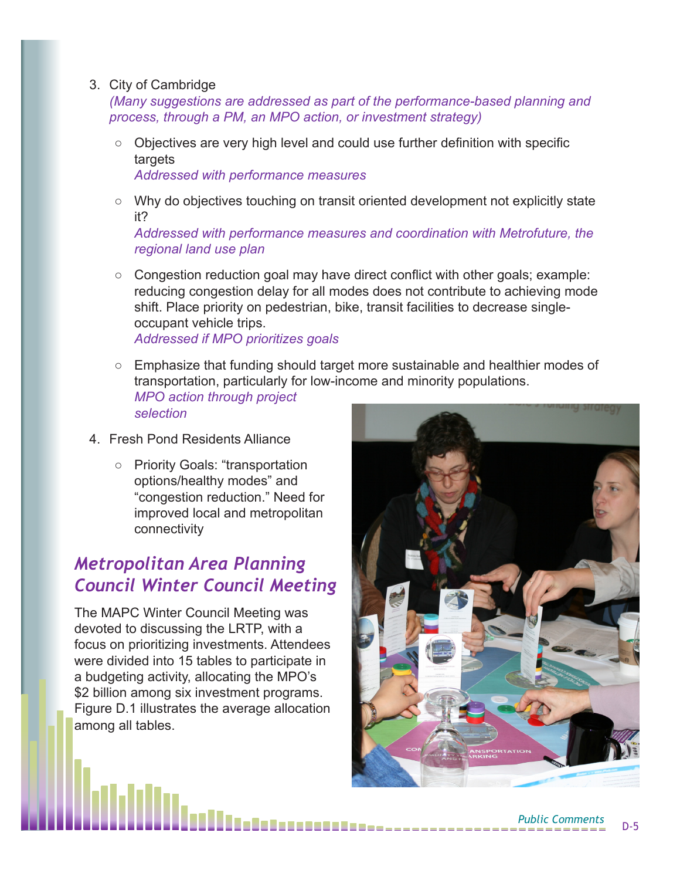#### 3. City of Cambridge

*(Many suggestions are addressed as part of the performance-based planning and process, through a PM, an MPO action, or investment strategy)*

- Objectives are very high level and could use further definition with specific targets *Addressed with performance measures*
- Why do objectives touching on transit oriented development not explicitly state it?

*Addressed with performance measures and coordination with Metrofuture, the regional land use plan*

- Congestion reduction goal may have direct conflict with other goals; example: reducing congestion delay for all modes does not contribute to achieving mode shift. Place priority on pedestrian, bike, transit facilities to decrease singleoccupant vehicle trips. *Addressed if MPO prioritizes goals*
- Emphasize that funding should target more sustainable and healthier modes of transportation, particularly for low-income and minority populations. *MPO action through project selection*
- 4. Fresh Pond Residents Alliance
	- Priority Goals: "transportation options/healthy modes" and "congestion reduction." Need for improved local and metropolitan connectivity

## *Metropolitan Area Planning Council Winter Council Meeting*

The MAPC Winter Council Meeting was devoted to discussing the LRTP, with a focus on prioritizing investments. Attendees were divided into 15 tables to participate in a budgeting activity, allocating the MPO's \$2 billion among six investment programs. Figure D.1 illustrates the average allocation among all tables.

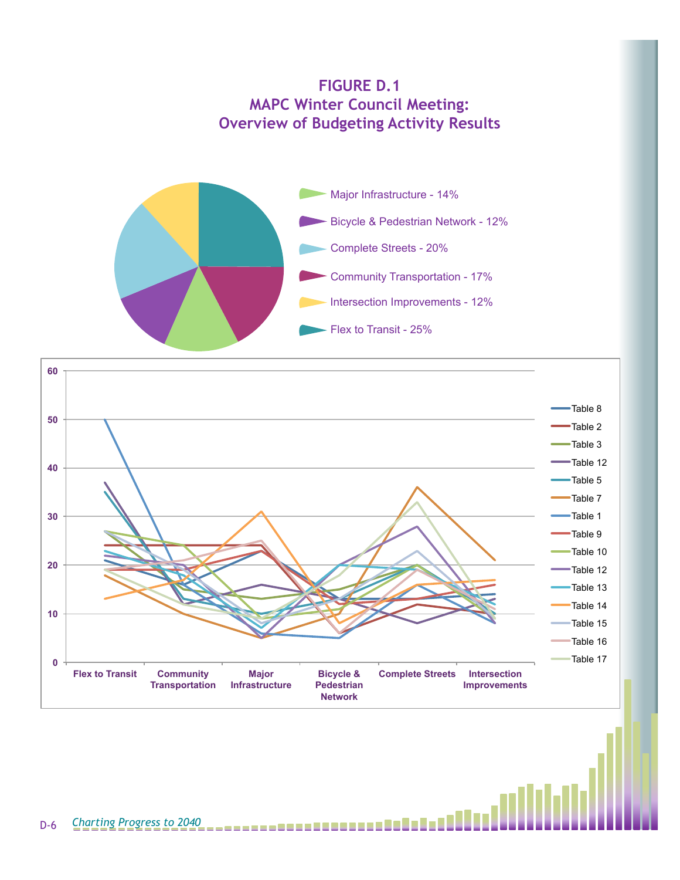



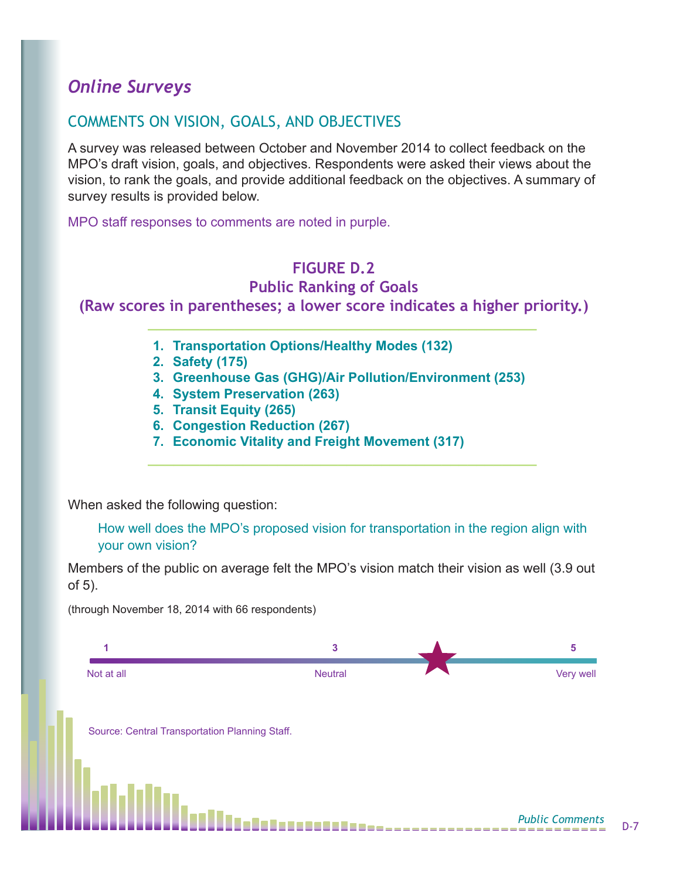# *Online Surveys*

## COMMENTS ON VISION, GOALS, AND OBJECTIVES

A survey was released between October and November 2014 to collect feedback on the MPO's draft vision, goals, and objectives. Respondents were asked their views about the vision, to rank the goals, and provide additional feedback on the objectives. A summary of survey results is provided below.

MPO staff responses to comments are noted in purple.

# **FIGURE D.2**

## **Public Ranking of Goals**

**(Raw scores in parentheses; a lower score indicates a higher priority.)**

**1. Transportation Options/Healthy Modes (132)**

**\_\_\_\_\_\_\_\_\_\_\_\_\_\_\_\_\_\_\_\_\_\_\_\_\_\_\_\_\_\_\_\_\_\_\_\_\_\_\_\_\_\_\_\_\_**

- **2. Safety (175)**
- **3. Greenhouse Gas (GHG)/Air Pollution/Environment (253)**
- **4. System Preservation (263)**
- **5. Transit Equity (265)**
- **6. Congestion Reduction (267)**
- **7. Economic Vitality and Freight Movement (317)**

**\_\_\_\_\_\_\_\_\_\_\_\_\_\_\_\_\_\_\_\_\_\_\_\_\_\_\_\_\_\_\_\_\_\_\_\_\_\_\_\_\_\_\_\_\_**

When asked the following question:

How well does the MPO's proposed vision for transportation in the region align with your own vision?

Members of the public on average felt the MPO's vision match their vision as well (3.9 out of 5).

(through November 18, 2014 with 66 respondents)

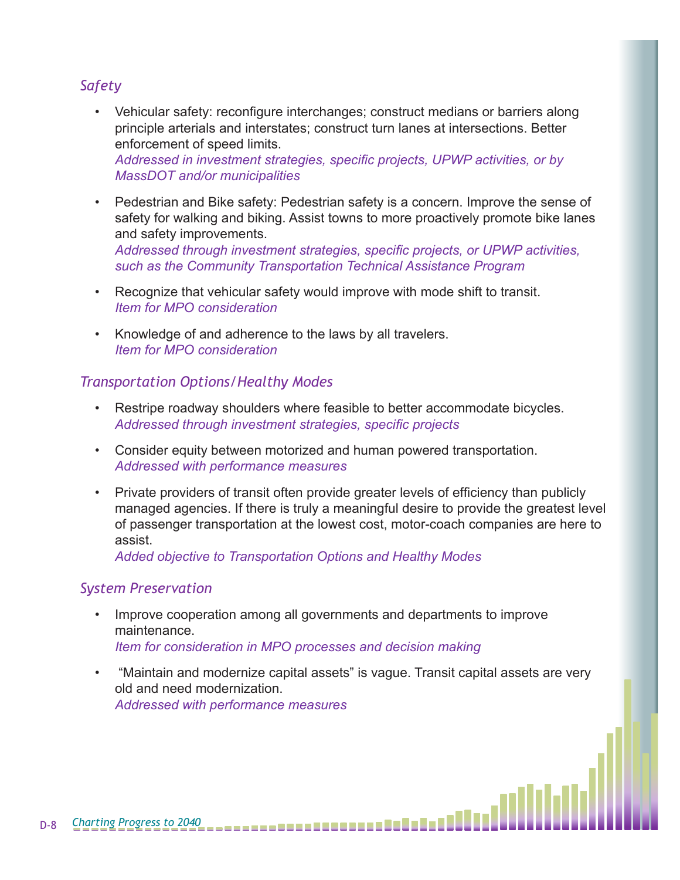## *Safety*

- Vehicular safety: reconfigure interchanges; construct medians or barriers along principle arterials and interstates; construct turn lanes at intersections. Better enforcement of speed limits. *Addressed in investment strategies, specific projects, UPWP activities, or by MassDOT and/or municipalities*
- Pedestrian and Bike safety: Pedestrian safety is a concern. Improve the sense of safety for walking and biking. Assist towns to more proactively promote bike lanes and safety improvements.

*Addressed through investment strategies, specific projects, or UPWP activities, such as the Community Transportation Technical Assistance Program*

- Recognize that vehicular safety would improve with mode shift to transit. *Item for MPO consideration*
- Knowledge of and adherence to the laws by all travelers. *Item for MPO consideration*

#### *Transportation Options/Healthy Modes*

- Restripe roadway shoulders where feasible to better accommodate bicycles. *Addressed through investment strategies, specific projects*
- Consider equity between motorized and human powered transportation. *Addressed with performance measures*
- Private providers of transit often provide greater levels of efficiency than publicly managed agencies. If there is truly a meaningful desire to provide the greatest level of passenger transportation at the lowest cost, motor-coach companies are here to assist.

*Added objective to Transportation Options and Healthy Modes*

#### *System Preservation*

- Improve cooperation among all governments and departments to improve maintenance. *Item for consideration in MPO processes and decision making*
- "Maintain and modernize capital assets" is vague. Transit capital assets are very old and need modernization. *Addressed with performance measures*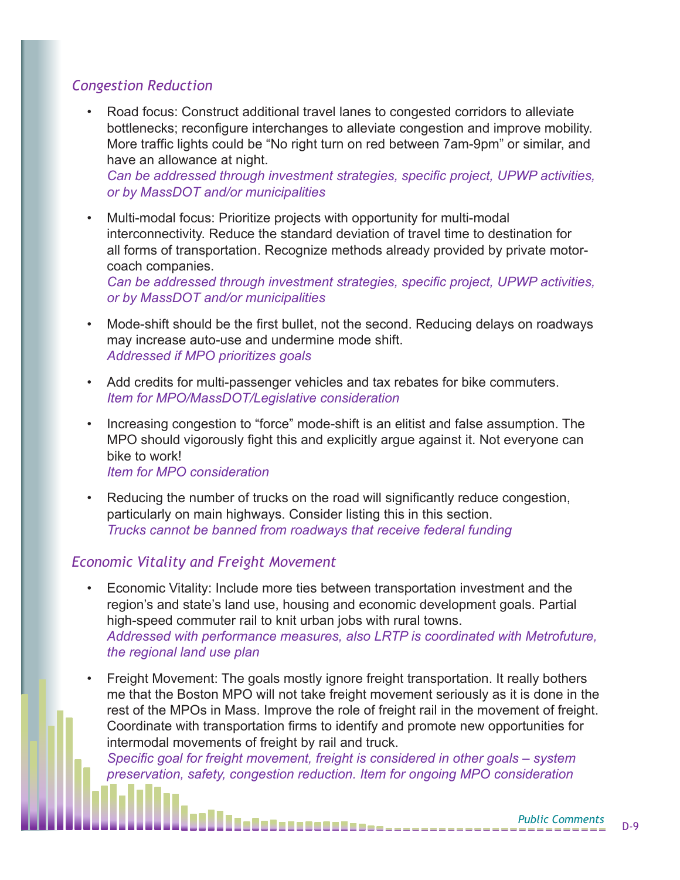### *Congestion Reduction*

• Road focus: Construct additional travel lanes to congested corridors to alleviate bottlenecks; reconfigure interchanges to alleviate congestion and improve mobility. More traffic lights could be "No right turn on red between 7am-9pm" or similar, and have an allowance at night.

*Can be addressed through investment strategies, specific project, UPWP activities, or by MassDOT and/or municipalities*

• Multi-modal focus: Prioritize projects with opportunity for multi-modal interconnectivity. Reduce the standard deviation of travel time to destination for all forms of transportation. Recognize methods already provided by private motorcoach companies.

*Can be addressed through investment strategies, specific project, UPWP activities, or by MassDOT and/or municipalities*

- Mode-shift should be the first bullet, not the second. Reducing delays on roadways may increase auto-use and undermine mode shift. *Addressed if MPO prioritizes goals*
- Add credits for multi-passenger vehicles and tax rebates for bike commuters. *Item for MPO/MassDOT/Legislative consideration*
- Increasing congestion to "force" mode-shift is an elitist and false assumption. The MPO should vigorously fight this and explicitly argue against it. Not everyone can bike to work!

*Item for MPO consideration*

• Reducing the number of trucks on the road will significantly reduce congestion, particularly on main highways. Consider listing this in this section. *Trucks cannot be banned from roadways that receive federal funding*

### *Economic Vitality and Freight Movement*

- Economic Vitality: Include more ties between transportation investment and the region's and state's land use, housing and economic development goals. Partial high-speed commuter rail to knit urban jobs with rural towns. *Addressed with performance measures, also LRTP is coordinated with Metrofuture, the regional land use plan*
- Freight Movement: The goals mostly ignore freight transportation. It really bothers me that the Boston MPO will not take freight movement seriously as it is done in the rest of the MPOs in Mass. Improve the role of freight rail in the movement of freight. Coordinate with transportation firms to identify and promote new opportunities for intermodal movements of freight by rail and truck.

*Specific goal for freight movement, freight is considered in other goals – system preservation, safety, congestion reduction. Item for ongoing MPO consideration*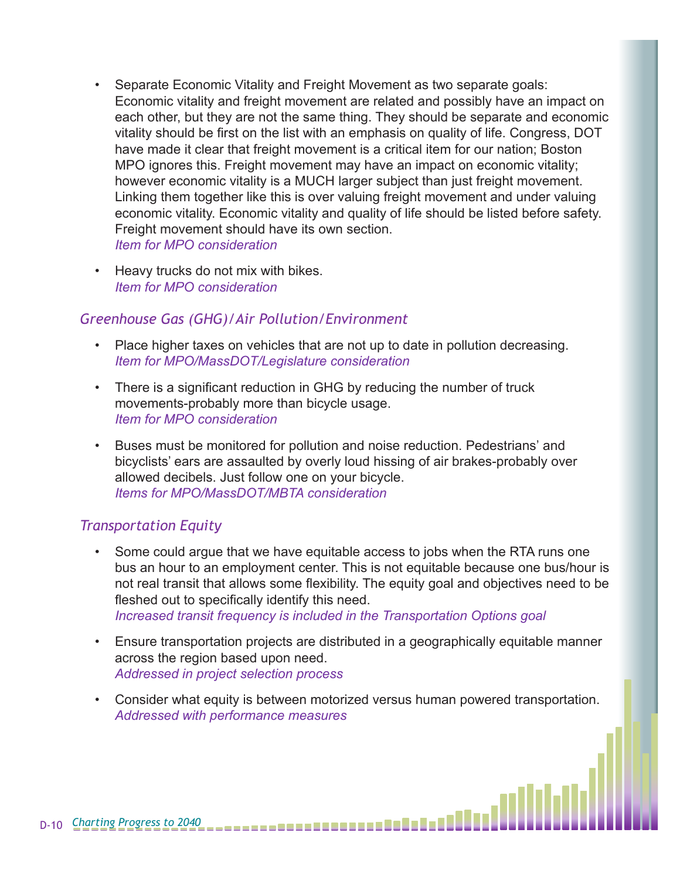- Separate Economic Vitality and Freight Movement as two separate goals: Economic vitality and freight movement are related and possibly have an impact on each other, but they are not the same thing. They should be separate and economic vitality should be first on the list with an emphasis on quality of life. Congress, DOT have made it clear that freight movement is a critical item for our nation; Boston MPO ignores this. Freight movement may have an impact on economic vitality; however economic vitality is a MUCH larger subject than just freight movement. Linking them together like this is over valuing freight movement and under valuing economic vitality. Economic vitality and quality of life should be listed before safety. Freight movement should have its own section. *Item for MPO consideration*
- Heavy trucks do not mix with bikes. *Item for MPO consideration*

### *Greenhouse Gas (GHG)/Air Pollution/Environment*

- Place higher taxes on vehicles that are not up to date in pollution decreasing. *Item for MPO/MassDOT/Legislature consideration*
- There is a significant reduction in GHG by reducing the number of truck movements-probably more than bicycle usage. *Item for MPO consideration*
- Buses must be monitored for pollution and noise reduction. Pedestrians' and bicyclists' ears are assaulted by overly loud hissing of air brakes-probably over allowed decibels. Just follow one on your bicycle. *Items for MPO/MassDOT/MBTA consideration*

### *Transportation Equity*

- Some could argue that we have equitable access to jobs when the RTA runs one bus an hour to an employment center. This is not equitable because one bus/hour is not real transit that allows some flexibility. The equity goal and objectives need to be fleshed out to specifically identify this need. *Increased transit frequency is included in the Transportation Options goal*
- Ensure transportation projects are distributed in a geographically equitable manner across the region based upon need. *Addressed in project selection process*
- Consider what equity is between motorized versus human powered transportation. *Addressed with performance measures*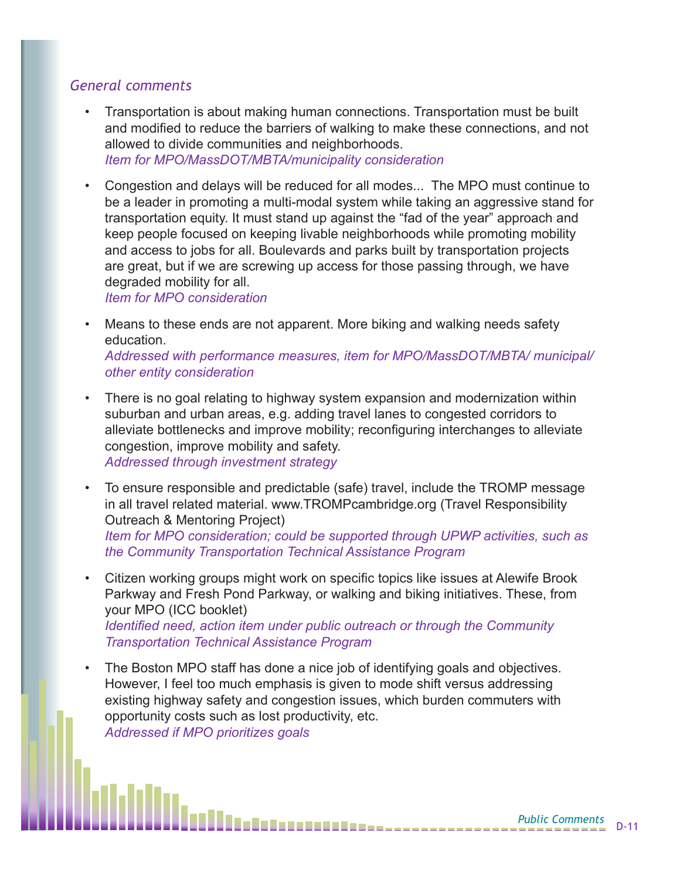#### *General comments*

- Transportation is about making human connections. Transportation must be built and modified to reduce the barriers of walking to make these connections, and not allowed to divide communities and neighborhoods. *Item for MPO/MassDOT/MBTA/municipality consideration*
- Congestion and delays will be reduced for all modes... The MPO must continue to be a leader in promoting a multi-modal system while taking an aggressive stand for transportation equity. It must stand up against the "fad of the year" approach and keep people focused on keeping livable neighborhoods while promoting mobility and access to jobs for all. Boulevards and parks built by transportation projects are great, but if we are screwing up access for those passing through, we have degraded mobility for all.

*Item for MPO consideration*

Means to these ends are not apparent. More biking and walking needs safety education.

*Addressed with performance measures, item for MPO/MassDOT/MBTA/ municipal/ other entity consideration*

- There is no goal relating to highway system expansion and modernization within suburban and urban areas, e.g. adding travel lanes to congested corridors to alleviate bottlenecks and improve mobility; reconfiguring interchanges to alleviate congestion, improve mobility and safety. *Addressed through investment strategy*
- To ensure responsible and predictable (safe) travel, include the TROMP message in all travel related material. www.TROMPcambridge.org (Travel Responsibility Outreach & Mentoring Project) *Item for MPO consideration; could be supported through UPWP activities, such as the Community Transportation Technical Assistance Program*
- Citizen working groups might work on specific topics like issues at Alewife Brook Parkway and Fresh Pond Parkway, or walking and biking initiatives. These, from your MPO (ICC booklet) *Identified need, action item under public outreach or through the Community Transportation Technical Assistance Program*
- The Boston MPO staff has done a nice job of identifying goals and objectives. However, I feel too much emphasis is given to mode shift versus addressing existing highway safety and congestion issues, which burden commuters with opportunity costs such as lost productivity, etc. *Addressed if MPO prioritizes goals*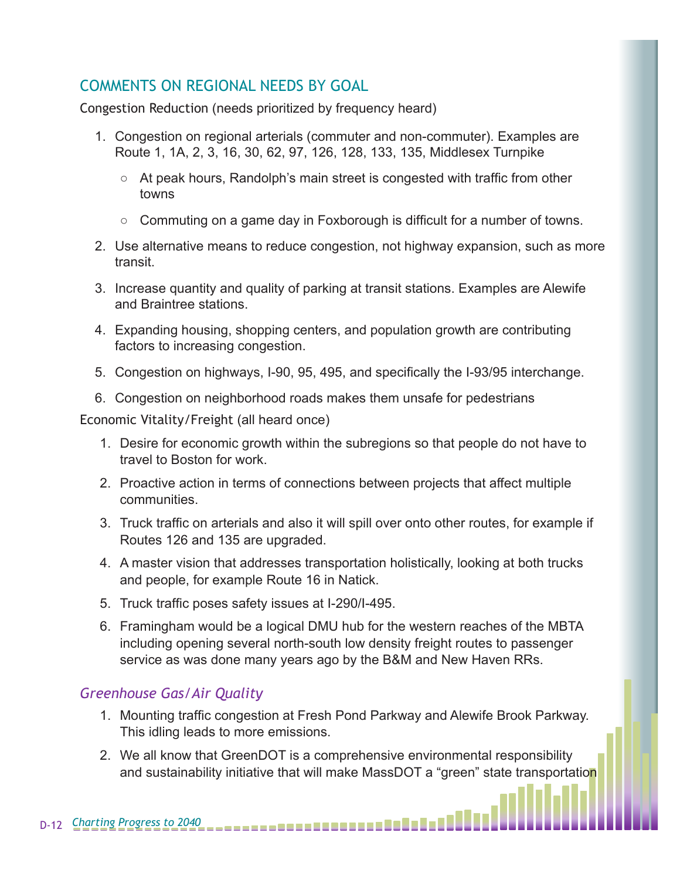## COMMENTS ON REGIONAL NEEDS BY GOAL

Congestion Reduction (needs prioritized by frequency heard)

- 1. Congestion on regional arterials (commuter and non-commuter). Examples are Route 1, 1A, 2, 3, 16, 30, 62, 97, 126, 128, 133, 135, Middlesex Turnpike
	- $\circ$  At peak hours, Randolph's main street is congested with traffic from other towns
	- Commuting on a game day in Foxborough is difficult for a number of towns.
- 2. Use alternative means to reduce congestion, not highway expansion, such as more transit.
- 3. Increase quantity and quality of parking at transit stations. Examples are Alewife and Braintree stations.
- 4. Expanding housing, shopping centers, and population growth are contributing factors to increasing congestion.
- 5. Congestion on highways, I-90, 95, 495, and specifically the I-93/95 interchange.
- 6. Congestion on neighborhood roads makes them unsafe for pedestrians

Economic Vitality/Freight (all heard once)

- 1. Desire for economic growth within the subregions so that people do not have to travel to Boston for work.
- 2. Proactive action in terms of connections between projects that affect multiple communities.
- 3. Truck traffic on arterials and also it will spill over onto other routes, for example if Routes 126 and 135 are upgraded.
- 4. A master vision that addresses transportation holistically, looking at both trucks and people, for example Route 16 in Natick.
- 5. Truck traffic poses safety issues at I-290/I-495.
- 6. Framingham would be a logical DMU hub for the western reaches of the MBTA including opening several north-south low density freight routes to passenger service as was done many years ago by the B&M and New Haven RRs.

### *Greenhouse Gas/Air Quality*

- 1. Mounting traffic congestion at Fresh Pond Parkway and Alewife Brook Parkway. This idling leads to more emissions.
- 2. We all know that GreenDOT is a comprehensive environmental responsibility and sustainability initiative that will make MassDOT a "green" state transportation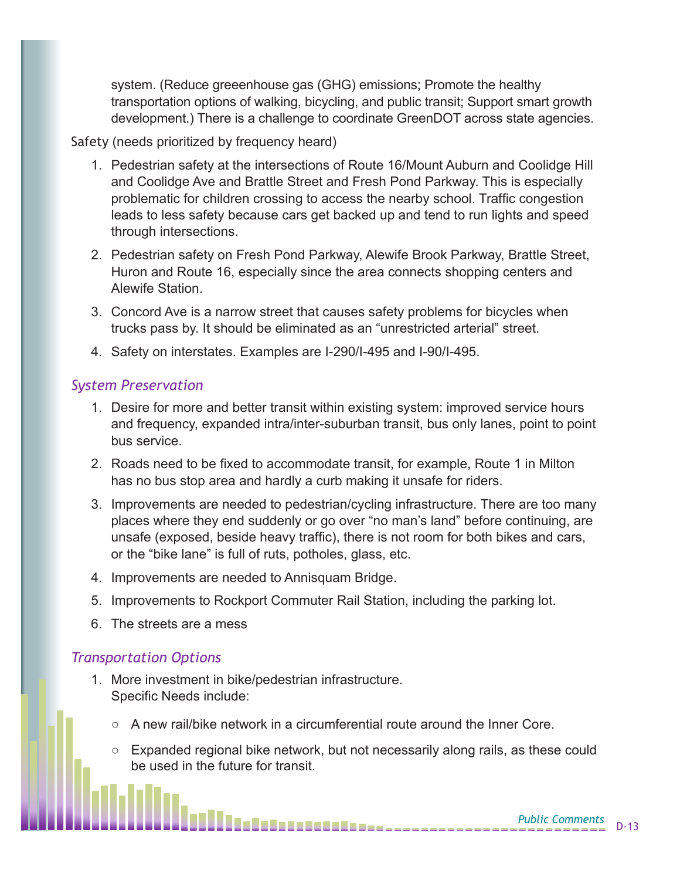system. (Reduce greeenhouse gas (GHG) emissions; Promote the healthy transportation options of walking, bicycling, and public transit; Support smart growth development.) There is a challenge to coordinate GreenDOT across state agencies.

#### Safety (needs prioritized by frequency heard)

- 1. Pedestrian safety at the intersections of Route 16/Mount Auburn and Coolidge Hill and Coolidge Ave and Brattle Street and Fresh Pond Parkway. This is especially problematic for children crossing to access the nearby school. Traffic congestion leads to less safety because cars get backed up and tend to run lights and speed through intersections.
- 2. Pedestrian safety on Fresh Pond Parkway, Alewife Brook Parkway, Brattle Street, Huron and Route 16, especially since the area connects shopping centers and Alewife Station.
- 3. Concord Ave is a narrow street that causes safety problems for bicycles when trucks pass by. It should be eliminated as an "unrestricted arterial" street.
- 4. Safety on interstates. Examples are I-290/I-495 and I-90/I-495.

#### *System Preservation*

- 1. Desire for more and better transit within existing system: improved service hours and frequency, expanded intra/inter-suburban transit, bus only lanes, point to point bus service.
- 2. Roads need to be fixed to accommodate transit, for example, Route 1 in Milton has no bus stop area and hardly a curb making it unsafe for riders.
- 3. Improvements are needed to pedestrian/cycling infrastructure. There are too many places where they end suddenly or go over "no man's land" before continuing, are unsafe (exposed, beside heavy traffic), there is not room for both bikes and cars, or the "bike lane" is full of ruts, potholes, glass, etc.
- 4. Improvements are needed to Annisquam Bridge.
- 5. Improvements to Rockport Commuter Rail Station, including the parking lot.
- 6. The streets are a mess

#### *Transportation Options*

- 1. More investment in bike/pedestrian infrastructure. Specific Needs include:
	- $\circ$  A new rail/bike network in a circumferential route around the Inner Core.
	- Expanded regional bike network, but not necessarily along rails, as these could be used in the future for transit.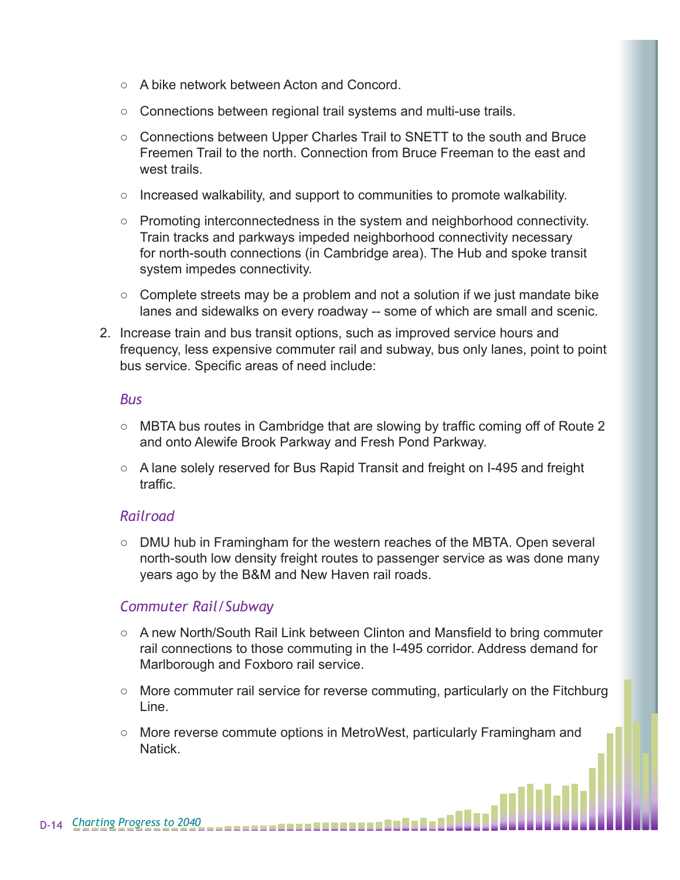- A bike network between Acton and Concord.
- Connections between regional trail systems and multi-use trails.
- Connections between Upper Charles Trail to SNETT to the south and Bruce Freemen Trail to the north. Connection from Bruce Freeman to the east and west trails.
- Increased walkability, and support to communities to promote walkability.
- Promoting interconnectedness in the system and neighborhood connectivity. Train tracks and parkways impeded neighborhood connectivity necessary for north-south connections (in Cambridge area). The Hub and spoke transit system impedes connectivity.
- $\circ$  Complete streets may be a problem and not a solution if we just mandate bike lanes and sidewalks on every roadway -- some of which are small and scenic.
- 2. Increase train and bus transit options, such as improved service hours and frequency, less expensive commuter rail and subway, bus only lanes, point to point bus service. Specific areas of need include:

#### *Bus*

- MBTA bus routes in Cambridge that are slowing by traffic coming off of Route 2 and onto Alewife Brook Parkway and Fresh Pond Parkway.
- A lane solely reserved for Bus Rapid Transit and freight on I-495 and freight traffic.

#### *Railroad*

○ DMU hub in Framingham for the western reaches of the MBTA. Open several north-south low density freight routes to passenger service as was done many years ago by the B&M and New Haven rail roads.

#### *Commuter Rail/Subway*

- A new North/South Rail Link between Clinton and Mansfield to bring commuter rail connections to those commuting in the I-495 corridor. Address demand for Marlborough and Foxboro rail service.
- More commuter rail service for reverse commuting, particularly on the Fitchburg Line.
- More reverse commute options in MetroWest, particularly Framingham and Natick.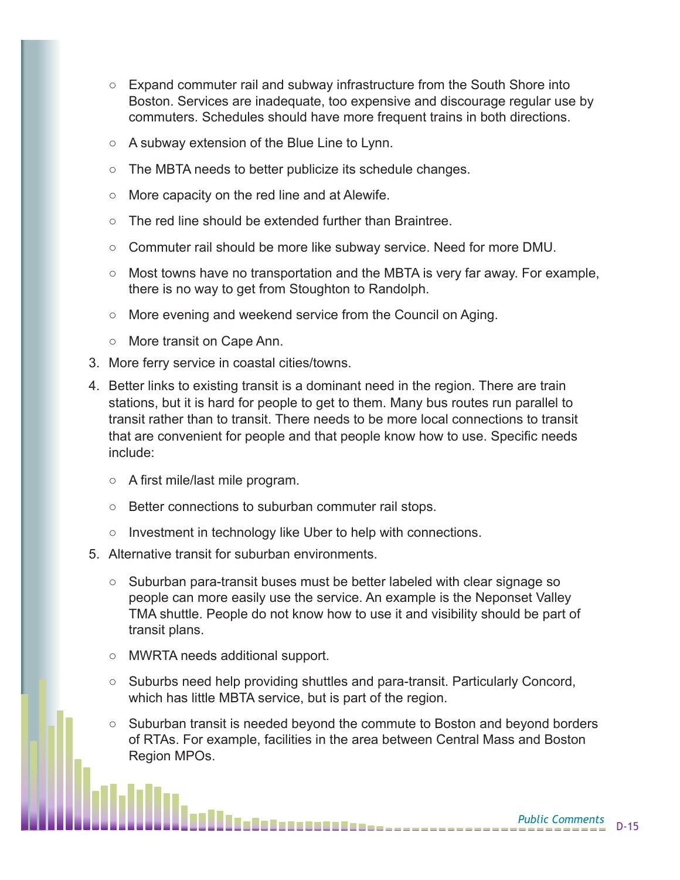- Expand commuter rail and subway infrastructure from the South Shore into Boston. Services are inadequate, too expensive and discourage regular use by commuters. Schedules should have more frequent trains in both directions.
- A subway extension of the Blue Line to Lynn.
- The MBTA needs to better publicize its schedule changes.
- More capacity on the red line and at Alewife.
- The red line should be extended further than Braintree.
- $\circ$  Commuter rail should be more like subway service. Need for more DMU.
- Most towns have no transportation and the MBTA is very far away. For example, there is no way to get from Stoughton to Randolph.
- More evening and weekend service from the Council on Aging.
- More transit on Cape Ann.
- 3. More ferry service in coastal cities/towns.
- 4. Better links to existing transit is a dominant need in the region. There are train stations, but it is hard for people to get to them. Many bus routes run parallel to transit rather than to transit. There needs to be more local connections to transit that are convenient for people and that people know how to use. Specific needs include:
	- A first mile/last mile program.
	- Better connections to suburban commuter rail stops.
	- Investment in technology like Uber to help with connections.
- 5. Alternative transit for suburban environments.
	- Suburban para-transit buses must be better labeled with clear signage so people can more easily use the service. An example is the Neponset Valley TMA shuttle. People do not know how to use it and visibility should be part of transit plans.
	- MWRTA needs additional support.
	- Suburbs need help providing shuttles and para-transit. Particularly Concord, which has little MBTA service, but is part of the region.
	- Suburban transit is needed beyond the commute to Boston and beyond borders of RTAs. For example, facilities in the area between Central Mass and Boston Region MPOs.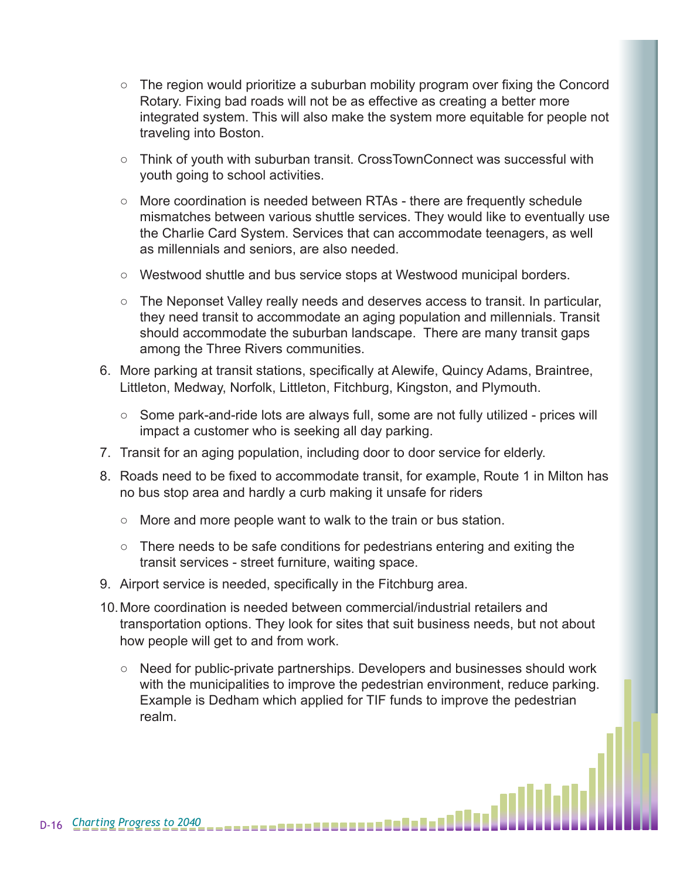- The region would prioritize a suburban mobility program over fixing the Concord Rotary. Fixing bad roads will not be as effective as creating a better more integrated system. This will also make the system more equitable for people not traveling into Boston.
- Think of youth with suburban transit. CrossTownConnect was successful with youth going to school activities.
- More coordination is needed between RTAs there are frequently schedule mismatches between various shuttle services. They would like to eventually use the Charlie Card System. Services that can accommodate teenagers, as well as millennials and seniors, are also needed.
- Westwood shuttle and bus service stops at Westwood municipal borders.
- The Neponset Valley really needs and deserves access to transit. In particular, they need transit to accommodate an aging population and millennials. Transit should accommodate the suburban landscape. There are many transit gaps among the Three Rivers communities.
- 6. More parking at transit stations, specifically at Alewife, Quincy Adams, Braintree, Littleton, Medway, Norfolk, Littleton, Fitchburg, Kingston, and Plymouth.
	- Some park-and-ride lots are always full, some are not fully utilized prices will impact a customer who is seeking all day parking.
- 7. Transit for an aging population, including door to door service for elderly.
- 8. Roads need to be fixed to accommodate transit, for example, Route 1 in Milton has no bus stop area and hardly a curb making it unsafe for riders
	- More and more people want to walk to the train or bus station.
	- There needs to be safe conditions for pedestrians entering and exiting the transit services - street furniture, waiting space.
- 9. Airport service is needed, specifically in the Fitchburg area.
- 10.More coordination is needed between commercial/industrial retailers and transportation options. They look for sites that suit business needs, but not about how people will get to and from work.
	- Need for public-private partnerships. Developers and businesses should work with the municipalities to improve the pedestrian environment, reduce parking. Example is Dedham which applied for TIF funds to improve the pedestrian realm.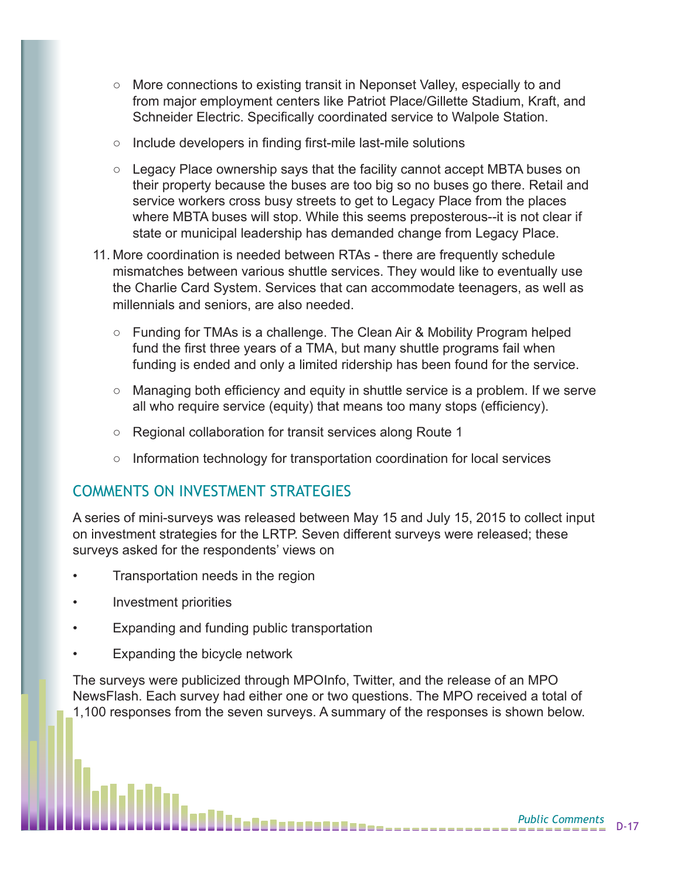- More connections to existing transit in Neponset Valley, especially to and from major employment centers like Patriot Place/Gillette Stadium, Kraft, and Schneider Electric. Specifically coordinated service to Walpole Station.
- Include developers in finding first-mile last-mile solutions
- Legacy Place ownership says that the facility cannot accept MBTA buses on their property because the buses are too big so no buses go there. Retail and service workers cross busy streets to get to Legacy Place from the places where MBTA buses will stop. While this seems preposterous--it is not clear if state or municipal leadership has demanded change from Legacy Place.
- 11. More coordination is needed between RTAs there are frequently schedule mismatches between various shuttle services. They would like to eventually use the Charlie Card System. Services that can accommodate teenagers, as well as millennials and seniors, are also needed.
	- Funding for TMAs is a challenge. The Clean Air & Mobility Program helped fund the first three years of a TMA, but many shuttle programs fail when funding is ended and only a limited ridership has been found for the service.
	- Managing both efficiency and equity in shuttle service is a problem. If we serve all who require service (equity) that means too many stops (efficiency).
	- Regional collaboration for transit services along Route 1
	- Information technology for transportation coordination for local services

### COMMENTS ON INVESTMENT STRATEGIES

A series of mini-surveys was released between May 15 and July 15, 2015 to collect input on investment strategies for the LRTP. Seven different surveys were released; these surveys asked for the respondents' views on

- Transportation needs in the region
- Investment priorities
- Expanding and funding public transportation
- Expanding the bicycle network

The surveys were publicized through MPOInfo, Twitter, and the release of an MPO NewsFlash. Each survey had either one or two questions. The MPO received a total of 1,100 responses from the seven surveys. A summary of the responses is shown below.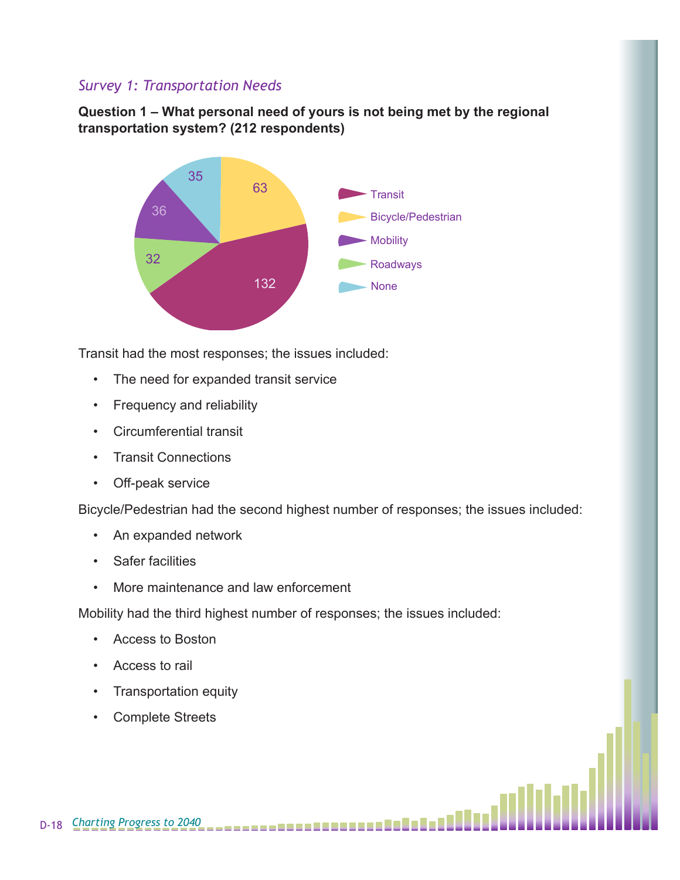#### *Survey 1: Transportation Needs*

**Question 1 – What personal need of yours is not being met by the regional transportation system? (212 respondents)**



Transit had the most responses; the issues included:

- The need for expanded transit service
- Frequency and reliability
- Circumferential transit
- Transit Connections
- Off-peak service

Bicycle/Pedestrian had the second highest number of responses; the issues included:

- An expanded network
- Safer facilities
- More maintenance and law enforcement

Mobility had the third highest number of responses; the issues included:

- Access to Boston
- Access to rail
- Transportation equity
- Complete Streets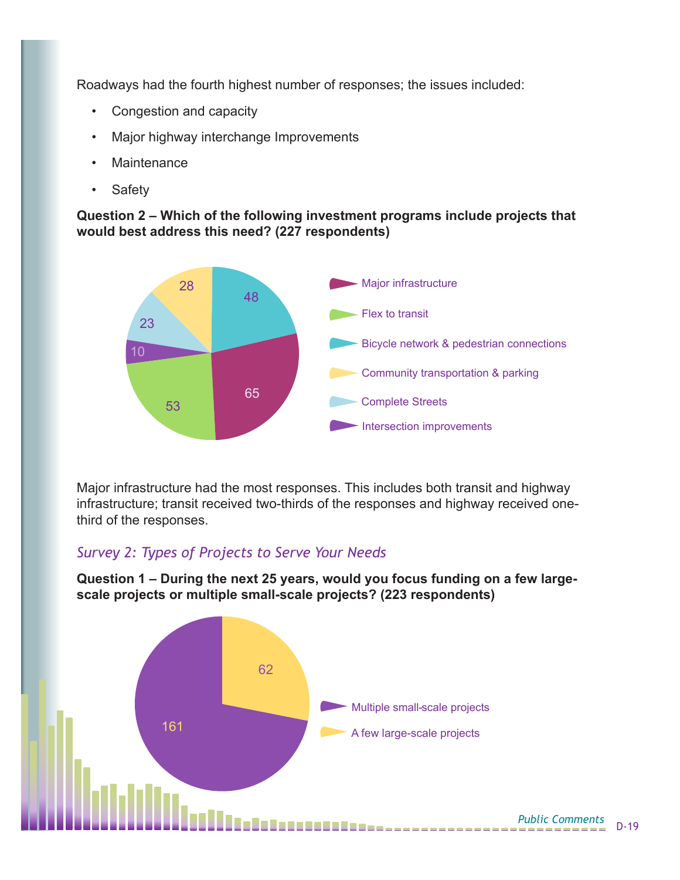Roadways had the fourth highest number of responses; the issues included:

- Congestion and capacity
- Major highway interchange Improvements
- Maintenance
- Safety

**Question 2 – Which of the following investment programs include projects that would best address this need? (227 respondents)**



Major infrastructure had the most responses. This includes both transit and highway infrastructure; transit received two-thirds of the responses and highway received onethird of the responses.

#### *Survey 2: Types of Projects to Serve Your Needs*

**Question 1 – During the next 25 years, would you focus funding on a few largescale projects or multiple small-scale projects? (223 respondents)**

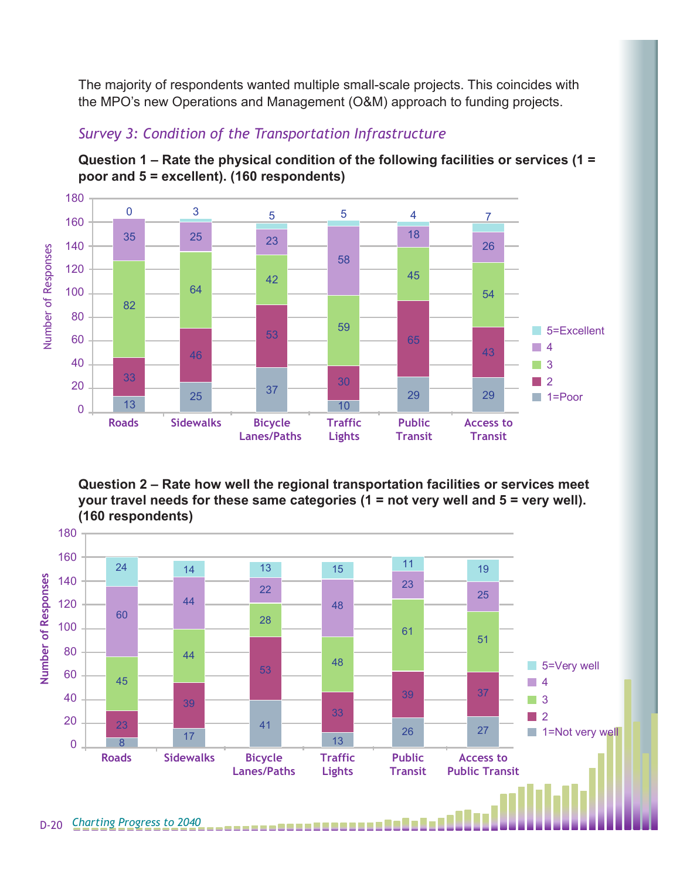The majority of respondents wanted multiple small-scale projects. This coincides with the MPO's new Operations and Management (O&M) approach to funding projects.



## *Survey 3: Condition of the Transportation Infrastructure*

**Question 1 – Rate the physical condition of the following facilities or services (1 = poor and 5 = excellent). (160 respondents)**

**Question 2 – Rate how well the regional transportation facilities or services meet your travel needs for these same categories (1 = not very well and 5 = very well). (160 respondents)**

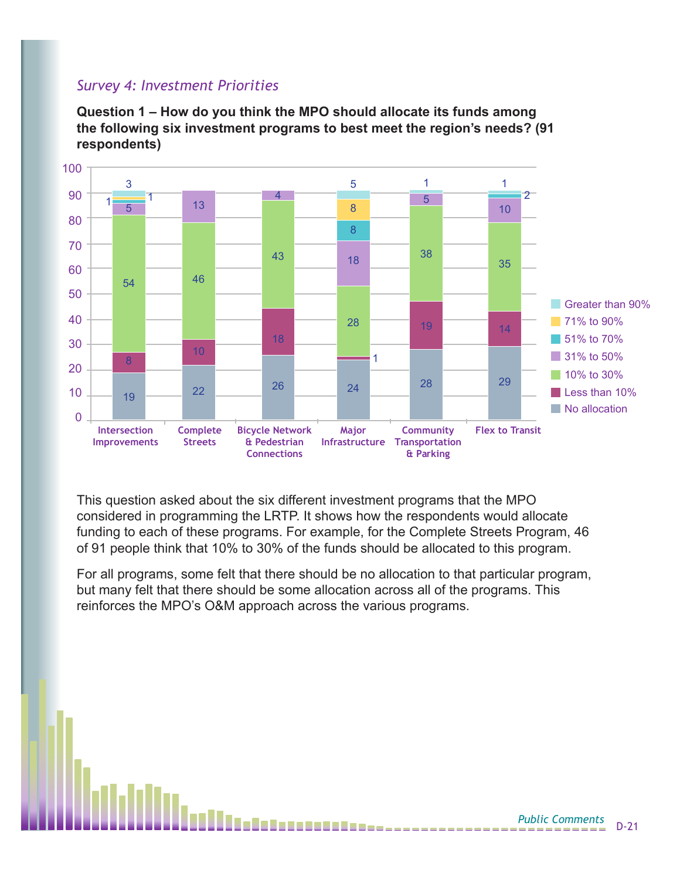#### *Survey 4: Investment Priorities*

**Question 1 – How do you think the MPO should allocate its funds among the following six investment programs to best meet the region's needs? (91 respondents)**



This question asked about the six different investment programs that the MPO considered in programming the LRTP. It shows how the respondents would allocate funding to each of these programs. For example, for the Complete Streets Program, 46 of 91 people think that 10% to 30% of the funds should be allocated to this program.

For all programs, some felt that there should be no allocation to that particular program, but many felt that there should be some allocation across all of the programs. This reinforces the MPO's O&M approach across the various programs.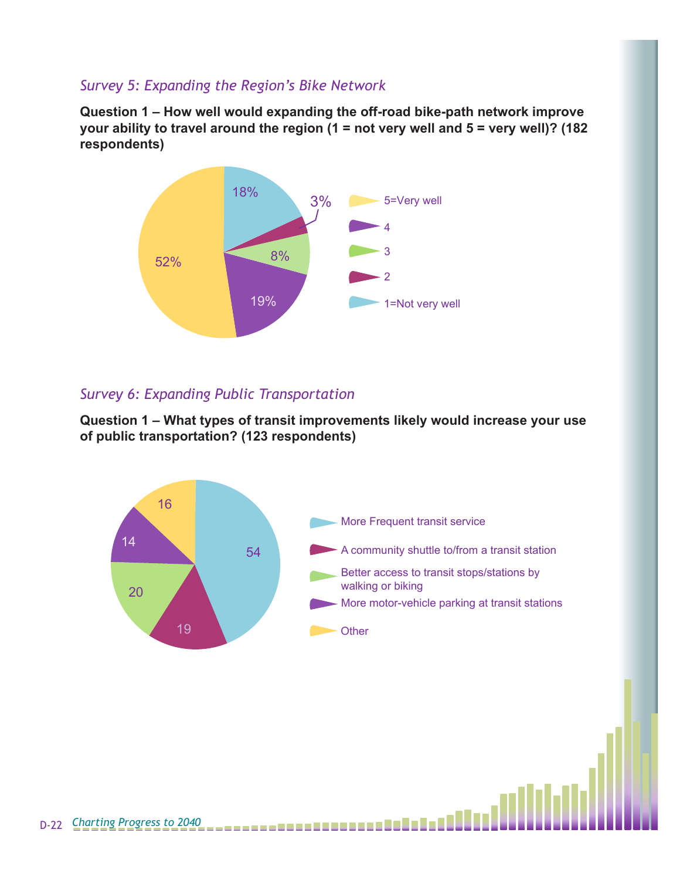#### *Survey 5: Expanding the Region's Bike Network*

**Question 1 – How well would expanding the off-road bike-path network improve your ability to travel around the region (1 = not very well and 5 = very well)? (182 respondents)**



### *Survey 6: Expanding Public Transportation*

**Question 1 – What types of transit improvements likely would increase your use of public transportation? (123 respondents)**

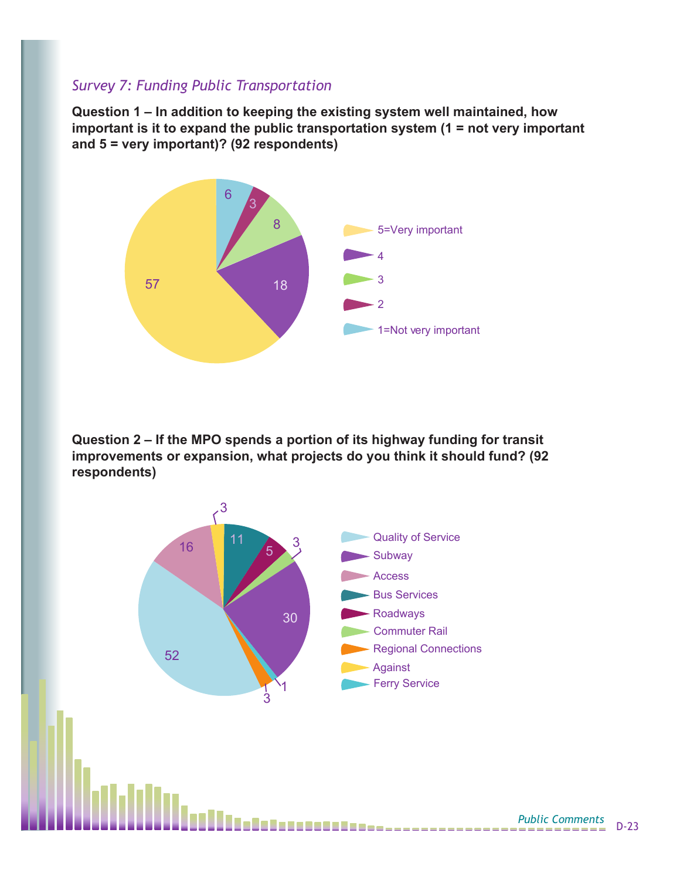#### *Survey 7: Funding Public Transportation*

**Question 1 – In addition to keeping the existing system well maintained, how important is it to expand the public transportation system (1 = not very important and 5 = very important)? (92 respondents)**



**Question 2 – If the MPO spends a portion of its highway funding for transit improvements or expansion, what projects do you think it should fund? (92 respondents)**

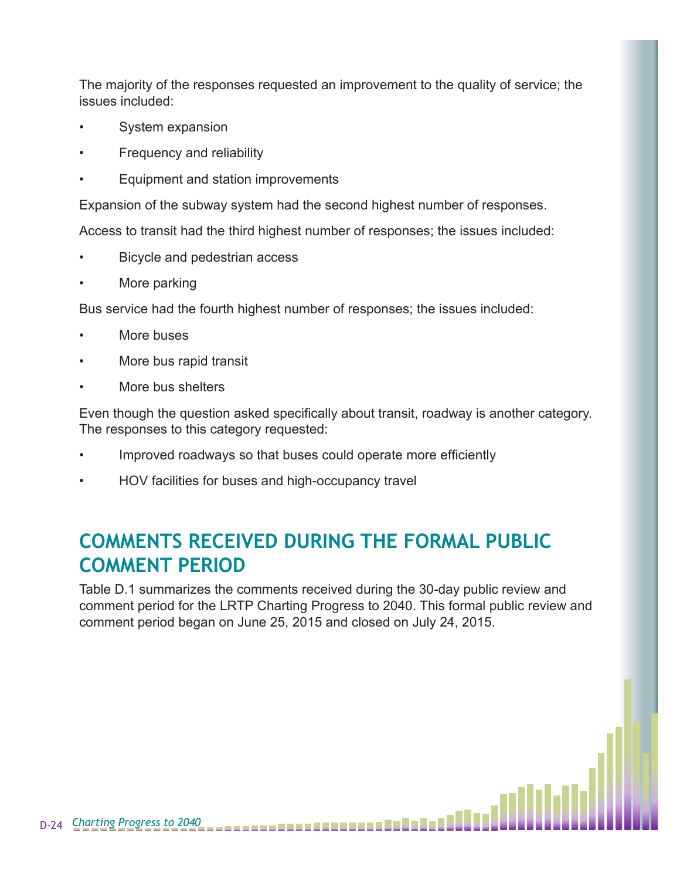The majority of the responses requested an improvement to the quality of service; the issues included:

- System expansion
- Frequency and reliability
- Equipment and station improvements

Expansion of the subway system had the second highest number of responses.

Access to transit had the third highest number of responses; the issues included:

- Bicycle and pedestrian access
- More parking

Bus service had the fourth highest number of responses; the issues included:

- More buses
- More bus rapid transit
- More bus shelters

Even though the question asked specifically about transit, roadway is another category. The responses to this category requested:

- Improved roadways so that buses could operate more efficiently
- HOV facilities for buses and high-occupancy travel

# **COMMENTS RECEIVED DURING THE FORMAL PUBLIC COMMENT PERIOD**

Table D.1 summarizes the comments received during the 30-day public review and comment period for the LRTP Charting Progress to 2040. This formal public review and comment period began on June 25, 2015 and closed on July 24, 2015.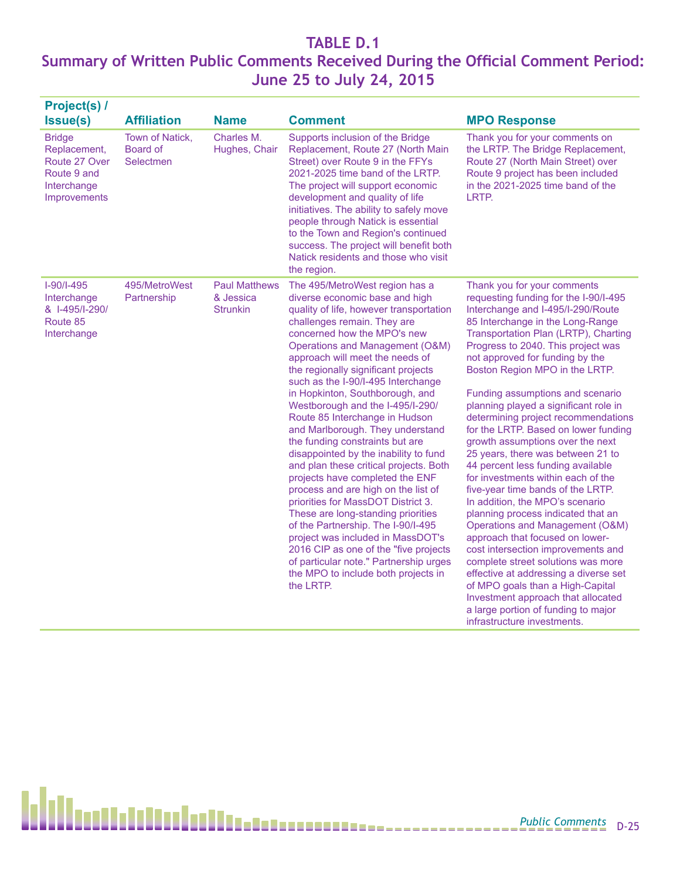## **TABLE D.1 Summary of Written Public Comments Received During the Official Comment Period: June 25 to July 24, 2015**

| <b>Project(s) /</b>                                                                          |                                          |                                                      |                                                                                                                                                                                                                                                                                                                                                                                                                                                                                                                                                                                                                                                                                                                                                                                                                                                                                                                                                                         |                                                                                                                                                                                                                                                                                                                                                                                                                                                                                                                                                                                                                                                                                                                                                                                                                                                                                                                                                                                                                                                                           |
|----------------------------------------------------------------------------------------------|------------------------------------------|------------------------------------------------------|-------------------------------------------------------------------------------------------------------------------------------------------------------------------------------------------------------------------------------------------------------------------------------------------------------------------------------------------------------------------------------------------------------------------------------------------------------------------------------------------------------------------------------------------------------------------------------------------------------------------------------------------------------------------------------------------------------------------------------------------------------------------------------------------------------------------------------------------------------------------------------------------------------------------------------------------------------------------------|---------------------------------------------------------------------------------------------------------------------------------------------------------------------------------------------------------------------------------------------------------------------------------------------------------------------------------------------------------------------------------------------------------------------------------------------------------------------------------------------------------------------------------------------------------------------------------------------------------------------------------------------------------------------------------------------------------------------------------------------------------------------------------------------------------------------------------------------------------------------------------------------------------------------------------------------------------------------------------------------------------------------------------------------------------------------------|
| Issue(s)                                                                                     | <b>Affiliation</b>                       | <b>Name</b>                                          | <b>Comment</b>                                                                                                                                                                                                                                                                                                                                                                                                                                                                                                                                                                                                                                                                                                                                                                                                                                                                                                                                                          | <b>MPO Response</b>                                                                                                                                                                                                                                                                                                                                                                                                                                                                                                                                                                                                                                                                                                                                                                                                                                                                                                                                                                                                                                                       |
| <b>Bridge</b><br>Replacement,<br>Route 27 Over<br>Route 9 and<br>Interchange<br>Improvements | Town of Natick,<br>Board of<br>Selectmen | Charles M.<br>Hughes, Chair                          | Supports inclusion of the Bridge<br>Replacement, Route 27 (North Main<br>Street) over Route 9 in the FFYs<br>2021-2025 time band of the LRTP.<br>The project will support economic<br>development and quality of life<br>initiatives. The ability to safely move<br>people through Natick is essential<br>to the Town and Region's continued<br>success. The project will benefit both<br>Natick residents and those who visit<br>the region.                                                                                                                                                                                                                                                                                                                                                                                                                                                                                                                           | Thank you for your comments on<br>the LRTP. The Bridge Replacement,<br>Route 27 (North Main Street) over<br>Route 9 project has been included<br>in the 2021-2025 time band of the<br>LRTP.                                                                                                                                                                                                                                                                                                                                                                                                                                                                                                                                                                                                                                                                                                                                                                                                                                                                               |
| $I-90/I-495$<br>Interchange<br>& I-495/I-290/<br>Route 85<br>Interchange                     | 495/MetroWest<br>Partnership             | <b>Paul Matthews</b><br>& Jessica<br><b>Strunkin</b> | The 495/MetroWest region has a<br>diverse economic base and high<br>quality of life, however transportation<br>challenges remain. They are<br>concerned how the MPO's new<br>Operations and Management (O&M)<br>approach will meet the needs of<br>the regionally significant projects<br>such as the I-90/I-495 Interchange<br>in Hopkinton, Southborough, and<br>Westborough and the I-495/I-290/<br>Route 85 Interchange in Hudson<br>and Marlborough. They understand<br>the funding constraints but are<br>disappointed by the inability to fund<br>and plan these critical projects. Both<br>projects have completed the ENF<br>process and are high on the list of<br>priorities for MassDOT District 3.<br>These are long-standing priorities<br>of the Partnership. The I-90/I-495<br>project was included in MassDOT's<br>2016 CIP as one of the "five projects<br>of particular note." Partnership urges<br>the MPO to include both projects in<br>the LRTP. | Thank you for your comments<br>requesting funding for the I-90/I-495<br>Interchange and I-495/I-290/Route<br>85 Interchange in the Long-Range<br>Transportation Plan (LRTP), Charting<br>Progress to 2040. This project was<br>not approved for funding by the<br>Boston Region MPO in the LRTP.<br>Funding assumptions and scenario<br>planning played a significant role in<br>determining project recommendations<br>for the LRTP. Based on lower funding<br>growth assumptions over the next<br>25 years, there was between 21 to<br>44 percent less funding available<br>for investments within each of the<br>five-year time bands of the LRTP.<br>In addition, the MPO's scenario<br>planning process indicated that an<br>Operations and Management (O&M)<br>approach that focused on lower-<br>cost intersection improvements and<br>complete street solutions was more<br>effective at addressing a diverse set<br>of MPO goals than a High-Capital<br>Investment approach that allocated<br>a large portion of funding to major<br>infrastructure investments. |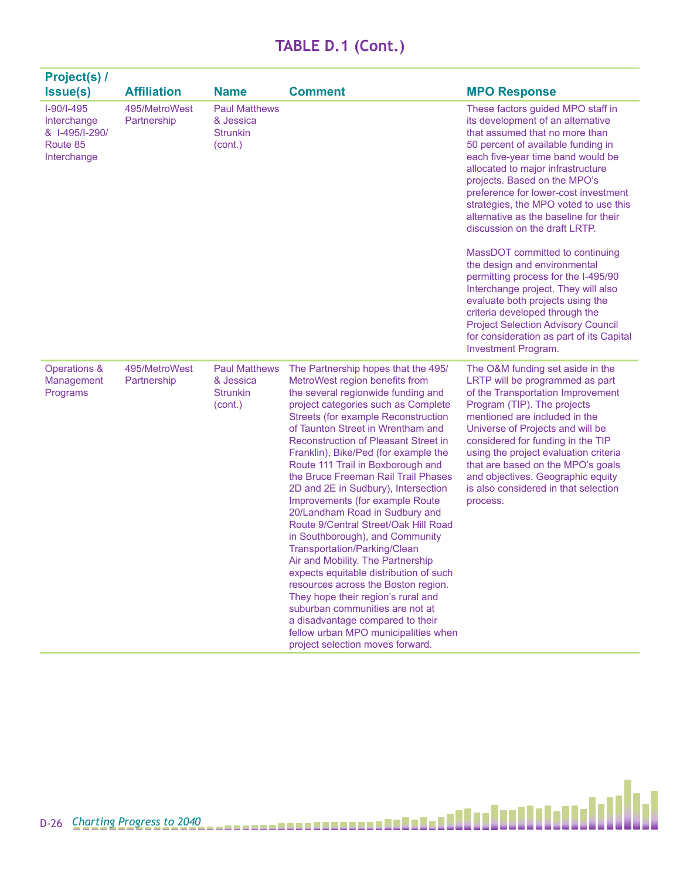| <b>Project(s) /</b>                                                      |                              |                                                                 |                                                                                                                                                                                                                                                                                                                                                                                                                                                                                                                                                                                                                                                                                                                                                                                                                                                                                                                                                |                                                                                                                                                                                                                                                                                                                                                                                                                          |
|--------------------------------------------------------------------------|------------------------------|-----------------------------------------------------------------|------------------------------------------------------------------------------------------------------------------------------------------------------------------------------------------------------------------------------------------------------------------------------------------------------------------------------------------------------------------------------------------------------------------------------------------------------------------------------------------------------------------------------------------------------------------------------------------------------------------------------------------------------------------------------------------------------------------------------------------------------------------------------------------------------------------------------------------------------------------------------------------------------------------------------------------------|--------------------------------------------------------------------------------------------------------------------------------------------------------------------------------------------------------------------------------------------------------------------------------------------------------------------------------------------------------------------------------------------------------------------------|
| <b>Issue(s)</b>                                                          | <b>Affiliation</b>           | <b>Name</b>                                                     | <b>Comment</b>                                                                                                                                                                                                                                                                                                                                                                                                                                                                                                                                                                                                                                                                                                                                                                                                                                                                                                                                 | <b>MPO Response</b>                                                                                                                                                                                                                                                                                                                                                                                                      |
| $I-90/I-495$<br>Interchange<br>& I-495/I-290/<br>Route 85<br>Interchange | 495/MetroWest<br>Partnership | <b>Paul Matthews</b><br>& Jessica<br><b>Strunkin</b><br>(cont.) |                                                                                                                                                                                                                                                                                                                                                                                                                                                                                                                                                                                                                                                                                                                                                                                                                                                                                                                                                | These factors guided MPO staff in<br>its development of an alternative<br>that assumed that no more than<br>50 percent of available funding in<br>each five-year time band would be<br>allocated to major infrastructure<br>projects. Based on the MPO's<br>preference for lower-cost investment<br>strategies, the MPO voted to use this<br>alternative as the baseline for their<br>discussion on the draft LRTP.      |
|                                                                          |                              |                                                                 |                                                                                                                                                                                                                                                                                                                                                                                                                                                                                                                                                                                                                                                                                                                                                                                                                                                                                                                                                | MassDOT committed to continuing<br>the design and environmental<br>permitting process for the I-495/90<br>Interchange project. They will also<br>evaluate both projects using the<br>criteria developed through the<br><b>Project Selection Advisory Council</b><br>for consideration as part of its Capital<br>Investment Program.                                                                                      |
| Operations &<br>Management<br>Programs                                   | 495/MetroWest<br>Partnership | <b>Paul Matthews</b><br>& Jessica<br><b>Strunkin</b><br>(cont.) | The Partnership hopes that the 495/<br>MetroWest region benefits from<br>the several regionwide funding and<br>project categories such as Complete<br><b>Streets (for example Reconstruction</b><br>of Taunton Street in Wrentham and<br><b>Reconstruction of Pleasant Street in</b><br>Franklin), Bike/Ped (for example the<br>Route 111 Trail in Boxborough and<br>the Bruce Freeman Rail Trail Phases<br>2D and 2E in Sudbury), Intersection<br>Improvements (for example Route<br>20/Landham Road in Sudbury and<br>Route 9/Central Street/Oak Hill Road<br>in Southborough), and Community<br>Transportation/Parking/Clean<br>Air and Mobility. The Partnership<br>expects equitable distribution of such<br>resources across the Boston region.<br>They hope their region's rural and<br>suburban communities are not at<br>a disadvantage compared to their<br>fellow urban MPO municipalities when<br>project selection moves forward. | The O&M funding set aside in the<br>LRTP will be programmed as part<br>of the Transportation Improvement<br>Program (TIP). The projects<br>mentioned are included in the<br>Universe of Projects and will be<br>considered for funding in the TIP<br>using the project evaluation criteria<br>that are based on the MPO's goals<br>and objectives. Geographic equity<br>is also considered in that selection<br>process. |

Ы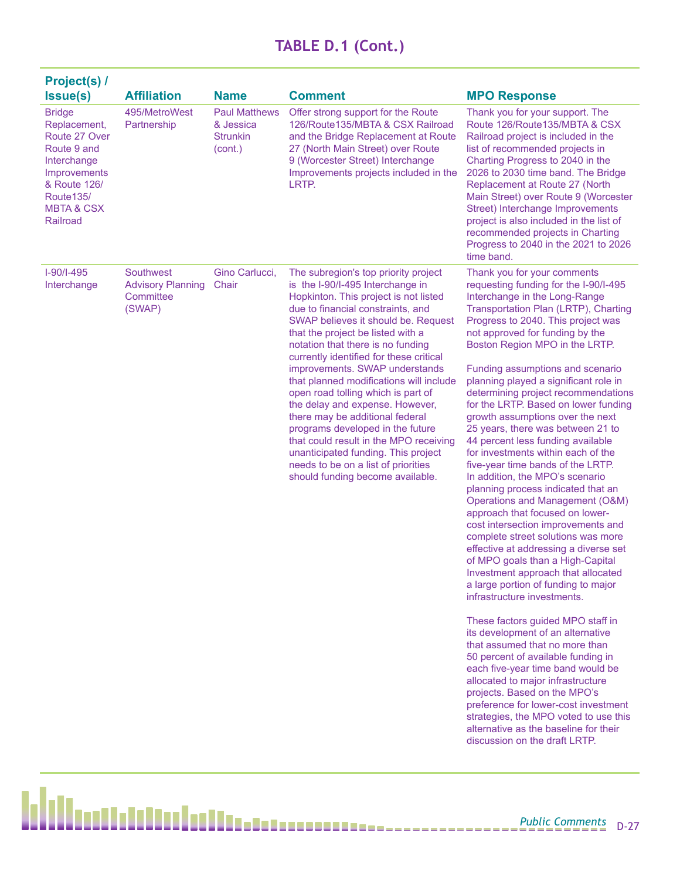| <b>Project(s) /</b>                                                                                                                                                                |                                                              |                                                                 |                                                                                                                                                                                                                                                                                                                                                                                                                                                                                                                                                                                                                                                                                                             |                                                                                                                                                                                                                                                                                                                                                                                                                                                                                                                                                                                                                                                                                                                                                                                                                                                                                                                                                                                                                                                                                                                                                                                                                                                                                                                                                                                                                                                          |
|------------------------------------------------------------------------------------------------------------------------------------------------------------------------------------|--------------------------------------------------------------|-----------------------------------------------------------------|-------------------------------------------------------------------------------------------------------------------------------------------------------------------------------------------------------------------------------------------------------------------------------------------------------------------------------------------------------------------------------------------------------------------------------------------------------------------------------------------------------------------------------------------------------------------------------------------------------------------------------------------------------------------------------------------------------------|----------------------------------------------------------------------------------------------------------------------------------------------------------------------------------------------------------------------------------------------------------------------------------------------------------------------------------------------------------------------------------------------------------------------------------------------------------------------------------------------------------------------------------------------------------------------------------------------------------------------------------------------------------------------------------------------------------------------------------------------------------------------------------------------------------------------------------------------------------------------------------------------------------------------------------------------------------------------------------------------------------------------------------------------------------------------------------------------------------------------------------------------------------------------------------------------------------------------------------------------------------------------------------------------------------------------------------------------------------------------------------------------------------------------------------------------------------|
| <b>Issue(s)</b>                                                                                                                                                                    | <b>Affiliation</b>                                           | <b>Name</b>                                                     | <b>Comment</b>                                                                                                                                                                                                                                                                                                                                                                                                                                                                                                                                                                                                                                                                                              | <b>MPO Response</b>                                                                                                                                                                                                                                                                                                                                                                                                                                                                                                                                                                                                                                                                                                                                                                                                                                                                                                                                                                                                                                                                                                                                                                                                                                                                                                                                                                                                                                      |
| <b>Bridge</b><br>Replacement,<br>Route 27 Over<br>Route 9 and<br>Interchange<br><b>Improvements</b><br>& Route 126/<br>Route <sub>135</sub> /<br><b>MBTA &amp; CSX</b><br>Railroad | 495/MetroWest<br>Partnership                                 | <b>Paul Matthews</b><br>& Jessica<br><b>Strunkin</b><br>(cont.) | Offer strong support for the Route<br>126/Route135/MBTA & CSX Railroad<br>and the Bridge Replacement at Route<br>27 (North Main Street) over Route<br>9 (Worcester Street) Interchange<br>Improvements projects included in the<br>LRTP.                                                                                                                                                                                                                                                                                                                                                                                                                                                                    | Thank you for your support. The<br>Route 126/Route135/MBTA & CSX<br>Railroad project is included in the<br>list of recommended projects in<br>Charting Progress to 2040 in the<br>2026 to 2030 time band. The Bridge<br>Replacement at Route 27 (North<br>Main Street) over Route 9 (Worcester<br>Street) Interchange Improvements<br>project is also included in the list of<br>recommended projects in Charting<br>Progress to 2040 in the 2021 to 2026<br>time band.                                                                                                                                                                                                                                                                                                                                                                                                                                                                                                                                                                                                                                                                                                                                                                                                                                                                                                                                                                                  |
| $I-90/I-495$<br>Interchange                                                                                                                                                        | Southwest<br><b>Advisory Planning</b><br>Committee<br>(SWAP) | Gino Carlucci,<br>Chair                                         | The subregion's top priority project<br>is the I-90/I-495 Interchange in<br>Hopkinton. This project is not listed<br>due to financial constraints, and<br>SWAP believes it should be. Request<br>that the project be listed with a<br>notation that there is no funding<br>currently identified for these critical<br>improvements. SWAP understands<br>that planned modifications will include<br>open road tolling which is part of<br>the delay and expense. However,<br>there may be additional federal<br>programs developed in the future<br>that could result in the MPO receiving<br>unanticipated funding. This project<br>needs to be on a list of priorities<br>should funding become available. | Thank you for your comments<br>requesting funding for the I-90/I-495<br>Interchange in the Long-Range<br>Transportation Plan (LRTP), Charting<br>Progress to 2040. This project was<br>not approved for funding by the<br>Boston Region MPO in the LRTP.<br>Funding assumptions and scenario<br>planning played a significant role in<br>determining project recommendations<br>for the LRTP. Based on lower funding<br>growth assumptions over the next<br>25 years, there was between 21 to<br>44 percent less funding available<br>for investments within each of the<br>five-year time bands of the LRTP.<br>In addition, the MPO's scenario<br>planning process indicated that an<br>Operations and Management (O&M)<br>approach that focused on lower-<br>cost intersection improvements and<br>complete street solutions was more<br>effective at addressing a diverse set<br>of MPO goals than a High-Capital<br>Investment approach that allocated<br>a large portion of funding to major<br>infrastructure investments.<br>These factors guided MPO staff in<br>its development of an alternative<br>that assumed that no more than<br>50 percent of available funding in<br>each five-year time band would be<br>allocated to major infrastructure<br>projects. Based on the MPO's<br>preference for lower-cost investment<br>strategies, the MPO voted to use this<br>alternative as the baseline for their<br>discussion on the draft LRTP. |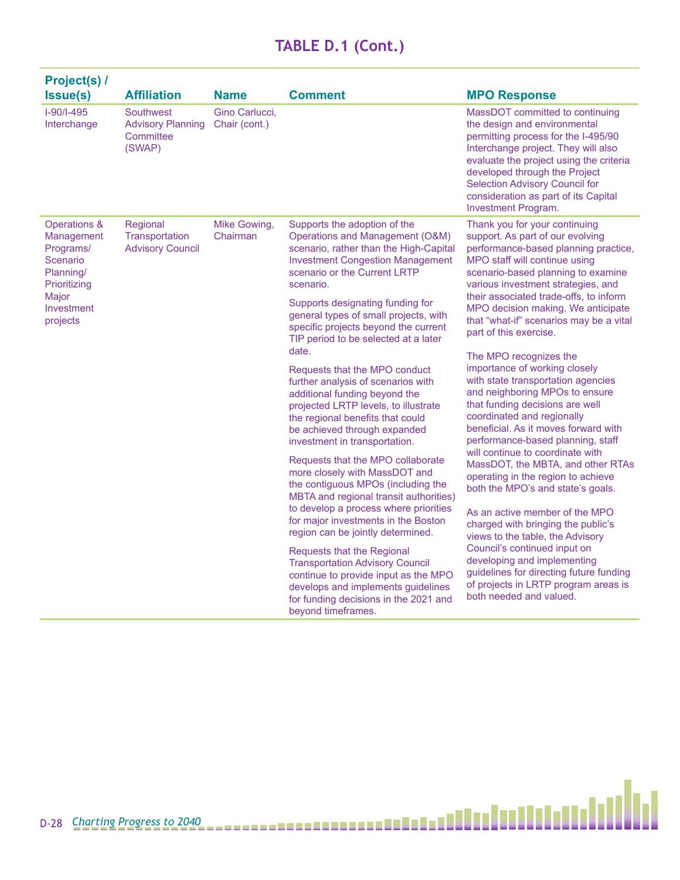| Project(s) /<br>Issue(s)                                                                                            | <b>Affiliation</b>                                           | <b>Name</b>                     | <b>Comment</b>                                                                                                                                                                                                                                                                                                                                                                                                                                 | <b>MPO Response</b>                                                                                                                                                                                                                                                                                                                                                                                                                                                          |
|---------------------------------------------------------------------------------------------------------------------|--------------------------------------------------------------|---------------------------------|------------------------------------------------------------------------------------------------------------------------------------------------------------------------------------------------------------------------------------------------------------------------------------------------------------------------------------------------------------------------------------------------------------------------------------------------|------------------------------------------------------------------------------------------------------------------------------------------------------------------------------------------------------------------------------------------------------------------------------------------------------------------------------------------------------------------------------------------------------------------------------------------------------------------------------|
| $I-90/I-495$<br>Interchange                                                                                         | Southwest<br><b>Advisory Planning</b><br>Committee<br>(SWAP) | Gino Carlucci,<br>Chair (cont.) |                                                                                                                                                                                                                                                                                                                                                                                                                                                | MassDOT committed to continuing<br>the design and environmental<br>permitting process for the I-495/90<br>Interchange project. They will also<br>evaluate the project using the criteria<br>developed through the Project<br><b>Selection Advisory Council for</b><br>consideration as part of its Capital<br>Investment Program.                                                                                                                                            |
| Operations &<br>Management<br>Programs/<br>Scenario<br>Planning/<br>Prioritizing<br>Major<br>Investment<br>projects | Regional<br>Transportation<br><b>Advisory Council</b>        | Mike Gowing,<br>Chairman        | Supports the adoption of the<br>Operations and Management (O&M)<br>scenario, rather than the High-Capital<br><b>Investment Congestion Management</b><br>scenario or the Current LRTP<br>scenario.<br>Supports designating funding for<br>general types of small projects, with<br>specific projects beyond the current<br>TIP period to be selected at a later<br>date.<br>Requests that the MPO conduct<br>further analysis of scenarios with | Thank you for your continuing<br>support. As part of our evolving<br>performance-based planning practice,<br>MPO staff will continue using<br>scenario-based planning to examine<br>various investment strategies, and<br>their associated trade-offs, to inform<br>MPO decision making. We anticipate<br>that "what-if" scenarios may be a vital<br>part of this exercise.<br>The MPO recognizes the<br>importance of working closely<br>with state transportation agencies |
|                                                                                                                     |                                                              |                                 | additional funding beyond the<br>projected LRTP levels, to illustrate<br>the regional benefits that could<br>be achieved through expanded<br>investment in transportation.<br>Requests that the MPO collaborate                                                                                                                                                                                                                                | and neighboring MPOs to ensure<br>that funding decisions are well<br>coordinated and regionally<br>beneficial. As it moves forward with<br>performance-based planning, staff<br>will continue to coordinate with                                                                                                                                                                                                                                                             |
|                                                                                                                     |                                                              |                                 | more closely with MassDOT and<br>the contiguous MPOs (including the<br>MBTA and regional transit authorities)<br>to develop a process where priorities                                                                                                                                                                                                                                                                                         | MassDOT, the MBTA, and other RTAs<br>operating in the region to achieve<br>both the MPO's and state's goals.                                                                                                                                                                                                                                                                                                                                                                 |
|                                                                                                                     |                                                              |                                 | for major investments in the Boston<br>region can be jointly determined.                                                                                                                                                                                                                                                                                                                                                                       | As an active member of the MPO<br>charged with bringing the public's<br>views to the table, the Advisory                                                                                                                                                                                                                                                                                                                                                                     |
|                                                                                                                     |                                                              |                                 | <b>Requests that the Regional</b><br><b>Transportation Advisory Council</b><br>continue to provide input as the MPO<br>develops and implements guidelines<br>for funding decisions in the 2021 and<br>beyond timeframes.                                                                                                                                                                                                                       | Council's continued input on<br>developing and implementing<br>guidelines for directing future funding<br>of projects in LRTP program areas is<br>both needed and valued.                                                                                                                                                                                                                                                                                                    |

H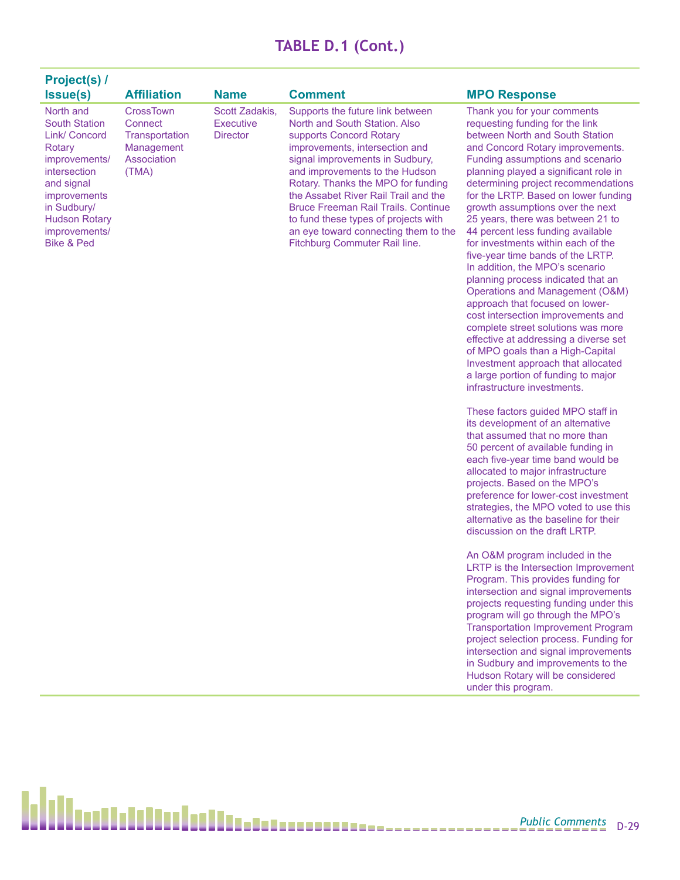| Project(s) /<br><b>Issue(s)</b>                                                                                                                                                                          | <b>Affiliation</b>                                                                         | <b>Name</b>                                           | <b>Comment</b>                                                                                                                                                                                                                                                                                                                                                                                                                                   | <b>MPO Response</b>                                                                                                                                                                                                                                                                                                                                                                                                                                                                                                           |
|----------------------------------------------------------------------------------------------------------------------------------------------------------------------------------------------------------|--------------------------------------------------------------------------------------------|-------------------------------------------------------|--------------------------------------------------------------------------------------------------------------------------------------------------------------------------------------------------------------------------------------------------------------------------------------------------------------------------------------------------------------------------------------------------------------------------------------------------|-------------------------------------------------------------------------------------------------------------------------------------------------------------------------------------------------------------------------------------------------------------------------------------------------------------------------------------------------------------------------------------------------------------------------------------------------------------------------------------------------------------------------------|
| North and<br><b>South Station</b><br>Link/ Concord<br>Rotary<br>improvements/<br>intersection<br>and signal<br><i>improvements</i><br>in Sudbury/<br><b>Hudson Rotary</b><br>improvements/<br>Bike & Ped | <b>CrossTown</b><br>Connect<br>Transportation<br><b>Management</b><br>Association<br>(TMA) | Scott Zadakis.<br><b>Executive</b><br><b>Director</b> | Supports the future link between<br>North and South Station, Also<br>supports Concord Rotary<br>improvements, intersection and<br>signal improvements in Sudbury.<br>and improvements to the Hudson<br>Rotary. Thanks the MPO for funding<br>the Assabet River Rail Trail and the<br><b>Bruce Freeman Rail Trails, Continue</b><br>to fund these types of projects with<br>an eye toward connecting them to the<br>Fitchburg Commuter Rail line. | Thank you for your comments<br>requesting funding for the link<br>between North and South Station<br>and Concord Rotary improvements.<br>Funding assumptions and scenario<br>planning played a significant role in<br>determining project recommendations<br>for the LRTP. Based on lower funding<br>growth assumptions over the next<br>25 years, there was between 21 to<br>44 percent less funding available<br>for investments within each of the<br>five-year time bands of the LRTP.<br>In addition, the MPO's scenario |

difficile

These factors guided MPO staff in its development of an alternative that assumed that no more than 50 percent of available funding in each five-year time band would be allocated to major infrastructure projects. Based on the MPO's preference for lower-cost investment strategies, the MPO voted to use this alternative as the baseline for their discussion on the draft LRTP.

planning process indicated that an Operations and Management (O&M) approach that focused on lowercost intersection improvements and complete street solutions was more effective at addressing a diverse set of MPO goals than a High-Capital Investment approach that allocated a large portion of funding to major infrastructure investments.

An O&M program included in the LRTP is the Intersection Improvement Program. This provides funding for intersection and signal improvements projects requesting funding under this program will go through the MPO's Transportation Improvement Program project selection process. Funding for intersection and signal improvements in Sudbury and improvements to the Hudson Rotary will be considered under this program.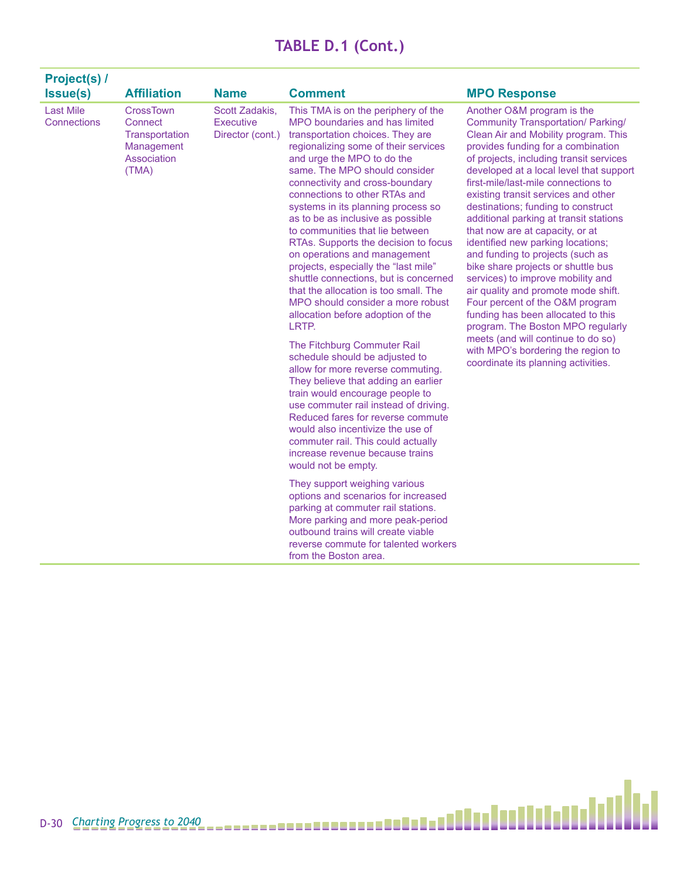| <b>Project(s) /</b>             |                                                                                     |                                                        |                                                                                                                                                                                                                                                                                                                                                                                                                                                                                                                                                                                                                                                                                                                                                                                                                                                                                                                                                                                                                                                                                                                             |                                                                                                                                                                                                                                                                                                                                                                                                                                                                                                                                                                                                                                                                                                                                                                                                                                                                          |
|---------------------------------|-------------------------------------------------------------------------------------|--------------------------------------------------------|-----------------------------------------------------------------------------------------------------------------------------------------------------------------------------------------------------------------------------------------------------------------------------------------------------------------------------------------------------------------------------------------------------------------------------------------------------------------------------------------------------------------------------------------------------------------------------------------------------------------------------------------------------------------------------------------------------------------------------------------------------------------------------------------------------------------------------------------------------------------------------------------------------------------------------------------------------------------------------------------------------------------------------------------------------------------------------------------------------------------------------|--------------------------------------------------------------------------------------------------------------------------------------------------------------------------------------------------------------------------------------------------------------------------------------------------------------------------------------------------------------------------------------------------------------------------------------------------------------------------------------------------------------------------------------------------------------------------------------------------------------------------------------------------------------------------------------------------------------------------------------------------------------------------------------------------------------------------------------------------------------------------|
| <b>Issue(s)</b>                 | <b>Affiliation</b>                                                                  | <b>Name</b>                                            | <b>Comment</b>                                                                                                                                                                                                                                                                                                                                                                                                                                                                                                                                                                                                                                                                                                                                                                                                                                                                                                                                                                                                                                                                                                              | <b>MPO Response</b>                                                                                                                                                                                                                                                                                                                                                                                                                                                                                                                                                                                                                                                                                                                                                                                                                                                      |
| <b>Last Mile</b><br>Connections | <b>CrossTown</b><br>Connect<br>Transportation<br>Management<br>Association<br>(TMA) | Scott Zadakis.<br><b>Executive</b><br>Director (cont.) | This TMA is on the periphery of the<br>MPO boundaries and has limited<br>transportation choices. They are<br>regionalizing some of their services<br>and urge the MPO to do the<br>same. The MPO should consider<br>connectivity and cross-boundary<br>connections to other RTAs and<br>systems in its planning process so<br>as to be as inclusive as possible<br>to communities that lie between<br>RTAs. Supports the decision to focus<br>on operations and management<br>projects, especially the "last mile"<br>shuttle connections, but is concerned<br>that the allocation is too small. The<br>MPO should consider a more robust<br>allocation before adoption of the<br>LRTP.<br>The Fitchburg Commuter Rail<br>schedule should be adjusted to<br>allow for more reverse commuting.<br>They believe that adding an earlier<br>train would encourage people to<br>use commuter rail instead of driving.<br>Reduced fares for reverse commute<br>would also incentivize the use of<br>commuter rail. This could actually<br>increase revenue because trains<br>would not be empty.<br>They support weighing various | Another O&M program is the<br><b>Community Transportation/ Parking/</b><br>Clean Air and Mobility program. This<br>provides funding for a combination<br>of projects, including transit services<br>developed at a local level that support<br>first-mile/last-mile connections to<br>existing transit services and other<br>destinations; funding to construct<br>additional parking at transit stations<br>that now are at capacity, or at<br>identified new parking locations;<br>and funding to projects (such as<br>bike share projects or shuttle bus<br>services) to improve mobility and<br>air quality and promote mode shift.<br>Four percent of the O&M program<br>funding has been allocated to this<br>program. The Boston MPO regularly<br>meets (and will continue to do so)<br>with MPO's bordering the region to<br>coordinate its planning activities. |
|                                 |                                                                                     |                                                        | options and scenarios for increased<br>parking at commuter rail stations.<br>More parking and more peak-period<br>outbound trains will create viable<br>reverse commute for talented workers<br>from the Boston area.                                                                                                                                                                                                                                                                                                                                                                                                                                                                                                                                                                                                                                                                                                                                                                                                                                                                                                       |                                                                                                                                                                                                                                                                                                                                                                                                                                                                                                                                                                                                                                                                                                                                                                                                                                                                          |

Ы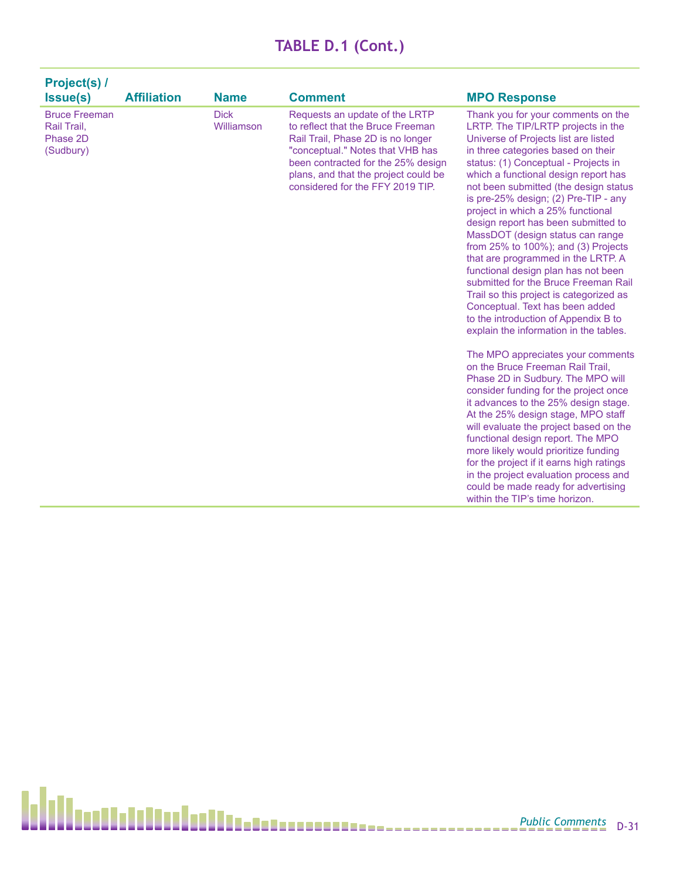| Project(s) /                                                 |                    |                           |                                                                                                                                                                                                                                                                |                                                                                                                                                                                                                                                                                                                                                                                                                                                                                                                                                                                                                                                                                                                                                                                                                                                                                                                                                                                                                                                                                                                                                                                                                             |
|--------------------------------------------------------------|--------------------|---------------------------|----------------------------------------------------------------------------------------------------------------------------------------------------------------------------------------------------------------------------------------------------------------|-----------------------------------------------------------------------------------------------------------------------------------------------------------------------------------------------------------------------------------------------------------------------------------------------------------------------------------------------------------------------------------------------------------------------------------------------------------------------------------------------------------------------------------------------------------------------------------------------------------------------------------------------------------------------------------------------------------------------------------------------------------------------------------------------------------------------------------------------------------------------------------------------------------------------------------------------------------------------------------------------------------------------------------------------------------------------------------------------------------------------------------------------------------------------------------------------------------------------------|
| <b>Issue(s)</b>                                              | <b>Affiliation</b> | <b>Name</b>               | <b>Comment</b>                                                                                                                                                                                                                                                 | <b>MPO Response</b>                                                                                                                                                                                                                                                                                                                                                                                                                                                                                                                                                                                                                                                                                                                                                                                                                                                                                                                                                                                                                                                                                                                                                                                                         |
| <b>Bruce Freeman</b><br>Rail Trail,<br>Phase 2D<br>(Sudbury) |                    | <b>Dick</b><br>Williamson | Requests an update of the LRTP<br>to reflect that the Bruce Freeman<br>Rail Trail, Phase 2D is no longer<br>"conceptual." Notes that VHB has<br>been contracted for the 25% design<br>plans, and that the project could be<br>considered for the FFY 2019 TIP. | Thank you for your comments on the<br>LRTP. The TIP/LRTP projects in the<br>Universe of Projects list are listed<br>in three categories based on their<br>status: (1) Conceptual - Projects in<br>which a functional design report has<br>not been submitted (the design status<br>is pre-25% design; (2) Pre-TIP - any<br>project in which a 25% functional<br>design report has been submitted to<br>MassDOT (design status can range<br>from $25\%$ to $100\%$ ); and (3) Projects<br>that are programmed in the LRTP. A<br>functional design plan has not been<br>submitted for the Bruce Freeman Rail<br>Trail so this project is categorized as<br>Conceptual. Text has been added<br>to the introduction of Appendix B to<br>explain the information in the tables.<br>The MPO appreciates your comments<br>on the Bruce Freeman Rail Trail.<br>Phase 2D in Sudbury. The MPO will<br>consider funding for the project once<br>it advances to the 25% design stage.<br>At the 25% design stage, MPO staff<br>will evaluate the project based on the<br>functional design report. The MPO<br>more likely would prioritize funding<br>for the project if it earns high ratings<br>in the project evaluation process and |
|                                                              |                    |                           |                                                                                                                                                                                                                                                                | could be made ready for advertising<br>within the TIP's time horizon.                                                                                                                                                                                                                                                                                                                                                                                                                                                                                                                                                                                                                                                                                                                                                                                                                                                                                                                                                                                                                                                                                                                                                       |

h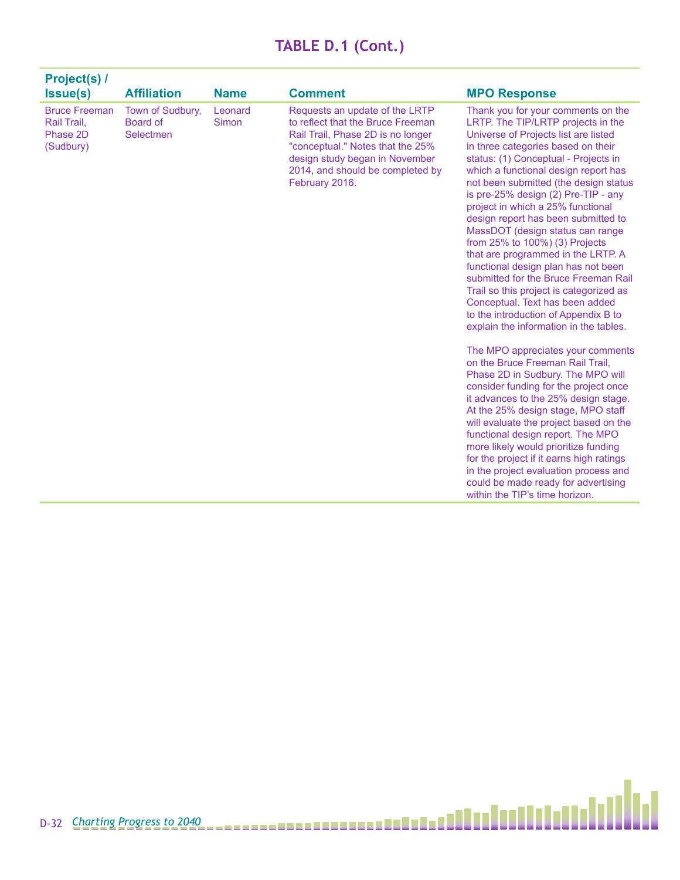| <b>Project(s) /</b><br>Issue(s)                              | <b>Affiliation</b>                        | <b>Name</b>      | <b>Comment</b>                                                                                                                                                                                                                       | <b>MPO Response</b>                                                                                                                                                                                                                                                                                                                                                                                                                                                                                                                                                                                                                                                                                                                                                                                                                                                                                                                                                                                                                                                                                                                                                                                                                                                                     |
|--------------------------------------------------------------|-------------------------------------------|------------------|--------------------------------------------------------------------------------------------------------------------------------------------------------------------------------------------------------------------------------------|-----------------------------------------------------------------------------------------------------------------------------------------------------------------------------------------------------------------------------------------------------------------------------------------------------------------------------------------------------------------------------------------------------------------------------------------------------------------------------------------------------------------------------------------------------------------------------------------------------------------------------------------------------------------------------------------------------------------------------------------------------------------------------------------------------------------------------------------------------------------------------------------------------------------------------------------------------------------------------------------------------------------------------------------------------------------------------------------------------------------------------------------------------------------------------------------------------------------------------------------------------------------------------------------|
| <b>Bruce Freeman</b><br>Rail Trail.<br>Phase 2D<br>(Sudbury) | Town of Sudbury,<br>Board of<br>Selectmen | Leonard<br>Simon | Requests an update of the LRTP<br>to reflect that the Bruce Freeman<br>Rail Trail, Phase 2D is no longer<br>"conceptual." Notes that the 25%<br>design study began in November<br>2014, and should be completed by<br>February 2016. | Thank you for your comments on the<br>LRTP. The TIP/LRTP projects in the<br>Universe of Projects list are listed<br>in three categories based on their<br>status: (1) Conceptual - Projects in<br>which a functional design report has<br>not been submitted (the design status<br>is pre-25% design (2) Pre-TIP - any<br>project in which a 25% functional<br>design report has been submitted to<br>MassDOT (design status can range<br>from 25% to 100%) (3) Projects<br>that are programmed in the LRTP. A<br>functional design plan has not been<br>submitted for the Bruce Freeman Rail<br>Trail so this project is categorized as<br>Conceptual. Text has been added<br>to the introduction of Appendix B to<br>explain the information in the tables.<br>The MPO appreciates your comments<br>on the Bruce Freeman Rail Trail,<br>Phase 2D in Sudbury. The MPO will<br>consider funding for the project once<br>it advances to the 25% design stage.<br>At the 25% design stage, MPO staff<br>will evaluate the project based on the<br>functional design report. The MPO<br>more likely would prioritize funding<br>for the project if it earns high ratings<br>in the project evaluation process and<br>could be made ready for advertising<br>within the TIP's time horizon. |

Ы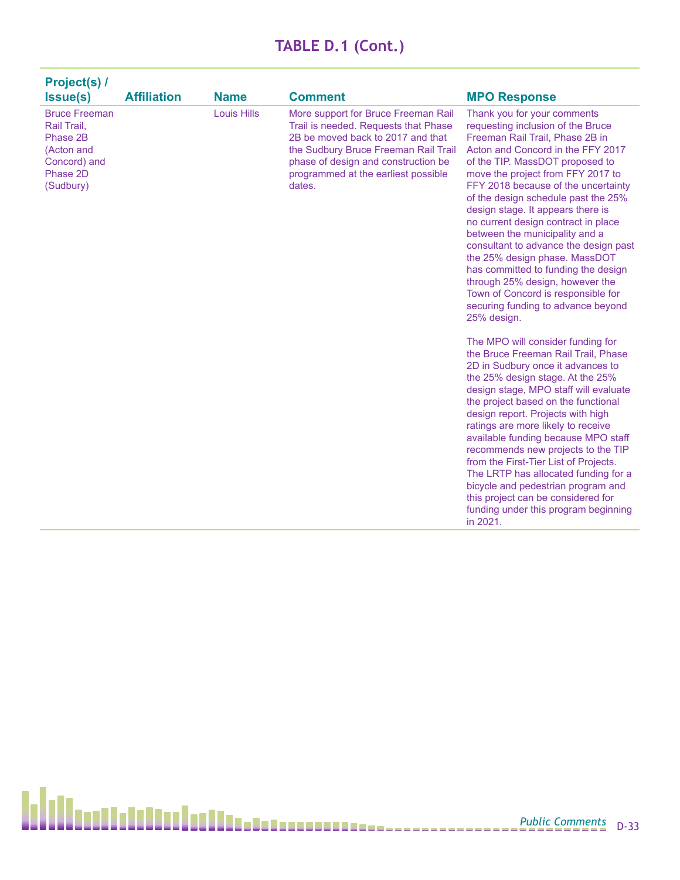| Project(s) /<br><b>Issue(s)</b>                                                                        | <b>Affiliation</b> | <b>Name</b>        | <b>Comment</b>                                                                                                                                                                                                                                   | <b>MPO Response</b>                                                                                                                                                                                                                                                                                                                                                                                                                                                                                                                                                                                                                                         |
|--------------------------------------------------------------------------------------------------------|--------------------|--------------------|--------------------------------------------------------------------------------------------------------------------------------------------------------------------------------------------------------------------------------------------------|-------------------------------------------------------------------------------------------------------------------------------------------------------------------------------------------------------------------------------------------------------------------------------------------------------------------------------------------------------------------------------------------------------------------------------------------------------------------------------------------------------------------------------------------------------------------------------------------------------------------------------------------------------------|
| <b>Bruce Freeman</b><br>Rail Trail.<br>Phase 2B<br>(Acton and<br>Concord) and<br>Phase 2D<br>(Sudbury) |                    | <b>Louis Hills</b> | More support for Bruce Freeman Rail<br>Trail is needed. Requests that Phase<br>2B be moved back to 2017 and that<br>the Sudbury Bruce Freeman Rail Trail<br>phase of design and construction be<br>programmed at the earliest possible<br>dates. | Thank you for your comments<br>requesting inclusion of the Bruce<br>Freeman Rail Trail, Phase 2B in<br>Acton and Concord in the FFY 2017<br>of the TIP. MassDOT proposed to<br>move the project from FFY 2017 to<br>FFY 2018 because of the uncertainty<br>of the design schedule past the 25%<br>design stage. It appears there is<br>no current design contract in place<br>between the municipality and a<br>consultant to advance the design past<br>the 25% design phase. MassDOT<br>has committed to funding the design<br>through 25% design, however the<br>Town of Concord is responsible for<br>securing funding to advance beyond<br>25% design. |
|                                                                                                        |                    |                    |                                                                                                                                                                                                                                                  | The MPO will consider funding for<br>the Bruce Freeman Rail Trail, Phase<br>2D in Sudbury once it advances to<br>the 25% design stage. At the 25%<br>design stage, MPO staff will evaluate<br>the project based on the functional<br>design report. Projects with high<br>ratings are more likely to receive<br>available funding because MPO staff<br>recommends new projects to the TIP<br>from the First-Tier List of Projects.<br>The LRTP has allocated funding for a<br>bicycle and pedestrian program and<br>this project can be considered for<br>funding under this program beginning<br>in 2021.                                                  |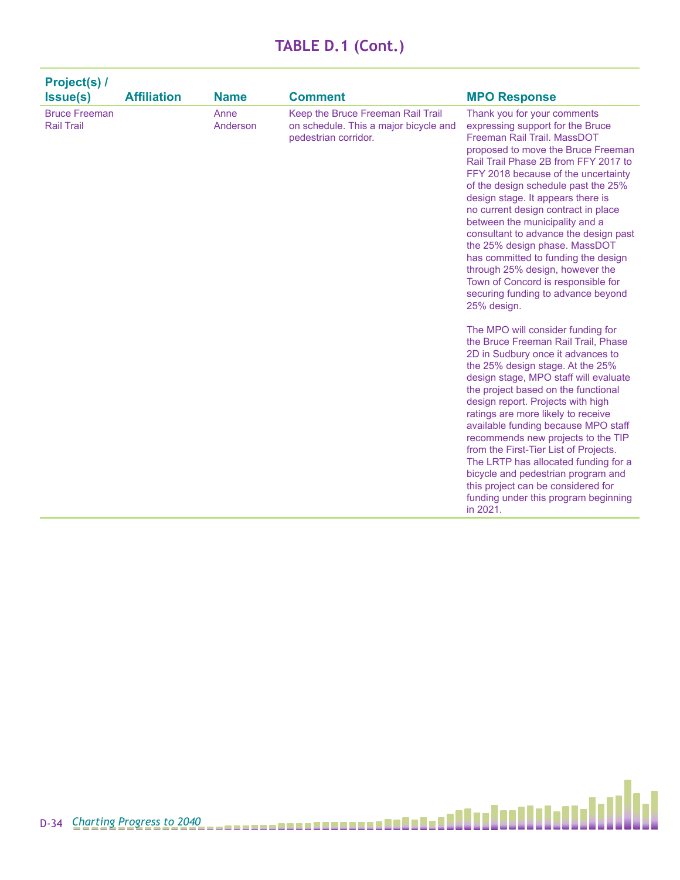| <b>Project(s) /</b><br><b>Issue(s)</b>    | <b>Affiliation</b> | <b>Name</b>      | <b>Comment</b>                                                                                     | <b>MPO Response</b>                                                                                                                                                                                                                                                                                                                                                                                                                                                                                                                                                                                                                                                                                                                                                                                                                                                                                                                                                                                                                                                                                                                                                                                                                   |
|-------------------------------------------|--------------------|------------------|----------------------------------------------------------------------------------------------------|---------------------------------------------------------------------------------------------------------------------------------------------------------------------------------------------------------------------------------------------------------------------------------------------------------------------------------------------------------------------------------------------------------------------------------------------------------------------------------------------------------------------------------------------------------------------------------------------------------------------------------------------------------------------------------------------------------------------------------------------------------------------------------------------------------------------------------------------------------------------------------------------------------------------------------------------------------------------------------------------------------------------------------------------------------------------------------------------------------------------------------------------------------------------------------------------------------------------------------------|
| <b>Bruce Freeman</b><br><b>Rail Trail</b> |                    | Anne<br>Anderson | Keep the Bruce Freeman Rail Trail<br>on schedule. This a major bicycle and<br>pedestrian corridor. | Thank you for your comments<br>expressing support for the Bruce<br>Freeman Rail Trail, MassDOT<br>proposed to move the Bruce Freeman<br>Rail Trail Phase 2B from FFY 2017 to<br>FFY 2018 because of the uncertainty<br>of the design schedule past the 25%<br>design stage. It appears there is<br>no current design contract in place<br>between the municipality and a<br>consultant to advance the design past<br>the 25% design phase. MassDOT<br>has committed to funding the design<br>through 25% design, however the<br>Town of Concord is responsible for<br>securing funding to advance beyond<br>25% design.<br>The MPO will consider funding for<br>the Bruce Freeman Rail Trail. Phase<br>2D in Sudbury once it advances to<br>the 25% design stage. At the 25%<br>design stage, MPO staff will evaluate<br>the project based on the functional<br>design report. Projects with high<br>ratings are more likely to receive<br>available funding because MPO staff<br>recommends new projects to the TIP<br>from the First-Tier List of Projects.<br>The LRTP has allocated funding for a<br>bicycle and pedestrian program and<br>this project can be considered for<br>funding under this program beginning<br>in 2021. |

Ы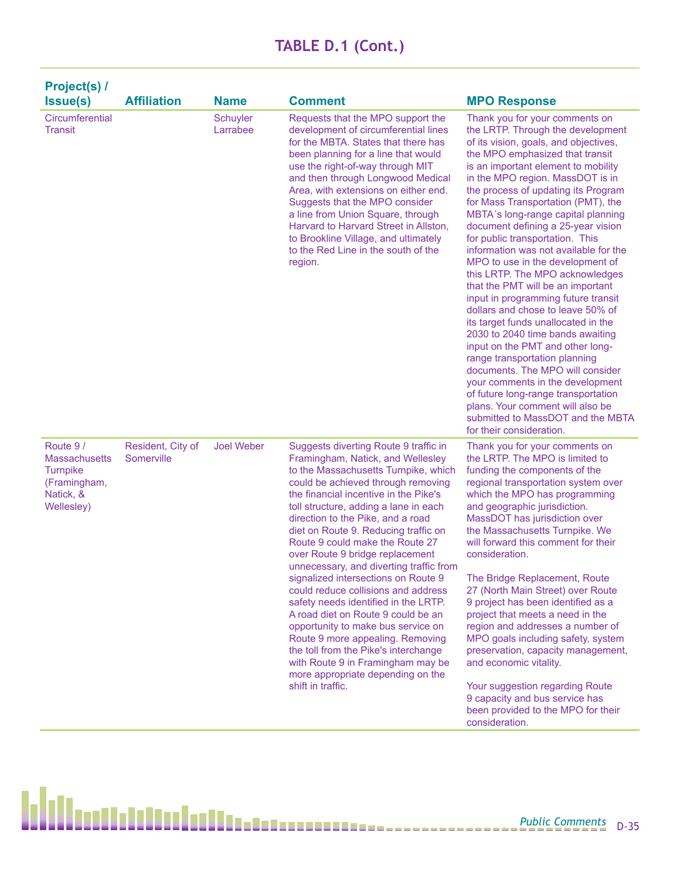| Project(s) /<br><b>Issue(s)</b>                                                                | <b>Affiliation</b>              | <b>Name</b>          | <b>Comment</b>                                                                                                                                                                                                                                                                                                                                                                                                                                                                                                                                                                                                                                                                                                                                                                                                        | <b>MPO Response</b>                                                                                                                                                                                                                                                                                                                                                                                                                                                                                                                                                                                                                                                                                                                                                                                                                                                                                                                                                                                                         |
|------------------------------------------------------------------------------------------------|---------------------------------|----------------------|-----------------------------------------------------------------------------------------------------------------------------------------------------------------------------------------------------------------------------------------------------------------------------------------------------------------------------------------------------------------------------------------------------------------------------------------------------------------------------------------------------------------------------------------------------------------------------------------------------------------------------------------------------------------------------------------------------------------------------------------------------------------------------------------------------------------------|-----------------------------------------------------------------------------------------------------------------------------------------------------------------------------------------------------------------------------------------------------------------------------------------------------------------------------------------------------------------------------------------------------------------------------------------------------------------------------------------------------------------------------------------------------------------------------------------------------------------------------------------------------------------------------------------------------------------------------------------------------------------------------------------------------------------------------------------------------------------------------------------------------------------------------------------------------------------------------------------------------------------------------|
| Circumferential<br><b>Transit</b>                                                              |                                 | Schuyler<br>Larrabee | Requests that the MPO support the<br>development of circumferential lines<br>for the MBTA. States that there has<br>been planning for a line that would<br>use the right-of-way through MIT<br>and then through Longwood Medical<br>Area, with extensions on either end.<br>Suggests that the MPO consider<br>a line from Union Square, through<br>Harvard to Harvard Street in Allston,<br>to Brookline Village, and ultimately<br>to the Red Line in the south of the<br>region.                                                                                                                                                                                                                                                                                                                                    | Thank you for your comments on<br>the LRTP. Through the development<br>of its vision, goals, and objectives,<br>the MPO emphasized that transit<br>is an important element to mobility<br>in the MPO region. MassDOT is in<br>the process of updating its Program<br>for Mass Transportation (PMT), the<br>MBTA's long-range capital planning<br>document defining a 25-year vision<br>for public transportation. This<br>information was not available for the<br>MPO to use in the development of<br>this LRTP. The MPO acknowledges<br>that the PMT will be an important<br>input in programming future transit<br>dollars and chose to leave 50% of<br>its target funds unallocated in the<br>2030 to 2040 time bands awaiting<br>input on the PMT and other long-<br>range transportation planning<br>documents. The MPO will consider<br>your comments in the development<br>of future long-range transportation<br>plans. Your comment will also be<br>submitted to MassDOT and the MBTA<br>for their consideration. |
| Route 9/<br><b>Massachusetts</b><br><b>Turnpike</b><br>(Framingham,<br>Natick, &<br>Wellesley) | Resident, City of<br>Somerville | <b>Joel Weber</b>    | Suggests diverting Route 9 traffic in<br>Framingham, Natick, and Wellesley<br>to the Massachusetts Turnpike, which<br>could be achieved through removing<br>the financial incentive in the Pike's<br>toll structure, adding a lane in each<br>direction to the Pike, and a road<br>diet on Route 9. Reducing traffic on<br>Route 9 could make the Route 27<br>over Route 9 bridge replacement<br>unnecessary, and diverting traffic from<br>signalized intersections on Route 9<br>could reduce collisions and address<br>safety needs identified in the LRTP.<br>A road diet on Route 9 could be an<br>opportunity to make bus service on<br>Route 9 more appealing. Removing<br>the toll from the Pike's interchange<br>with Route 9 in Framingham may be<br>more appropriate depending on the<br>shift in traffic. | Thank you for your comments on<br>the LRTP. The MPO is limited to<br>funding the components of the<br>regional transportation system over<br>which the MPO has programming<br>and geographic jurisdiction.<br>MassDOT has jurisdiction over<br>the Massachusetts Turnpike. We<br>will forward this comment for their<br>consideration.<br>The Bridge Replacement, Route<br>27 (North Main Street) over Route<br>9 project has been identified as a<br>project that meets a need in the<br>region and addresses a number of<br>MPO goals including safety, system<br>preservation, capacity management,<br>and economic vitality.<br>Your suggestion regarding Route<br>9 capacity and bus service has<br>been provided to the MPO for their                                                                                                                                                                                                                                                                                 |

consideration.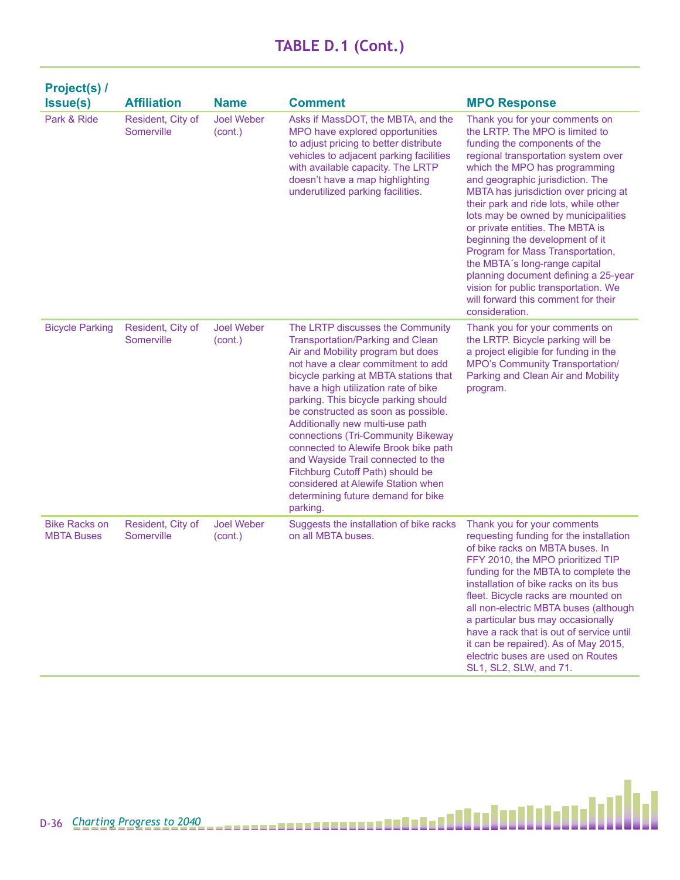| <b>Project(s) /</b><br><b>Issue(s)</b>    | <b>Affiliation</b>              | <b>Name</b>                  | <b>Comment</b>                                                                                                                                                                                                                                                                                                                                                                                                                                                                                                                                                                                            | <b>MPO Response</b>                                                                                                                                                                                                                                                                                                                                                                                                                                                                                                                                                                                                          |
|-------------------------------------------|---------------------------------|------------------------------|-----------------------------------------------------------------------------------------------------------------------------------------------------------------------------------------------------------------------------------------------------------------------------------------------------------------------------------------------------------------------------------------------------------------------------------------------------------------------------------------------------------------------------------------------------------------------------------------------------------|------------------------------------------------------------------------------------------------------------------------------------------------------------------------------------------------------------------------------------------------------------------------------------------------------------------------------------------------------------------------------------------------------------------------------------------------------------------------------------------------------------------------------------------------------------------------------------------------------------------------------|
| Park & Ride                               | Resident, City of<br>Somerville | <b>Joel Weber</b><br>(cont.) | Asks if MassDOT, the MBTA, and the<br>MPO have explored opportunities<br>to adjust pricing to better distribute<br>vehicles to adjacent parking facilities<br>with available capacity. The LRTP<br>doesn't have a map highlighting<br>underutilized parking facilities.                                                                                                                                                                                                                                                                                                                                   | Thank you for your comments on<br>the LRTP. The MPO is limited to<br>funding the components of the<br>regional transportation system over<br>which the MPO has programming<br>and geographic jurisdiction. The<br>MBTA has jurisdiction over pricing at<br>their park and ride lots, while other<br>lots may be owned by municipalities<br>or private entities. The MBTA is<br>beginning the development of it<br>Program for Mass Transportation,<br>the MBTA's long-range capital<br>planning document defining a 25-year<br>vision for public transportation. We<br>will forward this comment for their<br>consideration. |
| <b>Bicycle Parking</b>                    | Resident, City of<br>Somerville | <b>Joel Weber</b><br>(cont.) | The LRTP discusses the Community<br><b>Transportation/Parking and Clean</b><br>Air and Mobility program but does<br>not have a clear commitment to add<br>bicycle parking at MBTA stations that<br>have a high utilization rate of bike<br>parking. This bicycle parking should<br>be constructed as soon as possible.<br>Additionally new multi-use path<br>connections (Tri-Community Bikeway<br>connected to Alewife Brook bike path<br>and Wayside Trail connected to the<br>Fitchburg Cutoff Path) should be<br>considered at Alewife Station when<br>determining future demand for bike<br>parking. | Thank you for your comments on<br>the LRTP. Bicycle parking will be<br>a project eligible for funding in the<br><b>MPO's Community Transportation/</b><br>Parking and Clean Air and Mobility<br>program.                                                                                                                                                                                                                                                                                                                                                                                                                     |
| <b>Bike Racks on</b><br><b>MBTA Buses</b> | Resident, City of<br>Somerville | <b>Joel Weber</b><br>(cont.) | Suggests the installation of bike racks<br>on all MBTA buses.                                                                                                                                                                                                                                                                                                                                                                                                                                                                                                                                             | Thank you for your comments<br>requesting funding for the installation<br>of bike racks on MBTA buses. In<br>FFY 2010, the MPO prioritized TIP<br>funding for the MBTA to complete the<br>installation of bike racks on its bus<br>fleet. Bicycle racks are mounted on<br>all non-electric MBTA buses (although<br>a particular bus may occasionally<br>have a rack that is out of service until<br>it can be repaired). As of May 2015,<br>electric buses are used on Routes<br>SL1, SL2, SLW, and 71.                                                                                                                      |

М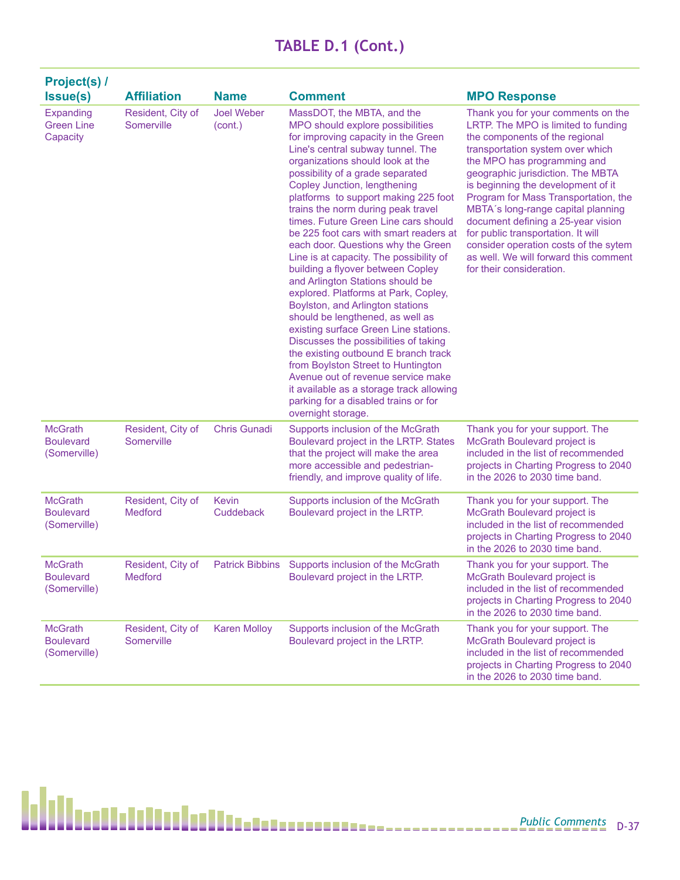| Project(s) /<br><b>Issue(s)</b>                    | <b>Affiliation</b>                  | <b>Name</b>                  | <b>Comment</b>                                                                                                                                                                                                                                                                                                                                                                                                                                                                                                                                                                                                                                                                                                                                                                                                                                                                                                                                                                                               | <b>MPO Response</b>                                                                                                                                                                                                                                                                                                                                                                                                                                                                                                               |
|----------------------------------------------------|-------------------------------------|------------------------------|--------------------------------------------------------------------------------------------------------------------------------------------------------------------------------------------------------------------------------------------------------------------------------------------------------------------------------------------------------------------------------------------------------------------------------------------------------------------------------------------------------------------------------------------------------------------------------------------------------------------------------------------------------------------------------------------------------------------------------------------------------------------------------------------------------------------------------------------------------------------------------------------------------------------------------------------------------------------------------------------------------------|-----------------------------------------------------------------------------------------------------------------------------------------------------------------------------------------------------------------------------------------------------------------------------------------------------------------------------------------------------------------------------------------------------------------------------------------------------------------------------------------------------------------------------------|
| Expanding<br><b>Green Line</b><br>Capacity         | Resident, City of<br>Somerville     | <b>Joel Weber</b><br>(cont.) | MassDOT, the MBTA, and the<br>MPO should explore possibilities<br>for improving capacity in the Green<br>Line's central subway tunnel. The<br>organizations should look at the<br>possibility of a grade separated<br>Copley Junction, lengthening<br>platforms to support making 225 foot<br>trains the norm during peak travel<br>times. Future Green Line cars should<br>be 225 foot cars with smart readers at<br>each door. Questions why the Green<br>Line is at capacity. The possibility of<br>building a flyover between Copley<br>and Arlington Stations should be<br>explored. Platforms at Park, Copley,<br>Boylston, and Arlington stations<br>should be lengthened, as well as<br>existing surface Green Line stations.<br>Discusses the possibilities of taking<br>the existing outbound E branch track<br>from Boylston Street to Huntington<br>Avenue out of revenue service make<br>it available as a storage track allowing<br>parking for a disabled trains or for<br>overnight storage. | Thank you for your comments on the<br>LRTP. The MPO is limited to funding<br>the components of the regional<br>transportation system over which<br>the MPO has programming and<br>geographic jurisdiction. The MBTA<br>is beginning the development of it<br>Program for Mass Transportation, the<br>MBTA's long-range capital planning<br>document defining a 25-year vision<br>for public transportation. It will<br>consider operation costs of the sytem<br>as well. We will forward this comment<br>for their consideration. |
| <b>McGrath</b><br><b>Boulevard</b><br>(Somerville) | Resident, City of<br>Somerville     | <b>Chris Gunadi</b>          | Supports inclusion of the McGrath<br>Boulevard project in the LRTP. States<br>that the project will make the area<br>more accessible and pedestrian-<br>friendly, and improve quality of life.                                                                                                                                                                                                                                                                                                                                                                                                                                                                                                                                                                                                                                                                                                                                                                                                               | Thank you for your support. The<br>McGrath Boulevard project is<br>included in the list of recommended<br>projects in Charting Progress to 2040<br>in the 2026 to 2030 time band.                                                                                                                                                                                                                                                                                                                                                 |
| <b>McGrath</b><br><b>Boulevard</b><br>(Somerville) | Resident, City of<br><b>Medford</b> | Kevin<br>Cuddeback           | Supports inclusion of the McGrath<br>Boulevard project in the LRTP.                                                                                                                                                                                                                                                                                                                                                                                                                                                                                                                                                                                                                                                                                                                                                                                                                                                                                                                                          | Thank you for your support. The<br>McGrath Boulevard project is<br>included in the list of recommended<br>projects in Charting Progress to 2040<br>in the 2026 to 2030 time band.                                                                                                                                                                                                                                                                                                                                                 |
| <b>McGrath</b><br><b>Boulevard</b><br>(Somerville) | Resident, City of<br>Medford        |                              | Patrick Bibbins Supports inclusion of the McGrath<br>Boulevard project in the LRTP.                                                                                                                                                                                                                                                                                                                                                                                                                                                                                                                                                                                                                                                                                                                                                                                                                                                                                                                          | Thank you for your support. The<br>McGrath Boulevard project is<br>included in the list of recommended<br>projects in Charting Progress to 2040<br>in the 2026 to 2030 time band.                                                                                                                                                                                                                                                                                                                                                 |
| <b>McGrath</b><br><b>Boulevard</b><br>(Somerville) | Resident, City of<br>Somerville     | <b>Karen Molloy</b>          | Supports inclusion of the McGrath<br>Boulevard project in the LRTP.                                                                                                                                                                                                                                                                                                                                                                                                                                                                                                                                                                                                                                                                                                                                                                                                                                                                                                                                          | Thank you for your support. The<br>McGrath Boulevard project is<br>included in the list of recommended<br>projects in Charting Progress to 2040<br>in the 2026 to 2030 time band.                                                                                                                                                                                                                                                                                                                                                 |

h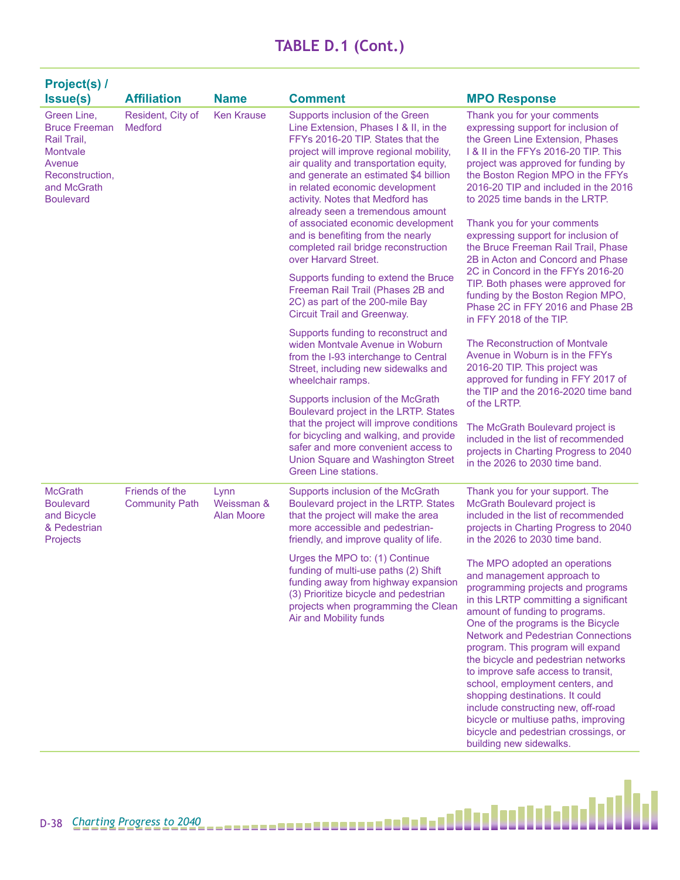| Project(s) /                                                                                                                          |                                         |                                  |                                                                                                                                                                                                                                                                                                                                                                                                                                                                                                                                                                                                                                                                                                                            |                                                                                                                                                                                                                                                                                                                                                                                                                                                                                                                                                                                                                                                                           |
|---------------------------------------------------------------------------------------------------------------------------------------|-----------------------------------------|----------------------------------|----------------------------------------------------------------------------------------------------------------------------------------------------------------------------------------------------------------------------------------------------------------------------------------------------------------------------------------------------------------------------------------------------------------------------------------------------------------------------------------------------------------------------------------------------------------------------------------------------------------------------------------------------------------------------------------------------------------------------|---------------------------------------------------------------------------------------------------------------------------------------------------------------------------------------------------------------------------------------------------------------------------------------------------------------------------------------------------------------------------------------------------------------------------------------------------------------------------------------------------------------------------------------------------------------------------------------------------------------------------------------------------------------------------|
| <b>Issue(s)</b>                                                                                                                       | <b>Affiliation</b>                      | <b>Name</b>                      | <b>Comment</b>                                                                                                                                                                                                                                                                                                                                                                                                                                                                                                                                                                                                                                                                                                             | <b>MPO Response</b>                                                                                                                                                                                                                                                                                                                                                                                                                                                                                                                                                                                                                                                       |
| Green Line,<br><b>Bruce Freeman</b><br>Rail Trail,<br><b>Montvale</b><br>Avenue<br>Reconstruction,<br>and McGrath<br><b>Boulevard</b> | Resident, City of<br><b>Medford</b>     | <b>Ken Krause</b>                | Supports inclusion of the Green<br>Line Extension, Phases I & II, in the<br>FFYs 2016-20 TIP. States that the<br>project will improve regional mobility,<br>air quality and transportation equity,<br>and generate an estimated \$4 billion<br>in related economic development<br>activity. Notes that Medford has<br>already seen a tremendous amount<br>of associated economic development<br>and is benefiting from the nearly<br>completed rail bridge reconstruction<br>over Harvard Street.<br>Supports funding to extend the Bruce<br>Freeman Rail Trail (Phases 2B and<br>2C) as part of the 200-mile Bay<br>Circuit Trail and Greenway.<br>Supports funding to reconstruct and<br>widen Montvale Avenue in Woburn | Thank you for your comments<br>expressing support for inclusion of<br>the Green Line Extension, Phases<br>1 & II in the FFYs 2016-20 TIP. This<br>project was approved for funding by<br>the Boston Region MPO in the FFYs<br>2016-20 TIP and included in the 2016<br>to 2025 time bands in the LRTP.<br>Thank you for your comments<br>expressing support for inclusion of<br>the Bruce Freeman Rail Trail, Phase<br>2B in Acton and Concord and Phase<br>2C in Concord in the FFYs 2016-20<br>TIP. Both phases were approved for<br>funding by the Boston Region MPO,<br>Phase 2C in FFY 2016 and Phase 2B<br>in FFY 2018 of the TIP.<br>The Reconstruction of Montvale |
|                                                                                                                                       |                                         |                                  | from the I-93 interchange to Central<br>Street, including new sidewalks and<br>wheelchair ramps.<br>Supports inclusion of the McGrath                                                                                                                                                                                                                                                                                                                                                                                                                                                                                                                                                                                      | Avenue in Woburn is in the FFYs<br>2016-20 TIP. This project was<br>approved for funding in FFY 2017 of<br>the TIP and the 2016-2020 time band                                                                                                                                                                                                                                                                                                                                                                                                                                                                                                                            |
|                                                                                                                                       |                                         |                                  | Boulevard project in the LRTP. States<br>that the project will improve conditions<br>for bicycling and walking, and provide<br>safer and more convenient access to<br>Union Square and Washington Street<br>Green Line stations.                                                                                                                                                                                                                                                                                                                                                                                                                                                                                           | of the LRTP.<br>The McGrath Boulevard project is<br>included in the list of recommended<br>projects in Charting Progress to 2040<br>in the 2026 to 2030 time band.                                                                                                                                                                                                                                                                                                                                                                                                                                                                                                        |
| <b>McGrath</b><br><b>Boulevard</b><br>and Bicycle<br>& Pedestrian<br>Projects                                                         | Friends of the<br><b>Community Path</b> | Lynn<br>Weissman &<br>Alan Moore | Supports inclusion of the McGrath<br>Boulevard project in the LRTP. States<br>that the project will make the area<br>more accessible and pedestrian-<br>friendly, and improve quality of life.                                                                                                                                                                                                                                                                                                                                                                                                                                                                                                                             | Thank you for your support. The<br>McGrath Boulevard project is<br>included in the list of recommended<br>projects in Charting Progress to 2040<br>in the 2026 to 2030 time band.                                                                                                                                                                                                                                                                                                                                                                                                                                                                                         |
|                                                                                                                                       |                                         |                                  | Urges the MPO to: (1) Continue<br>funding of multi-use paths (2) Shift<br>funding away from highway expansion<br>(3) Prioritize bicycle and pedestrian<br>projects when programming the Clean<br>Air and Mobility funds                                                                                                                                                                                                                                                                                                                                                                                                                                                                                                    | The MPO adopted an operations<br>and management approach to<br>programming projects and programs<br>in this LRTP committing a significant<br>amount of funding to programs.<br>One of the programs is the Bicycle<br><b>Network and Pedestrian Connections</b><br>program. This program will expand<br>the bicycle and pedestrian networks<br>to improve safe access to transit,<br>school, employment centers, and<br>shopping destinations. It could<br>include constructing new, off-road<br>bicycle or multiuse paths, improving<br>bicycle and pedestrian crossings, or<br>building new sidewalks.                                                                   |

Ы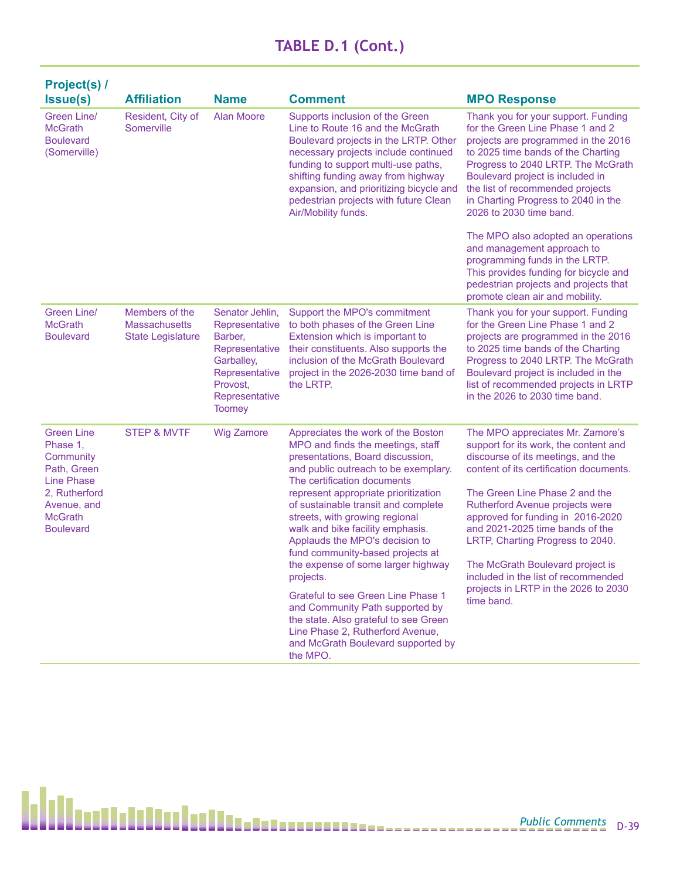| <b>Project(s) /</b><br><b>Issue(s)</b>                                                                                                               | <b>Affiliation</b>                                          | <b>Name</b>                                                                                                                                   | <b>Comment</b>                                                                                                                                                                                                                                                                                                                                                                                                                                                                                                                                                                                                                                                           | <b>MPO Response</b>                                                                                                                                                                                                                                                                                                                                                                                                                                                          |
|------------------------------------------------------------------------------------------------------------------------------------------------------|-------------------------------------------------------------|-----------------------------------------------------------------------------------------------------------------------------------------------|--------------------------------------------------------------------------------------------------------------------------------------------------------------------------------------------------------------------------------------------------------------------------------------------------------------------------------------------------------------------------------------------------------------------------------------------------------------------------------------------------------------------------------------------------------------------------------------------------------------------------------------------------------------------------|------------------------------------------------------------------------------------------------------------------------------------------------------------------------------------------------------------------------------------------------------------------------------------------------------------------------------------------------------------------------------------------------------------------------------------------------------------------------------|
| Green Line/<br><b>McGrath</b><br><b>Boulevard</b><br>(Somerville)                                                                                    | Resident, City of<br>Somerville                             | <b>Alan Moore</b>                                                                                                                             | Supports inclusion of the Green<br>Line to Route 16 and the McGrath<br>Boulevard projects in the LRTP. Other<br>necessary projects include continued<br>funding to support multi-use paths,<br>shifting funding away from highway<br>expansion, and prioritizing bicycle and<br>pedestrian projects with future Clean<br>Air/Mobility funds.                                                                                                                                                                                                                                                                                                                             | Thank you for your support. Funding<br>for the Green Line Phase 1 and 2<br>projects are programmed in the 2016<br>to 2025 time bands of the Charting<br>Progress to 2040 LRTP. The McGrath<br>Boulevard project is included in<br>the list of recommended projects<br>in Charting Progress to 2040 in the<br>2026 to 2030 time band.                                                                                                                                         |
|                                                                                                                                                      |                                                             |                                                                                                                                               |                                                                                                                                                                                                                                                                                                                                                                                                                                                                                                                                                                                                                                                                          | The MPO also adopted an operations<br>and management approach to<br>programming funds in the LRTP.<br>This provides funding for bicycle and<br>pedestrian projects and projects that<br>promote clean air and mobility.                                                                                                                                                                                                                                                      |
| Green Line/<br><b>McGrath</b><br><b>Boulevard</b>                                                                                                    | Members of the<br>Massachusetts<br><b>State Legislature</b> | Senator Jehlin,<br>Representative<br>Barber,<br>Representative<br>Garballey,<br>Representative<br>Provost.<br>Representative<br><b>Toomey</b> | Support the MPO's commitment<br>to both phases of the Green Line<br>Extension which is important to<br>their constituents. Also supports the<br>inclusion of the McGrath Boulevard<br>project in the 2026-2030 time band of<br>the LRTP.                                                                                                                                                                                                                                                                                                                                                                                                                                 | Thank you for your support. Funding<br>for the Green Line Phase 1 and 2<br>projects are programmed in the 2016<br>to 2025 time bands of the Charting<br>Progress to 2040 LRTP. The McGrath<br>Boulevard project is included in the<br>list of recommended projects in LRTP<br>in the 2026 to 2030 time band.                                                                                                                                                                 |
| <b>Green Line</b><br>Phase 1,<br>Community<br>Path, Green<br><b>Line Phase</b><br>2, Rutherford<br>Avenue, and<br><b>McGrath</b><br><b>Boulevard</b> | <b>STEP &amp; MVTF</b>                                      | <b>Wig Zamore</b>                                                                                                                             | Appreciates the work of the Boston<br>MPO and finds the meetings, staff<br>presentations, Board discussion,<br>and public outreach to be exemplary.<br>The certification documents<br>represent appropriate prioritization<br>of sustainable transit and complete<br>streets, with growing regional<br>walk and bike facility emphasis.<br>Applauds the MPO's decision to<br>fund community-based projects at<br>the expense of some larger highway<br>projects.<br>Grateful to see Green Line Phase 1<br>and Community Path supported by<br>the state. Also grateful to see Green<br>Line Phase 2, Rutherford Avenue,<br>and McGrath Boulevard supported by<br>the MPO. | The MPO appreciates Mr. Zamore's<br>support for its work, the content and<br>discourse of its meetings, and the<br>content of its certification documents.<br>The Green Line Phase 2 and the<br>Rutherford Avenue projects were<br>approved for funding in 2016-2020<br>and 2021-2025 time bands of the<br>LRTP, Charting Progress to 2040.<br>The McGrath Boulevard project is<br>included in the list of recommended<br>projects in LRTP in the 2026 to 2030<br>time band. |

Ъ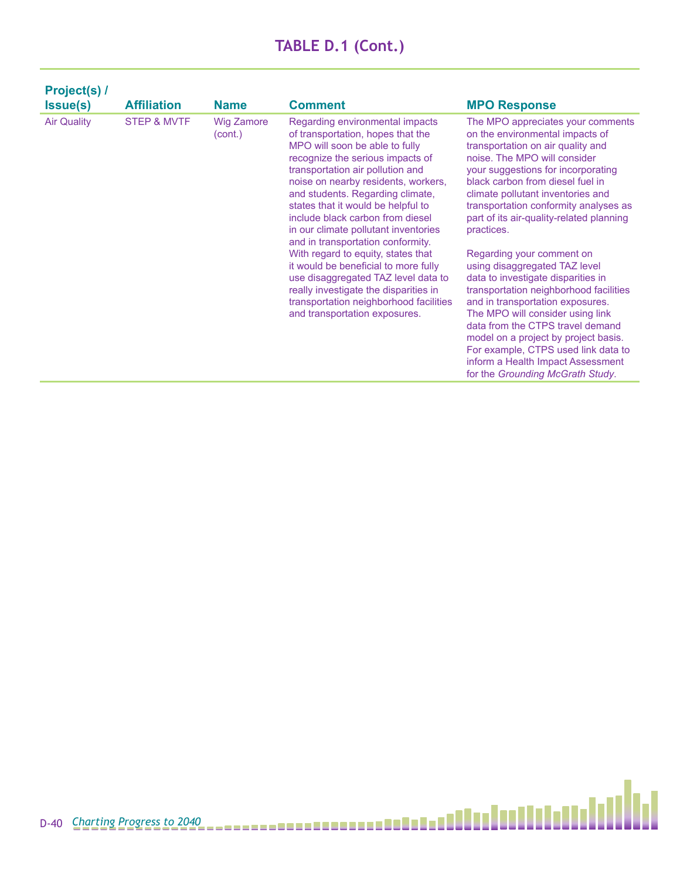| Project(s) /<br><b>Issue(s)</b> | <b>Affiliation</b>     | <b>Name</b>                  | <b>Comment</b>                                                                                                                                                                                                                                                                                                                                                                                                                                                                                                                                                                                                                                            | <b>MPO Response</b>                                                                                                                                                                                                                                                                                                                                                                                                                                                                                                                                                                                                                                                                                                                                                           |
|---------------------------------|------------------------|------------------------------|-----------------------------------------------------------------------------------------------------------------------------------------------------------------------------------------------------------------------------------------------------------------------------------------------------------------------------------------------------------------------------------------------------------------------------------------------------------------------------------------------------------------------------------------------------------------------------------------------------------------------------------------------------------|-------------------------------------------------------------------------------------------------------------------------------------------------------------------------------------------------------------------------------------------------------------------------------------------------------------------------------------------------------------------------------------------------------------------------------------------------------------------------------------------------------------------------------------------------------------------------------------------------------------------------------------------------------------------------------------------------------------------------------------------------------------------------------|
| <b>Air Quality</b>              | <b>STEP &amp; MVTF</b> | <b>Wig Zamore</b><br>(cont.) | Regarding environmental impacts<br>of transportation, hopes that the<br>MPO will soon be able to fully<br>recognize the serious impacts of<br>transportation air pollution and<br>noise on nearby residents, workers,<br>and students. Regarding climate,<br>states that it would be helpful to<br>include black carbon from diesel<br>in our climate pollutant inventories<br>and in transportation conformity.<br>With regard to equity, states that<br>it would be beneficial to more fully<br>use disaggregated TAZ level data to<br>really investigate the disparities in<br>transportation neighborhood facilities<br>and transportation exposures. | The MPO appreciates your comments<br>on the environmental impacts of<br>transportation on air quality and<br>noise. The MPO will consider<br>your suggestions for incorporating<br>black carbon from diesel fuel in<br>climate pollutant inventories and<br>transportation conformity analyses as<br>part of its air-quality-related planning<br>practices.<br>Regarding your comment on<br>using disaggregated TAZ level<br>data to investigate disparities in<br>transportation neighborhood facilities<br>and in transportation exposures.<br>The MPO will consider using link<br>data from the CTPS travel demand<br>model on a project by project basis.<br>For example, CTPS used link data to<br>inform a Health Impact Assessment<br>for the Grounding McGrath Study. |

Ы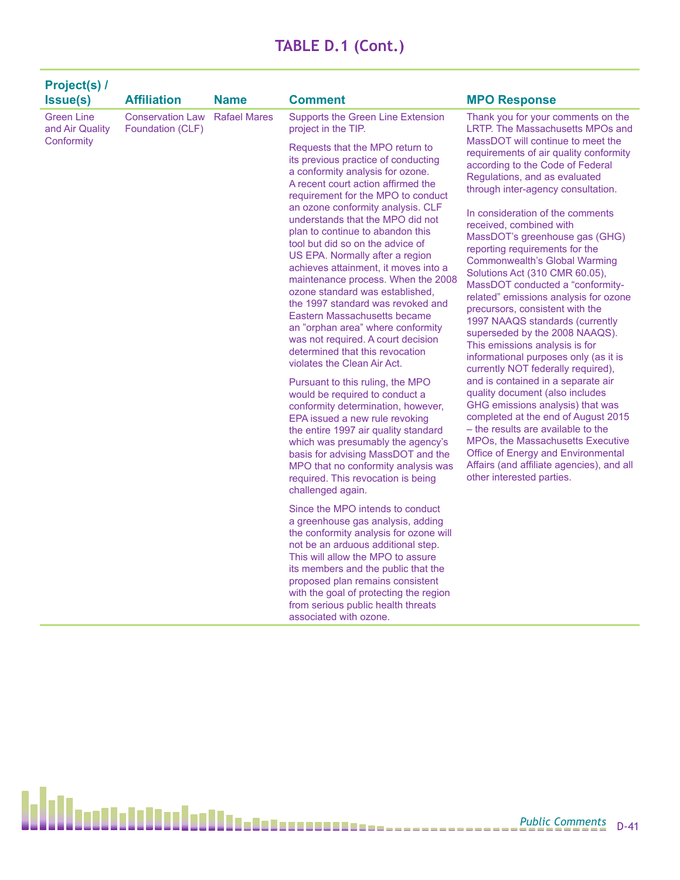| Project(s) /                         |                                             |                     |                                                                                                                                                                                                                                                                                                                                                                                                                                                                                                                                                                                                                                                                                                                                                                                                                                                                                                                                                                                                                                                                                                                                                           |                                                                                                                                                                                                                                                                                                                                                                                                                                                                                                                                                                                                                                                                                                                                                                                                                                                                                                                                                                                                                                                                 |
|--------------------------------------|---------------------------------------------|---------------------|-----------------------------------------------------------------------------------------------------------------------------------------------------------------------------------------------------------------------------------------------------------------------------------------------------------------------------------------------------------------------------------------------------------------------------------------------------------------------------------------------------------------------------------------------------------------------------------------------------------------------------------------------------------------------------------------------------------------------------------------------------------------------------------------------------------------------------------------------------------------------------------------------------------------------------------------------------------------------------------------------------------------------------------------------------------------------------------------------------------------------------------------------------------|-----------------------------------------------------------------------------------------------------------------------------------------------------------------------------------------------------------------------------------------------------------------------------------------------------------------------------------------------------------------------------------------------------------------------------------------------------------------------------------------------------------------------------------------------------------------------------------------------------------------------------------------------------------------------------------------------------------------------------------------------------------------------------------------------------------------------------------------------------------------------------------------------------------------------------------------------------------------------------------------------------------------------------------------------------------------|
| <b>Issue(s)</b>                      | <b>Affiliation</b>                          | <b>Name</b>         | <b>Comment</b>                                                                                                                                                                                                                                                                                                                                                                                                                                                                                                                                                                                                                                                                                                                                                                                                                                                                                                                                                                                                                                                                                                                                            | <b>MPO Response</b>                                                                                                                                                                                                                                                                                                                                                                                                                                                                                                                                                                                                                                                                                                                                                                                                                                                                                                                                                                                                                                             |
| <b>Green Line</b><br>and Air Quality | <b>Conservation Law</b><br>Foundation (CLF) | <b>Rafael Mares</b> | <b>Supports the Green Line Extension</b><br>project in the TIP.                                                                                                                                                                                                                                                                                                                                                                                                                                                                                                                                                                                                                                                                                                                                                                                                                                                                                                                                                                                                                                                                                           | Thank you for your comments on the<br>LRTP. The Massachusetts MPOs and                                                                                                                                                                                                                                                                                                                                                                                                                                                                                                                                                                                                                                                                                                                                                                                                                                                                                                                                                                                          |
| Conformity                           |                                             |                     | Requests that the MPO return to<br>its previous practice of conducting<br>a conformity analysis for ozone.<br>A recent court action affirmed the<br>requirement for the MPO to conduct<br>an ozone conformity analysis. CLF<br>understands that the MPO did not<br>plan to continue to abandon this<br>tool but did so on the advice of<br>US EPA. Normally after a region<br>achieves attainment, it moves into a<br>maintenance process. When the 2008<br>ozone standard was established.<br>the 1997 standard was revoked and<br>Eastern Massachusetts became<br>an "orphan area" where conformity<br>was not required. A court decision<br>determined that this revocation<br>violates the Clean Air Act.<br>Pursuant to this ruling, the MPO<br>would be required to conduct a<br>conformity determination, however,<br>EPA issued a new rule revoking<br>the entire 1997 air quality standard<br>which was presumably the agency's<br>basis for advising MassDOT and the<br>MPO that no conformity analysis was<br>required. This revocation is being<br>challenged again.<br>Since the MPO intends to conduct<br>a greenhouse gas analysis, adding | MassDOT will continue to meet the<br>requirements of air quality conformity<br>according to the Code of Federal<br>Regulations, and as evaluated<br>through inter-agency consultation.<br>In consideration of the comments<br>received, combined with<br>MassDOT's greenhouse gas (GHG)<br>reporting requirements for the<br><b>Commonwealth's Global Warming</b><br>Solutions Act (310 CMR 60.05),<br>MassDOT conducted a "conformity-<br>related" emissions analysis for ozone<br>precursors, consistent with the<br>1997 NAAQS standards (currently<br>superseded by the 2008 NAAQS).<br>This emissions analysis is for<br>informational purposes only (as it is<br>currently NOT federally required),<br>and is contained in a separate air<br>quality document (also includes<br>GHG emissions analysis) that was<br>completed at the end of August 2015<br>- the results are available to the<br><b>MPOs, the Massachusetts Executive</b><br>Office of Energy and Environmental<br>Affairs (and affiliate agencies), and all<br>other interested parties. |
|                                      |                                             |                     | the conformity analysis for ozone will<br>not be an arduous additional step.<br>This will allow the MPO to assure<br>its members and the public that the<br>proposed plan remains consistent<br>with the goal of protecting the region                                                                                                                                                                                                                                                                                                                                                                                                                                                                                                                                                                                                                                                                                                                                                                                                                                                                                                                    |                                                                                                                                                                                                                                                                                                                                                                                                                                                                                                                                                                                                                                                                                                                                                                                                                                                                                                                                                                                                                                                                 |
|                                      |                                             |                     | from serious public health threats<br>associated with ozone.                                                                                                                                                                                                                                                                                                                                                                                                                                                                                                                                                                                                                                                                                                                                                                                                                                                                                                                                                                                                                                                                                              |                                                                                                                                                                                                                                                                                                                                                                                                                                                                                                                                                                                                                                                                                                                                                                                                                                                                                                                                                                                                                                                                 |

h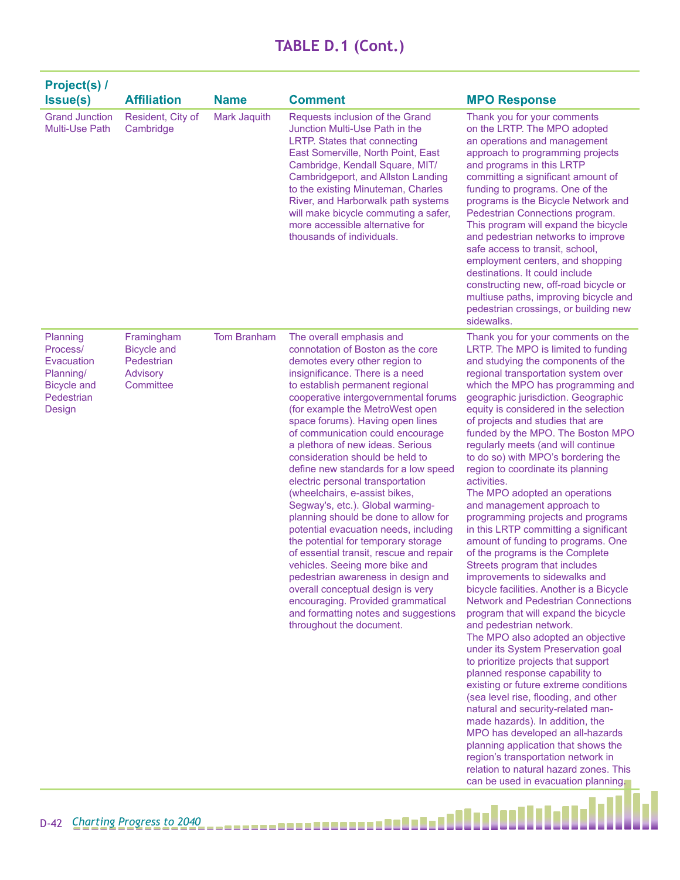| Project(s) /<br><b>Issue(s)</b>                                                               | <b>Affiliation</b>                                                      | <b>Name</b>        | <b>Comment</b>                                                                                                                                                                                                                                                                                                                                                                                                                                                                                                                                                                                                                                                                                                                                                                                                                                                                                                                           | <b>MPO Response</b>                                                                                                                                                                                                                                                                                                                                                                                                                                                                                                                                                                                                                                                                                                                                                                                                                                                                                                                                                                                                                                                                                                                                                                                                                                                                                                                                                                                                                                     |
|-----------------------------------------------------------------------------------------------|-------------------------------------------------------------------------|--------------------|------------------------------------------------------------------------------------------------------------------------------------------------------------------------------------------------------------------------------------------------------------------------------------------------------------------------------------------------------------------------------------------------------------------------------------------------------------------------------------------------------------------------------------------------------------------------------------------------------------------------------------------------------------------------------------------------------------------------------------------------------------------------------------------------------------------------------------------------------------------------------------------------------------------------------------------|---------------------------------------------------------------------------------------------------------------------------------------------------------------------------------------------------------------------------------------------------------------------------------------------------------------------------------------------------------------------------------------------------------------------------------------------------------------------------------------------------------------------------------------------------------------------------------------------------------------------------------------------------------------------------------------------------------------------------------------------------------------------------------------------------------------------------------------------------------------------------------------------------------------------------------------------------------------------------------------------------------------------------------------------------------------------------------------------------------------------------------------------------------------------------------------------------------------------------------------------------------------------------------------------------------------------------------------------------------------------------------------------------------------------------------------------------------|
| <b>Grand Junction</b><br>Multi-Use Path                                                       | Resident, City of<br>Cambridge                                          | Mark Jaquith       | Requests inclusion of the Grand<br>Junction Multi-Use Path in the<br>LRTP. States that connecting<br>East Somerville, North Point, East<br>Cambridge, Kendall Square, MIT/<br>Cambridgeport, and Allston Landing<br>to the existing Minuteman, Charles<br>River, and Harborwalk path systems<br>will make bicycle commuting a safer,<br>more accessible alternative for<br>thousands of individuals.                                                                                                                                                                                                                                                                                                                                                                                                                                                                                                                                     | Thank you for your comments<br>on the LRTP. The MPO adopted<br>an operations and management<br>approach to programming projects<br>and programs in this LRTP<br>committing a significant amount of<br>funding to programs. One of the<br>programs is the Bicycle Network and<br>Pedestrian Connections program.<br>This program will expand the bicycle<br>and pedestrian networks to improve<br>safe access to transit, school,<br>employment centers, and shopping<br>destinations. It could include<br>constructing new, off-road bicycle or<br>multiuse paths, improving bicycle and<br>pedestrian crossings, or building new<br>sidewalks.                                                                                                                                                                                                                                                                                                                                                                                                                                                                                                                                                                                                                                                                                                                                                                                                         |
| Planning<br>Process/<br>Evacuation<br>Planning/<br><b>Bicycle and</b><br>Pedestrian<br>Design | Framingham<br><b>Bicycle and</b><br>Pedestrian<br>Advisory<br>Committee | <b>Tom Branham</b> | The overall emphasis and<br>connotation of Boston as the core<br>demotes every other region to<br>insignificance. There is a need<br>to establish permanent regional<br>cooperative intergovernmental forums<br>(for example the MetroWest open<br>space forums). Having open lines<br>of communication could encourage<br>a plethora of new ideas. Serious<br>consideration should be held to<br>define new standards for a low speed<br>electric personal transportation<br>(wheelchairs, e-assist bikes,<br>Segway's, etc.). Global warming-<br>planning should be done to allow for<br>potential evacuation needs, including<br>the potential for temporary storage<br>of essential transit, rescue and repair<br>vehicles. Seeing more bike and<br>pedestrian awareness in design and<br>overall conceptual design is very<br>encouraging. Provided grammatical<br>and formatting notes and suggestions<br>throughout the document. | Thank you for your comments on the<br>LRTP. The MPO is limited to funding<br>and studying the components of the<br>regional transportation system over<br>which the MPO has programming and<br>geographic jurisdiction. Geographic<br>equity is considered in the selection<br>of projects and studies that are<br>funded by the MPO. The Boston MPO<br>regularly meets (and will continue<br>to do so) with MPO's bordering the<br>region to coordinate its planning<br>activities.<br>The MPO adopted an operations<br>and management approach to<br>programming projects and programs<br>in this LRTP committing a significant<br>amount of funding to programs. One<br>of the programs is the Complete<br>Streets program that includes<br>improvements to sidewalks and<br>bicycle facilities. Another is a Bicycle<br><b>Network and Pedestrian Connections</b><br>program that will expand the bicycle<br>and pedestrian network.<br>The MPO also adopted an objective<br>under its System Preservation goal<br>to prioritize projects that support<br>planned response capability to<br>existing or future extreme conditions<br>(sea level rise, flooding, and other<br>natural and security-related man-<br>made hazards). In addition, the<br>MPO has developed an all-hazards<br>planning application that shows the<br>region's transportation network in<br>relation to natural hazard zones. This<br>can be used in evacuation planning. |

i.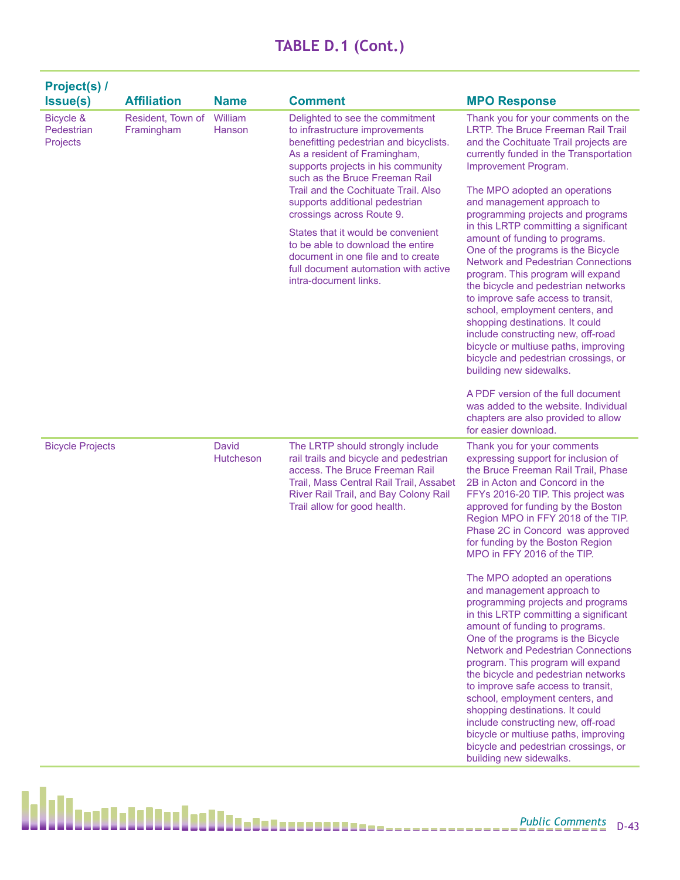|                                     | Project(s) /                    |                    |                                                                                                                                                                                                                     |                                                                                                                                                                                                                                                                                                                                                                                                                                                                                                     |                                                                                                                                                                                                                                                                                                                                                                                                                                                                                                                                                                                                         |
|-------------------------------------|---------------------------------|--------------------|---------------------------------------------------------------------------------------------------------------------------------------------------------------------------------------------------------------------|-----------------------------------------------------------------------------------------------------------------------------------------------------------------------------------------------------------------------------------------------------------------------------------------------------------------------------------------------------------------------------------------------------------------------------------------------------------------------------------------------------|---------------------------------------------------------------------------------------------------------------------------------------------------------------------------------------------------------------------------------------------------------------------------------------------------------------------------------------------------------------------------------------------------------------------------------------------------------------------------------------------------------------------------------------------------------------------------------------------------------|
|                                     | Issue(s)                        | <b>Affiliation</b> | <b>Name</b>                                                                                                                                                                                                         | <b>Comment</b>                                                                                                                                                                                                                                                                                                                                                                                                                                                                                      | <b>MPO Response</b>                                                                                                                                                                                                                                                                                                                                                                                                                                                                                                                                                                                     |
| Bicycle &<br>Pedestrian<br>Projects | Resident, Town of<br>Framingham | William<br>Hanson  | Delighted to see the commitment<br>to infrastructure improvements<br>benefitting pedestrian and bicyclists.<br>As a resident of Framingham,<br>supports projects in his community<br>such as the Bruce Freeman Rail | Thank you for your comments on the<br><b>LRTP. The Bruce Freeman Rail Trail</b><br>and the Cochituate Trail projects are<br>currently funded in the Transportation<br>Improvement Program.                                                                                                                                                                                                                                                                                                          |                                                                                                                                                                                                                                                                                                                                                                                                                                                                                                                                                                                                         |
|                                     |                                 |                    |                                                                                                                                                                                                                     | Trail and the Cochituate Trail. Also<br>supports additional pedestrian<br>crossings across Route 9.                                                                                                                                                                                                                                                                                                                                                                                                 | The MPO adopted an operations<br>and management approach to<br>programming projects and programs                                                                                                                                                                                                                                                                                                                                                                                                                                                                                                        |
|                                     |                                 |                    | States that it would be convenient<br>to be able to download the entire<br>document in one file and to create<br>full document automation with active<br>intra-document links.                                      | in this LRTP committing a significant<br>amount of funding to programs.<br>One of the programs is the Bicycle<br><b>Network and Pedestrian Connections</b><br>program. This program will expand<br>the bicycle and pedestrian networks<br>to improve safe access to transit,<br>school, employment centers, and<br>shopping destinations. It could<br>include constructing new, off-road<br>bicycle or multiuse paths, improving<br>bicycle and pedestrian crossings, or<br>building new sidewalks. |                                                                                                                                                                                                                                                                                                                                                                                                                                                                                                                                                                                                         |
|                                     |                                 |                    |                                                                                                                                                                                                                     |                                                                                                                                                                                                                                                                                                                                                                                                                                                                                                     | A PDF version of the full document<br>was added to the website. Individual<br>chapters are also provided to allow<br>for easier download.                                                                                                                                                                                                                                                                                                                                                                                                                                                               |
|                                     | <b>Bicycle Projects</b>         |                    | <b>David</b><br><b>Hutcheson</b>                                                                                                                                                                                    | The LRTP should strongly include<br>rail trails and bicycle and pedestrian<br>access. The Bruce Freeman Rail<br>Trail, Mass Central Rail Trail, Assabet<br>River Rail Trail, and Bay Colony Rail<br>Trail allow for good health.                                                                                                                                                                                                                                                                    | Thank you for your comments<br>expressing support for inclusion of<br>the Bruce Freeman Rail Trail, Phase<br>2B in Acton and Concord in the<br>FFYs 2016-20 TIP. This project was<br>approved for funding by the Boston<br>Region MPO in FFY 2018 of the TIP.<br>Phase 2C in Concord was approved<br>for funding by the Boston Region<br>MPO in FFY 2016 of the TIP.                                                                                                                                                                                                                                    |
|                                     |                                 |                    |                                                                                                                                                                                                                     |                                                                                                                                                                                                                                                                                                                                                                                                                                                                                                     | The MPO adopted an operations<br>and management approach to<br>programming projects and programs<br>in this LRTP committing a significant<br>amount of funding to programs.<br>One of the programs is the Bicycle<br><b>Network and Pedestrian Connections</b><br>program. This program will expand<br>the bicycle and pedestrian networks<br>to improve safe access to transit,<br>school, employment centers, and<br>shopping destinations. It could<br>include constructing new, off-road<br>bicycle or multiuse paths, improving<br>bicycle and pedestrian crossings, or<br>building new sidewalks. |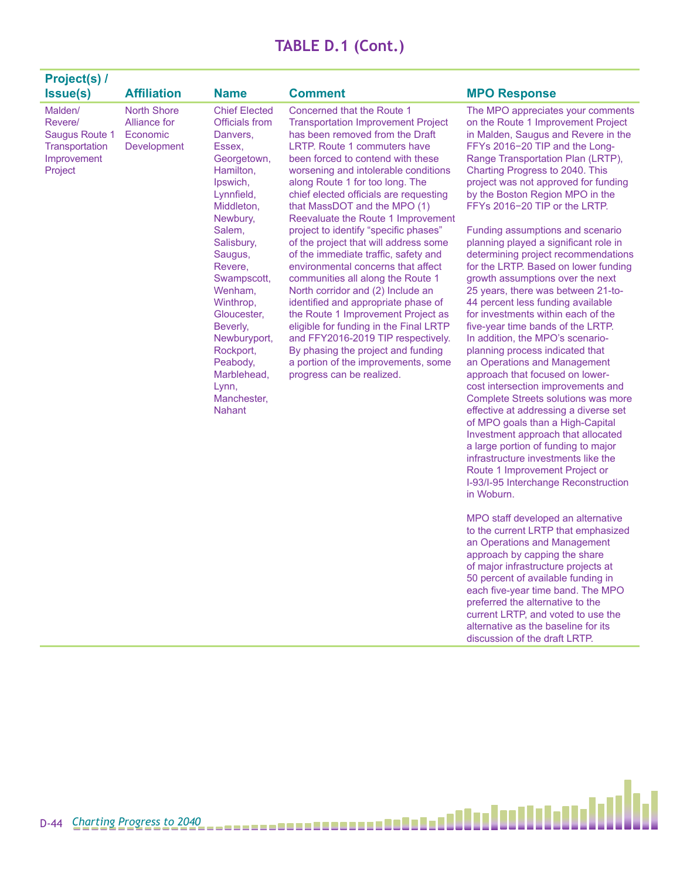| <b>Project(s) /</b>                                                              |                                                               |                                                                                                                                                                                                                                                                                                                                                        |                                                                                                                                                                                                                                                                                                                                                                                                                                                                                                                                                                                                                                                                                                                                                                                                                                                                                             |                                                                                                                                                                                                                                                                                                                                                                                                                                                                                                                                                                                                                                                                                                                                                                                                                                                                                                                                                                                                                                                                                                                                                                                                                                                                                                                                                                                                                                       |
|----------------------------------------------------------------------------------|---------------------------------------------------------------|--------------------------------------------------------------------------------------------------------------------------------------------------------------------------------------------------------------------------------------------------------------------------------------------------------------------------------------------------------|---------------------------------------------------------------------------------------------------------------------------------------------------------------------------------------------------------------------------------------------------------------------------------------------------------------------------------------------------------------------------------------------------------------------------------------------------------------------------------------------------------------------------------------------------------------------------------------------------------------------------------------------------------------------------------------------------------------------------------------------------------------------------------------------------------------------------------------------------------------------------------------------|---------------------------------------------------------------------------------------------------------------------------------------------------------------------------------------------------------------------------------------------------------------------------------------------------------------------------------------------------------------------------------------------------------------------------------------------------------------------------------------------------------------------------------------------------------------------------------------------------------------------------------------------------------------------------------------------------------------------------------------------------------------------------------------------------------------------------------------------------------------------------------------------------------------------------------------------------------------------------------------------------------------------------------------------------------------------------------------------------------------------------------------------------------------------------------------------------------------------------------------------------------------------------------------------------------------------------------------------------------------------------------------------------------------------------------------|
| <b>Issue(s)</b>                                                                  | <b>Affiliation</b>                                            | <b>Name</b>                                                                                                                                                                                                                                                                                                                                            | <b>Comment</b>                                                                                                                                                                                                                                                                                                                                                                                                                                                                                                                                                                                                                                                                                                                                                                                                                                                                              | <b>MPO Response</b>                                                                                                                                                                                                                                                                                                                                                                                                                                                                                                                                                                                                                                                                                                                                                                                                                                                                                                                                                                                                                                                                                                                                                                                                                                                                                                                                                                                                                   |
| Malden/<br>Revere/<br>Saugus Route 1<br>Transportation<br>Improvement<br>Project | <b>North Shore</b><br>Alliance for<br>Economic<br>Development | <b>Chief Elected</b><br>Officials from<br>Danvers,<br>Essex,<br>Georgetown,<br>Hamilton,<br>Ipswich,<br>Lynnfield,<br>Middleton,<br>Newbury,<br>Salem,<br>Salisbury,<br>Saugus,<br>Revere,<br>Swampscott,<br>Wenham,<br>Winthrop,<br>Gloucester,<br>Beverly,<br>Newburyport,<br>Rockport,<br>Peabody,<br>Marblehead,<br>Lynn,<br>Manchester,<br>Nahant | Concerned that the Route 1<br><b>Transportation Improvement Project</b><br>has been removed from the Draft<br>LRTP. Route 1 commuters have<br>been forced to contend with these<br>worsening and intolerable conditions<br>along Route 1 for too long. The<br>chief elected officials are requesting<br>that MassDOT and the MPO (1)<br>Reevaluate the Route 1 Improvement<br>project to identify "specific phases"<br>of the project that will address some<br>of the immediate traffic, safety and<br>environmental concerns that affect<br>communities all along the Route 1<br>North corridor and (2) Include an<br>identified and appropriate phase of<br>the Route 1 Improvement Project as<br>eligible for funding in the Final LRTP<br>and FFY2016-2019 TIP respectively.<br>By phasing the project and funding<br>a portion of the improvements, some<br>progress can be realized. | The MPO appreciates your comments<br>on the Route 1 Improvement Project<br>in Malden, Saugus and Revere in the<br>FFYs 2016-20 TIP and the Long-<br>Range Transportation Plan (LRTP),<br>Charting Progress to 2040. This<br>project was not approved for funding<br>by the Boston Region MPO in the<br>FFYs 2016-20 TIP or the LRTP.<br>Funding assumptions and scenario<br>planning played a significant role in<br>determining project recommendations<br>for the LRTP. Based on lower funding<br>growth assumptions over the next<br>25 years, there was between 21-to-<br>44 percent less funding available<br>for investments within each of the<br>five-year time bands of the LRTP.<br>In addition, the MPO's scenario-<br>planning process indicated that<br>an Operations and Management<br>approach that focused on lower-<br>cost intersection improvements and<br>Complete Streets solutions was more<br>effective at addressing a diverse set<br>of MPO goals than a High-Capital<br>Investment approach that allocated<br>a large portion of funding to major<br>infrastructure investments like the<br>Route 1 Improvement Project or<br>I-93/I-95 Interchange Reconstruction<br>in Woburn.<br>MPO staff developed an alternative<br>to the current LRTP that emphasized<br>an Operations and Management<br>approach by capping the share<br>of major infrastructure projects at<br>50 percent of available funding in |

each five-year time band. The MPO preferred the alternative to the current LRTP, and voted to use the alternative as the baseline for its discussion of the draft LRTP.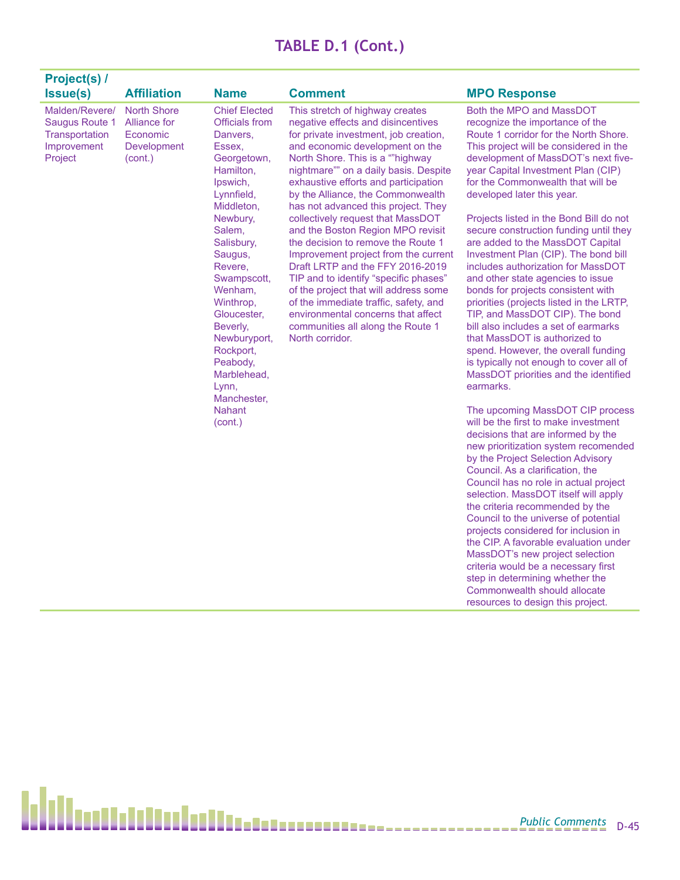| <b>Project(s) /</b>                                                          |                                                                          |                                                                                                                                                                                                                                                                                                                                                                                 |                                                                                                                                                                                                                                                                                                                                                                                                                                                                                                                                                                                                                                                                                                                                                                         |                                                                                                                                                                                                                                                                                                                                                                                                                                                                                                                                                                                                                                                                                                                                                                                                                                                                                                                                                                                                                                                                                                                                                                                                                                                                                                                                                                                                                                                                                                                                                    |
|------------------------------------------------------------------------------|--------------------------------------------------------------------------|---------------------------------------------------------------------------------------------------------------------------------------------------------------------------------------------------------------------------------------------------------------------------------------------------------------------------------------------------------------------------------|-------------------------------------------------------------------------------------------------------------------------------------------------------------------------------------------------------------------------------------------------------------------------------------------------------------------------------------------------------------------------------------------------------------------------------------------------------------------------------------------------------------------------------------------------------------------------------------------------------------------------------------------------------------------------------------------------------------------------------------------------------------------------|----------------------------------------------------------------------------------------------------------------------------------------------------------------------------------------------------------------------------------------------------------------------------------------------------------------------------------------------------------------------------------------------------------------------------------------------------------------------------------------------------------------------------------------------------------------------------------------------------------------------------------------------------------------------------------------------------------------------------------------------------------------------------------------------------------------------------------------------------------------------------------------------------------------------------------------------------------------------------------------------------------------------------------------------------------------------------------------------------------------------------------------------------------------------------------------------------------------------------------------------------------------------------------------------------------------------------------------------------------------------------------------------------------------------------------------------------------------------------------------------------------------------------------------------------|
| Issue(s)                                                                     | <b>Affiliation</b>                                                       | <b>Name</b>                                                                                                                                                                                                                                                                                                                                                                     | <b>Comment</b>                                                                                                                                                                                                                                                                                                                                                                                                                                                                                                                                                                                                                                                                                                                                                          | <b>MPO Response</b>                                                                                                                                                                                                                                                                                                                                                                                                                                                                                                                                                                                                                                                                                                                                                                                                                                                                                                                                                                                                                                                                                                                                                                                                                                                                                                                                                                                                                                                                                                                                |
| Malden/Revere/<br>Saugus Route 1<br>Transportation<br>Improvement<br>Project | <b>North Shore</b><br>Alliance for<br>Economic<br>Development<br>(cont.) | <b>Chief Elected</b><br><b>Officials from</b><br>Danvers,<br>Essex,<br>Georgetown,<br>Hamilton,<br>Ipswich,<br>Lynnfield,<br>Middleton,<br>Newbury,<br>Salem,<br>Salisbury,<br>Saugus,<br>Revere,<br>Swampscott,<br>Wenham,<br>Winthrop,<br>Gloucester,<br>Beverly,<br>Newburyport,<br>Rockport,<br>Peabody,<br>Marblehead,<br>Lynn,<br>Manchester,<br><b>Nahant</b><br>(cont.) | This stretch of highway creates<br>negative effects and disincentives<br>for private investment, job creation,<br>and economic development on the<br>North Shore. This is a ""highway<br>nightmare"" on a daily basis. Despite<br>exhaustive efforts and participation<br>by the Alliance, the Commonwealth<br>has not advanced this project. They<br>collectively request that MassDOT<br>and the Boston Region MPO revisit<br>the decision to remove the Route 1<br>Improvement project from the current<br>Draft LRTP and the FFY 2016-2019<br>TIP and to identify "specific phases"<br>of the project that will address some<br>of the immediate traffic, safety, and<br>environmental concerns that affect<br>communities all along the Route 1<br>North corridor. | Both the MPO and MassDOT<br>recognize the importance of the<br>Route 1 corridor for the North Shore.<br>This project will be considered in the<br>development of MassDOT's next five-<br>year Capital Investment Plan (CIP)<br>for the Commonwealth that will be<br>developed later this year.<br>Projects listed in the Bond Bill do not<br>secure construction funding until they<br>are added to the MassDOT Capital<br>Investment Plan (CIP). The bond bill<br>includes authorization for MassDOT<br>and other state agencies to issue<br>bonds for projects consistent with<br>priorities (projects listed in the LRTP,<br>TIP, and MassDOT CIP). The bond<br>bill also includes a set of earmarks<br>that MassDOT is authorized to<br>spend. However, the overall funding<br>is typically not enough to cover all of<br>MassDOT priorities and the identified<br>earmarks.<br>The upcoming MassDOT CIP process<br>will be the first to make investment<br>decisions that are informed by the<br>new prioritization system recomended<br>by the Project Selection Advisory<br>Council. As a clarification, the<br>Council has no role in actual project<br>selection. MassDOT itself will apply<br>the criteria recommended by the<br>Council to the universe of potential<br>projects considered for inclusion in<br>the CIP. A favorable evaluation under<br>MassDOT's new project selection<br>criteria would be a necessary first<br>step in determining whether the<br>Commonwealth should allocate<br>resources to design this project. |

H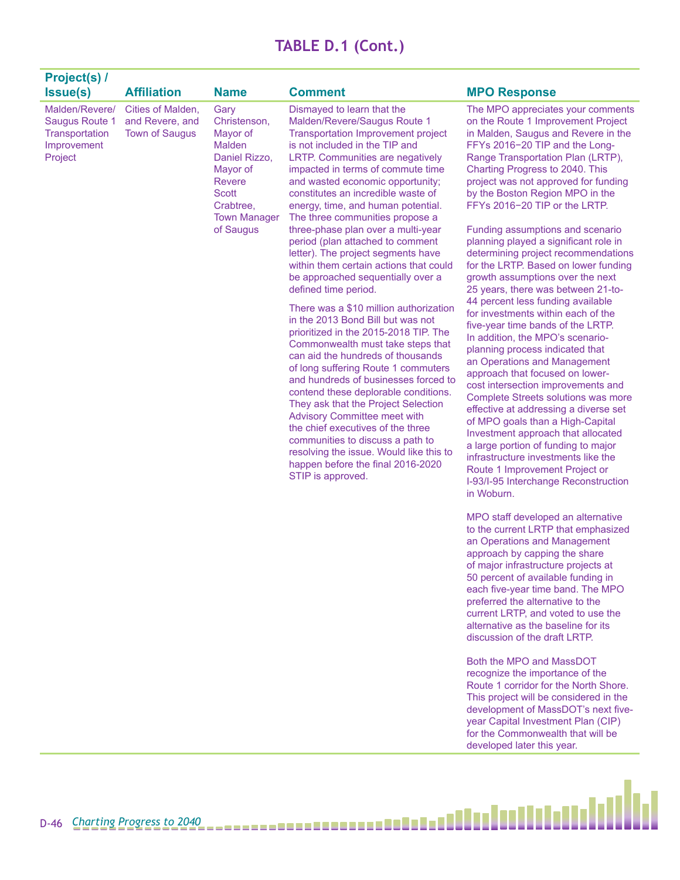| Project(s) /                                                                 |                                                               |                                                                                                                                                           |                                                                                                                                                                                                                                                                                                                                                                                                                                                                                                                                                                                                                                                                                                                                                                                                                                                                                                                                                                                                                                                                                                                                                                                          |                                                                                                                                                                                                                                                                                                                                                                                                                                                                                                                                                                                                                                                                                                                                                                                                                                                                                                                                                                                                                                                                                                                                                                                                                                                                                                                                                          |
|------------------------------------------------------------------------------|---------------------------------------------------------------|-----------------------------------------------------------------------------------------------------------------------------------------------------------|------------------------------------------------------------------------------------------------------------------------------------------------------------------------------------------------------------------------------------------------------------------------------------------------------------------------------------------------------------------------------------------------------------------------------------------------------------------------------------------------------------------------------------------------------------------------------------------------------------------------------------------------------------------------------------------------------------------------------------------------------------------------------------------------------------------------------------------------------------------------------------------------------------------------------------------------------------------------------------------------------------------------------------------------------------------------------------------------------------------------------------------------------------------------------------------|----------------------------------------------------------------------------------------------------------------------------------------------------------------------------------------------------------------------------------------------------------------------------------------------------------------------------------------------------------------------------------------------------------------------------------------------------------------------------------------------------------------------------------------------------------------------------------------------------------------------------------------------------------------------------------------------------------------------------------------------------------------------------------------------------------------------------------------------------------------------------------------------------------------------------------------------------------------------------------------------------------------------------------------------------------------------------------------------------------------------------------------------------------------------------------------------------------------------------------------------------------------------------------------------------------------------------------------------------------|
| <b>Issue(s)</b>                                                              | <b>Affiliation</b>                                            | <b>Name</b>                                                                                                                                               | <b>Comment</b>                                                                                                                                                                                                                                                                                                                                                                                                                                                                                                                                                                                                                                                                                                                                                                                                                                                                                                                                                                                                                                                                                                                                                                           | <b>MPO Response</b>                                                                                                                                                                                                                                                                                                                                                                                                                                                                                                                                                                                                                                                                                                                                                                                                                                                                                                                                                                                                                                                                                                                                                                                                                                                                                                                                      |
| Malden/Revere/<br>Saugus Route 1<br>Transportation<br>Improvement<br>Project | Cities of Malden,<br>and Revere, and<br><b>Town of Saugus</b> | Gary<br>Christenson,<br>Mayor of<br>Malden<br>Daniel Rizzo,<br>Mayor of<br><b>Revere</b><br><b>Scott</b><br>Crabtree.<br><b>Town Manager</b><br>of Saugus | Dismayed to learn that the<br>Malden/Revere/Saugus Route 1<br><b>Transportation Improvement project</b><br>is not included in the TIP and<br><b>LRTP.</b> Communities are negatively<br>impacted in terms of commute time<br>and wasted economic opportunity;<br>constitutes an incredible waste of<br>energy, time, and human potential.<br>The three communities propose a<br>three-phase plan over a multi-year<br>period (plan attached to comment<br>letter). The project segments have<br>within them certain actions that could<br>be approached sequentially over a<br>defined time period.<br>There was a \$10 million authorization<br>in the 2013 Bond Bill but was not<br>prioritized in the 2015-2018 TIP. The<br>Commonwealth must take steps that<br>can aid the hundreds of thousands<br>of long suffering Route 1 commuters<br>and hundreds of businesses forced to<br>contend these deplorable conditions.<br>They ask that the Project Selection<br><b>Advisory Committee meet with</b><br>the chief executives of the three<br>communities to discuss a path to<br>resolving the issue. Would like this to<br>happen before the final 2016-2020<br>STIP is approved. | The MPO appreciates your comments<br>on the Route 1 Improvement Project<br>in Malden, Saugus and Revere in the<br>FFYs 2016-20 TIP and the Long-<br>Range Transportation Plan (LRTP),<br>Charting Progress to 2040. This<br>project was not approved for funding<br>by the Boston Region MPO in the<br>FFYs 2016-20 TIP or the LRTP.<br>Funding assumptions and scenario<br>planning played a significant role in<br>determining project recommendations<br>for the LRTP. Based on lower funding<br>growth assumptions over the next<br>25 years, there was between 21-to-<br>44 percent less funding available<br>for investments within each of the<br>five-year time bands of the LRTP.<br>In addition, the MPO's scenario-<br>planning process indicated that<br>an Operations and Management<br>approach that focused on lower-<br>cost intersection improvements and<br>Complete Streets solutions was more<br>effective at addressing a diverse set<br>of MPO goals than a High-Capital<br>Investment approach that allocated<br>a large portion of funding to major<br>infrastructure investments like the<br>Route 1 Improvement Project or<br>I-93/I-95 Interchange Reconstruction<br>in Woburn.<br>MPO staff developed an alternative<br>to the current LRTP that emphasized<br>an Operations and Management<br>approach by capping the share |

approach by capping the share of major infrastructure projects at 50 percent of available funding in each five-year time band. The MPO preferred the alternative to the current LRTP, and voted to use the alternative as the baseline for its discussion of the draft LRTP.

Both the MPO and MassDOT recognize the importance of the Route 1 corridor for the North Shore. This project will be considered in the development of MassDOT's next fiveyear Capital Investment Plan (CIP) for the Commonwealth that will be developed later this year.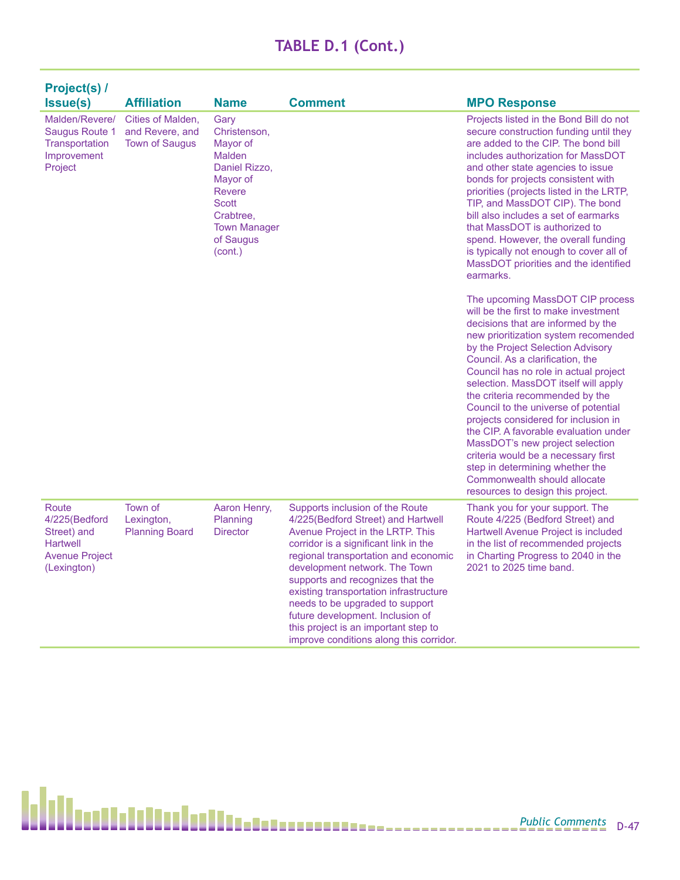| Project(s) /                                                                                     |                                                               |                                                                                                                                                                             |                                                                                                                                                                                                                                                                                                                                                                                                                                                                     |                                                                                                                                                                                                                                                                                                                                                                                                                                                                                                                                                                                                                                                                |
|--------------------------------------------------------------------------------------------------|---------------------------------------------------------------|-----------------------------------------------------------------------------------------------------------------------------------------------------------------------------|---------------------------------------------------------------------------------------------------------------------------------------------------------------------------------------------------------------------------------------------------------------------------------------------------------------------------------------------------------------------------------------------------------------------------------------------------------------------|----------------------------------------------------------------------------------------------------------------------------------------------------------------------------------------------------------------------------------------------------------------------------------------------------------------------------------------------------------------------------------------------------------------------------------------------------------------------------------------------------------------------------------------------------------------------------------------------------------------------------------------------------------------|
| <b>Issue(s)</b>                                                                                  | <b>Affiliation</b>                                            | <b>Name</b>                                                                                                                                                                 | <b>Comment</b>                                                                                                                                                                                                                                                                                                                                                                                                                                                      | <b>MPO Response</b>                                                                                                                                                                                                                                                                                                                                                                                                                                                                                                                                                                                                                                            |
| Malden/Revere/<br>Saugus Route 1<br><b>Transportation</b><br>Improvement<br>Project              | Cities of Malden.<br>and Revere, and<br><b>Town of Saugus</b> | Gary<br>Christenson,<br>Mayor of<br><b>Malden</b><br>Daniel Rizzo,<br>Mayor of<br><b>Revere</b><br><b>Scott</b><br>Crabtree.<br><b>Town Manager</b><br>of Saugus<br>(cont.) |                                                                                                                                                                                                                                                                                                                                                                                                                                                                     | Projects listed in the Bond Bill do not<br>secure construction funding until they<br>are added to the CIP. The bond bill<br>includes authorization for MassDOT<br>and other state agencies to issue<br>bonds for projects consistent with<br>priorities (projects listed in the LRTP,<br>TIP, and MassDOT CIP). The bond<br>bill also includes a set of earmarks<br>that MassDOT is authorized to<br>spend. However, the overall funding<br>is typically not enough to cover all of<br>MassDOT priorities and the identified<br>earmarks.                                                                                                                      |
|                                                                                                  |                                                               |                                                                                                                                                                             |                                                                                                                                                                                                                                                                                                                                                                                                                                                                     | The upcoming MassDOT CIP process<br>will be the first to make investment<br>decisions that are informed by the<br>new prioritization system recomended<br>by the Project Selection Advisory<br>Council. As a clarification, the<br>Council has no role in actual project<br>selection. MassDOT itself will apply<br>the criteria recommended by the<br>Council to the universe of potential<br>projects considered for inclusion in<br>the CIP. A favorable evaluation under<br>MassDOT's new project selection<br>criteria would be a necessary first<br>step in determining whether the<br>Commonwealth should allocate<br>resources to design this project. |
| Route<br>4/225(Bedford<br>Street) and<br><b>Hartwell</b><br><b>Avenue Project</b><br>(Lexington) | Town of<br>Lexington,<br><b>Planning Board</b>                | Aaron Henry,<br>Planning<br><b>Director</b>                                                                                                                                 | Supports inclusion of the Route<br>4/225(Bedford Street) and Hartwell<br>Avenue Project in the LRTP. This<br>corridor is a significant link in the<br>regional transportation and economic<br>development network. The Town<br>supports and recognizes that the<br>existing transportation infrastructure<br>needs to be upgraded to support<br>future development. Inclusion of<br>this project is an important step to<br>improve conditions along this corridor. | Thank you for your support. The<br>Route 4/225 (Bedford Street) and<br>Hartwell Avenue Project is included<br>in the list of recommended projects<br>in Charting Progress to 2040 in the<br>2021 to 2025 time band.                                                                                                                                                                                                                                                                                                                                                                                                                                            |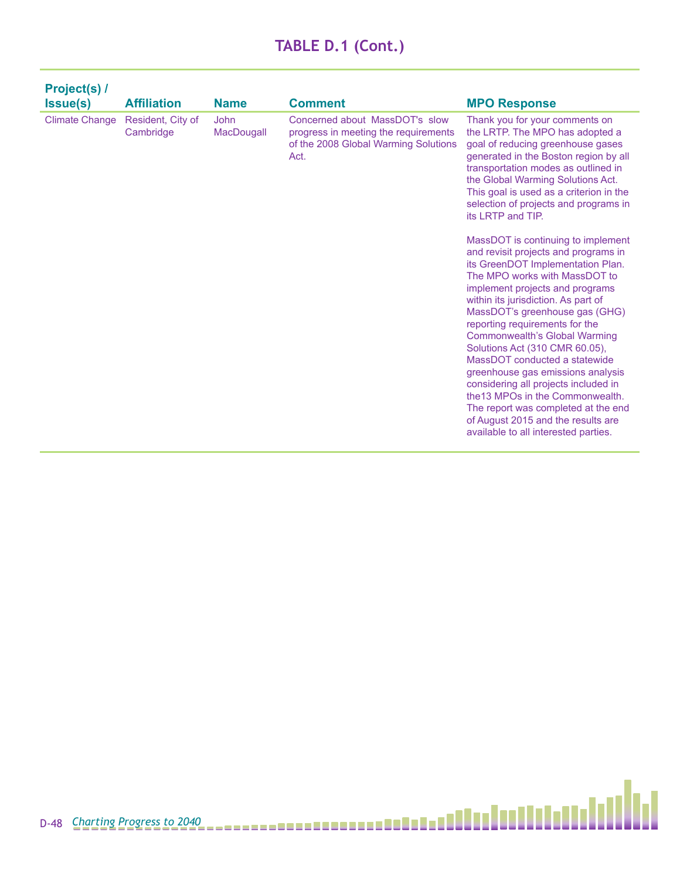| Project(s) /          |                                |                    |                                                                                                                        |                                                                                                                                                                                                                                                                                                                                                                                                                                                                                                                                                                                                                                                                                                                                                                                                                                                                                                                                                                                         |
|-----------------------|--------------------------------|--------------------|------------------------------------------------------------------------------------------------------------------------|-----------------------------------------------------------------------------------------------------------------------------------------------------------------------------------------------------------------------------------------------------------------------------------------------------------------------------------------------------------------------------------------------------------------------------------------------------------------------------------------------------------------------------------------------------------------------------------------------------------------------------------------------------------------------------------------------------------------------------------------------------------------------------------------------------------------------------------------------------------------------------------------------------------------------------------------------------------------------------------------|
| <b>Issue(s)</b>       | <b>Affiliation</b>             | <b>Name</b>        | <b>Comment</b>                                                                                                         | <b>MPO Response</b>                                                                                                                                                                                                                                                                                                                                                                                                                                                                                                                                                                                                                                                                                                                                                                                                                                                                                                                                                                     |
| <b>Climate Change</b> | Resident, City of<br>Cambridge | John<br>MacDougall | Concerned about MassDOT's slow<br>progress in meeting the requirements<br>of the 2008 Global Warming Solutions<br>Act. | Thank you for your comments on<br>the LRTP. The MPO has adopted a<br>goal of reducing greenhouse gases<br>generated in the Boston region by all<br>transportation modes as outlined in<br>the Global Warming Solutions Act.<br>This goal is used as a criterion in the<br>selection of projects and programs in<br>its LRTP and TIP.<br>MassDOT is continuing to implement<br>and revisit projects and programs in<br>its GreenDOT Implementation Plan.<br>The MPO works with MassDOT to<br>implement projects and programs<br>within its jurisdiction. As part of<br>MassDOT's greenhouse gas (GHG)<br>reporting requirements for the<br><b>Commonwealth's Global Warming</b><br>Solutions Act (310 CMR 60.05),<br>MassDOT conducted a statewide<br>greenhouse gas emissions analysis<br>considering all projects included in<br>the 13 MPOs in the Commonwealth.<br>The report was completed at the end<br>of August 2015 and the results are<br>available to all interested parties. |
|                       |                                |                    |                                                                                                                        |                                                                                                                                                                                                                                                                                                                                                                                                                                                                                                                                                                                                                                                                                                                                                                                                                                                                                                                                                                                         |

H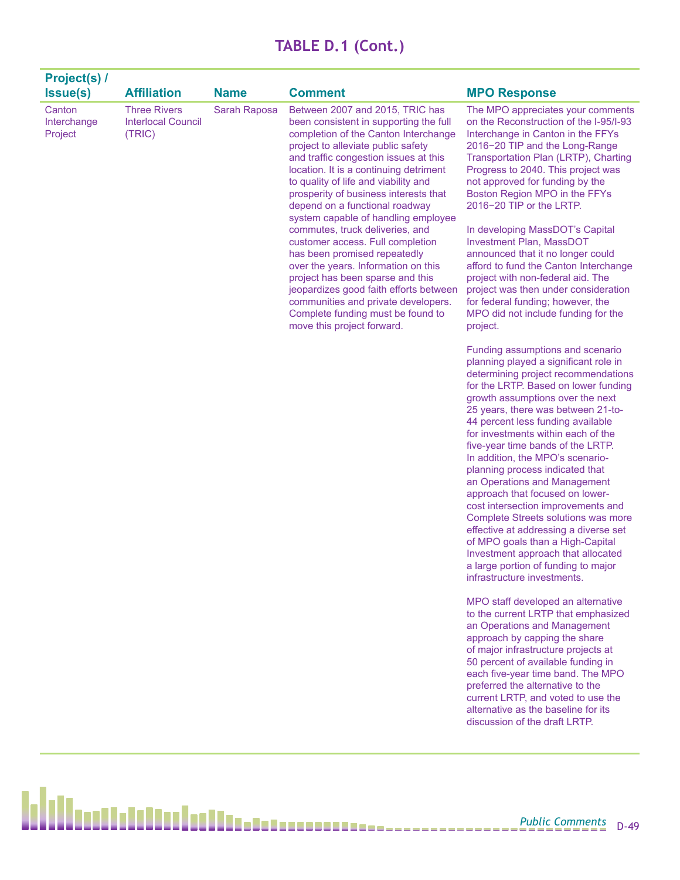| Project(s) /                     |                                                            |              |                                                                                                                                                                                                                                                                                                                                                                                                                                                                                                                                                                                                                                                                                                                                            |                                                                                                                                                                                                                                                                                                                                                                                                                                                                                                                                                                                                                                                                                                                                                                    |
|----------------------------------|------------------------------------------------------------|--------------|--------------------------------------------------------------------------------------------------------------------------------------------------------------------------------------------------------------------------------------------------------------------------------------------------------------------------------------------------------------------------------------------------------------------------------------------------------------------------------------------------------------------------------------------------------------------------------------------------------------------------------------------------------------------------------------------------------------------------------------------|--------------------------------------------------------------------------------------------------------------------------------------------------------------------------------------------------------------------------------------------------------------------------------------------------------------------------------------------------------------------------------------------------------------------------------------------------------------------------------------------------------------------------------------------------------------------------------------------------------------------------------------------------------------------------------------------------------------------------------------------------------------------|
| <b>Issue(s)</b>                  | <b>Affiliation</b>                                         | <b>Name</b>  | <b>Comment</b>                                                                                                                                                                                                                                                                                                                                                                                                                                                                                                                                                                                                                                                                                                                             | <b>MPO Response</b>                                                                                                                                                                                                                                                                                                                                                                                                                                                                                                                                                                                                                                                                                                                                                |
| Canton<br>Interchange<br>Project | <b>Three Rivers</b><br><b>Interlocal Council</b><br>(TRIC) | Sarah Raposa | Between 2007 and 2015, TRIC has<br>been consistent in supporting the full<br>completion of the Canton Interchange<br>project to alleviate public safety<br>and traffic congestion issues at this<br>location. It is a continuing detriment<br>to quality of life and viability and<br>prosperity of business interests that<br>depend on a functional roadway<br>system capable of handling employee<br>commutes, truck deliveries, and<br>customer access. Full completion<br>has been promised repeatedly<br>over the years. Information on this<br>project has been sparse and this<br>jeopardizes good faith efforts between<br>communities and private developers.<br>Complete funding must be found to<br>move this project forward. | The MPO appreciates your comments<br>on the Reconstruction of the I-95/I-93<br>Interchange in Canton in the FFYs<br>2016-20 TIP and the Long-Range<br>Transportation Plan (LRTP), Charting<br>Progress to 2040. This project was<br>not approved for funding by the<br>Boston Region MPO in the FFYs<br>2016-20 TIP or the LRTP.<br>In developing MassDOT's Capital<br><b>Investment Plan, MassDOT</b><br>announced that it no longer could<br>afford to fund the Canton Interchange<br>project with non-federal aid. The<br>project was then under consideration<br>for federal funding; however, the<br>MPO did not include funding for the<br>project.                                                                                                          |
|                                  |                                                            |              |                                                                                                                                                                                                                                                                                                                                                                                                                                                                                                                                                                                                                                                                                                                                            | Funding assumptions and scenario<br>planning played a significant role in<br>determining project recommendations<br>for the LRTP. Based on lower funding<br>growth assumptions over the next<br>25 years, there was between 21-to-<br>44 percent less funding available<br>for investments within each of the<br>five-year time bands of the LRTP.<br>In addition, the MPO's scenario-<br>planning process indicated that<br>an Operations and Management<br>approach that focused on lower-<br>cost intersection improvements and<br>Complete Streets solutions was more<br>effective at addressing a diverse set<br>of MPO goals than a High-Capital<br>Investment approach that allocated<br>a large portion of funding to major<br>infrastructure investments. |
|                                  |                                                            |              |                                                                                                                                                                                                                                                                                                                                                                                                                                                                                                                                                                                                                                                                                                                                            | MPO staff developed an alternative<br>to the current LRTP that emphasized<br>an Operations and Management<br>approach by capping the share<br>of major infrastructure projects at<br>50 percent of available funding in                                                                                                                                                                                                                                                                                                                                                                                                                                                                                                                                            |

each five-year time band. The MPO preferred the alternative to the current LRTP, and voted to use the alternative as the baseline for its discussion of the draft LRTP.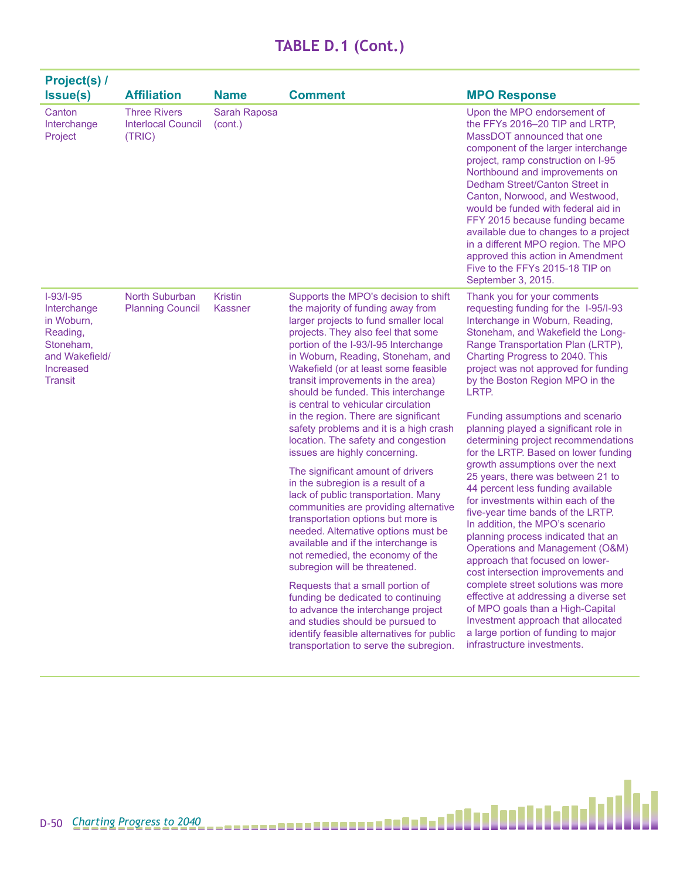|        |                                  | needed. Alternative options must be<br>available and if the interchange is<br>not remedied, the economy of the<br>subregion will be threatened.<br>Requests that a small portion of<br>funding be dedicated to continuing<br>to advance the interchange project<br>and studies should be pursued to<br>identify feasible alternatives for public<br>transportation to serve the subregion. | planning process indicated that<br><b>Operations and Management (C</b><br>approach that focused on lower<br>cost intersection improvements<br>complete street solutions was m<br>effective at addressing a diverse<br>of MPO goals than a High-Capit<br>Investment approach that alloca<br>a large portion of funding to maj<br>infrastructure investments. |
|--------|----------------------------------|--------------------------------------------------------------------------------------------------------------------------------------------------------------------------------------------------------------------------------------------------------------------------------------------------------------------------------------------------------------------------------------------|-------------------------------------------------------------------------------------------------------------------------------------------------------------------------------------------------------------------------------------------------------------------------------------------------------------------------------------------------------------|
|        |                                  |                                                                                                                                                                                                                                                                                                                                                                                            |                                                                                                                                                                                                                                                                                                                                                             |
| $D-50$ | <b>Charting Progress to 2040</b> |                                                                                                                                                                                                                                                                                                                                                                                            |                                                                                                                                                                                                                                                                                                                                                             |

۸

| <b>Project(s) /</b><br><b>Issue(s)</b>                                                                             | <b>Affiliation</b>                                         | <b>Name</b>                      | <b>Comment</b>                                                                                                                                                                                                                                                                                                                                                                                                                                                                                                                                                                                                                                                                                                                                                                                                                                                                                                                                                                                                                                                                                                                                          | <b>MPO Response</b>                                                                                                                                                                                                                                                                                                                                                                                                                                                                                                                                                                                                                                                                                                                                                                                                                                                                                                                                                                                                                                                              |
|--------------------------------------------------------------------------------------------------------------------|------------------------------------------------------------|----------------------------------|---------------------------------------------------------------------------------------------------------------------------------------------------------------------------------------------------------------------------------------------------------------------------------------------------------------------------------------------------------------------------------------------------------------------------------------------------------------------------------------------------------------------------------------------------------------------------------------------------------------------------------------------------------------------------------------------------------------------------------------------------------------------------------------------------------------------------------------------------------------------------------------------------------------------------------------------------------------------------------------------------------------------------------------------------------------------------------------------------------------------------------------------------------|----------------------------------------------------------------------------------------------------------------------------------------------------------------------------------------------------------------------------------------------------------------------------------------------------------------------------------------------------------------------------------------------------------------------------------------------------------------------------------------------------------------------------------------------------------------------------------------------------------------------------------------------------------------------------------------------------------------------------------------------------------------------------------------------------------------------------------------------------------------------------------------------------------------------------------------------------------------------------------------------------------------------------------------------------------------------------------|
| Canton<br>Interchange<br>Project                                                                                   | <b>Three Rivers</b><br><b>Interlocal Council</b><br>(TRIC) | Sarah Raposa<br>(cont.)          |                                                                                                                                                                                                                                                                                                                                                                                                                                                                                                                                                                                                                                                                                                                                                                                                                                                                                                                                                                                                                                                                                                                                                         | Upon the MPO endorsement of<br>the FFYs 2016-20 TIP and LRTP,<br>MassDOT announced that one<br>component of the larger interchange<br>project, ramp construction on I-95<br>Northbound and improvements on<br>Dedham Street/Canton Street in<br>Canton, Norwood, and Westwood,<br>would be funded with federal aid in<br>FFY 2015 because funding became<br>available due to changes to a project<br>in a different MPO region. The MPO<br>approved this action in Amendment<br>Five to the FFYs 2015-18 TIP on<br>September 3, 2015.                                                                                                                                                                                                                                                                                                                                                                                                                                                                                                                                            |
| $I-93/I-95$<br>Interchange<br>in Woburn,<br>Reading,<br>Stoneham,<br>and Wakefield/<br>Increased<br><b>Transit</b> | North Suburban<br><b>Planning Council</b>                  | <b>Kristin</b><br><b>Kassner</b> | Supports the MPO's decision to shift<br>the majority of funding away from<br>larger projects to fund smaller local<br>projects. They also feel that some<br>portion of the I-93/I-95 Interchange<br>in Woburn, Reading, Stoneham, and<br>Wakefield (or at least some feasible<br>transit improvements in the area)<br>should be funded. This interchange<br>is central to vehicular circulation<br>in the region. There are significant<br>safety problems and it is a high crash<br>location. The safety and congestion<br>issues are highly concerning.<br>The significant amount of drivers<br>in the subregion is a result of a<br>lack of public transportation. Many<br>communities are providing alternative<br>transportation options but more is<br>needed. Alternative options must be<br>available and if the interchange is<br>not remedied, the economy of the<br>subregion will be threatened.<br>Requests that a small portion of<br>funding be dedicated to continuing<br>to advance the interchange project<br>and studies should be pursued to<br>identify feasible alternatives for public<br>transportation to serve the subregion. | Thank you for your comments<br>requesting funding for the 1-95/1-93<br>Interchange in Woburn, Reading,<br>Stoneham, and Wakefield the Long-<br>Range Transportation Plan (LRTP),<br>Charting Progress to 2040. This<br>project was not approved for funding<br>by the Boston Region MPO in the<br>LRTP.<br>Funding assumptions and scenario<br>planning played a significant role in<br>determining project recommendations<br>for the LRTP. Based on lower funding<br>growth assumptions over the next<br>25 years, there was between 21 to<br>44 percent less funding available<br>for investments within each of the<br>five-year time bands of the LRTP.<br>In addition, the MPO's scenario<br>planning process indicated that an<br>Operations and Management (O&M)<br>approach that focused on lower-<br>cost intersection improvements and<br>complete street solutions was more<br>effective at addressing a diverse set<br>of MPO goals than a High-Capital<br>Investment approach that allocated<br>a large portion of funding to major<br>infrastructure investments. |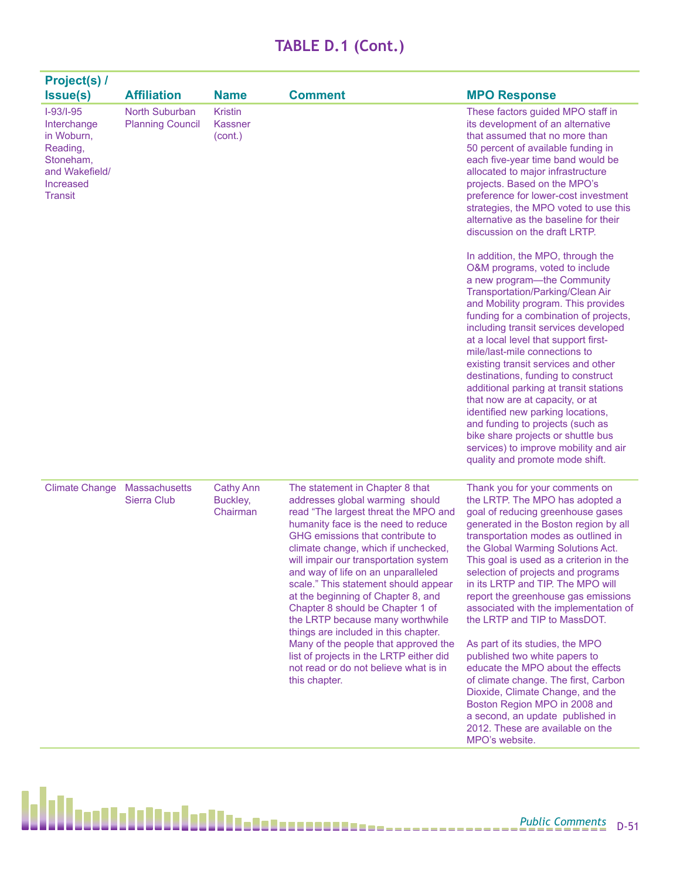| <b>Project(s) /</b><br><b>Issue(s)</b>                                                                             | <b>Affiliation</b>                        | <b>Name</b>                              | <b>Comment</b>                                                                                                                                                                                                                                                                                                                                                                                                                                                                                                                                                                                                                                         | <b>MPO Response</b>                                                                                                                                                                                                                                                                                                                                                                                                                                                                                                                                                                                                                                                                                                                                                               |
|--------------------------------------------------------------------------------------------------------------------|-------------------------------------------|------------------------------------------|--------------------------------------------------------------------------------------------------------------------------------------------------------------------------------------------------------------------------------------------------------------------------------------------------------------------------------------------------------------------------------------------------------------------------------------------------------------------------------------------------------------------------------------------------------------------------------------------------------------------------------------------------------|-----------------------------------------------------------------------------------------------------------------------------------------------------------------------------------------------------------------------------------------------------------------------------------------------------------------------------------------------------------------------------------------------------------------------------------------------------------------------------------------------------------------------------------------------------------------------------------------------------------------------------------------------------------------------------------------------------------------------------------------------------------------------------------|
| $I-93/I-95$<br>Interchange<br>in Woburn,<br>Reading,<br>Stoneham,<br>and Wakefield/<br>Increased<br><b>Transit</b> | North Suburban<br><b>Planning Council</b> | <b>Kristin</b><br>Kassner<br>(cont.)     |                                                                                                                                                                                                                                                                                                                                                                                                                                                                                                                                                                                                                                                        | These factors guided MPO staff in<br>its development of an alternative<br>that assumed that no more than<br>50 percent of available funding in<br>each five-year time band would be<br>allocated to major infrastructure<br>projects. Based on the MPO's<br>preference for lower-cost investment<br>strategies, the MPO voted to use this<br>alternative as the baseline for their<br>discussion on the draft LRTP.                                                                                                                                                                                                                                                                                                                                                               |
|                                                                                                                    |                                           |                                          |                                                                                                                                                                                                                                                                                                                                                                                                                                                                                                                                                                                                                                                        | In addition, the MPO, through the<br>O&M programs, voted to include<br>a new program-the Community<br>Transportation/Parking/Clean Air<br>and Mobility program. This provides<br>funding for a combination of projects,<br>including transit services developed<br>at a local level that support first-<br>mile/last-mile connections to<br>existing transit services and other<br>destinations, funding to construct<br>additional parking at transit stations<br>that now are at capacity, or at<br>identified new parking locations,<br>and funding to projects (such as<br>bike share projects or shuttle bus<br>services) to improve mobility and air<br>quality and promote mode shift.                                                                                     |
| <b>Climate Change</b>                                                                                              | <b>Massachusetts</b><br>Sierra Club       | <b>Cathy Ann</b><br>Buckley,<br>Chairman | The statement in Chapter 8 that<br>addresses global warming should<br>read "The largest threat the MPO and<br>humanity face is the need to reduce<br>GHG emissions that contribute to<br>climate change, which if unchecked,<br>will impair our transportation system<br>and way of life on an unparalleled<br>scale." This statement should appear<br>at the beginning of Chapter 8, and<br>Chapter 8 should be Chapter 1 of<br>the LRTP because many worthwhile<br>things are included in this chapter.<br>Many of the people that approved the<br>list of projects in the LRTP either did<br>not read or do not believe what is in<br>this chapter. | Thank you for your comments on<br>the LRTP. The MPO has adopted a<br>goal of reducing greenhouse gases<br>generated in the Boston region by all<br>transportation modes as outlined in<br>the Global Warming Solutions Act.<br>This goal is used as a criterion in the<br>selection of projects and programs<br>in its LRTP and TIP. The MPO will<br>report the greenhouse gas emissions<br>associated with the implementation of<br>the LRTP and TIP to MassDOT.<br>As part of its studies, the MPO<br>published two white papers to<br>educate the MPO about the effects<br>of climate change. The first, Carbon<br>Dioxide, Climate Change, and the<br>Boston Region MPO in 2008 and<br>a second, an update published in<br>2012. These are available on the<br>MPO's website. |

h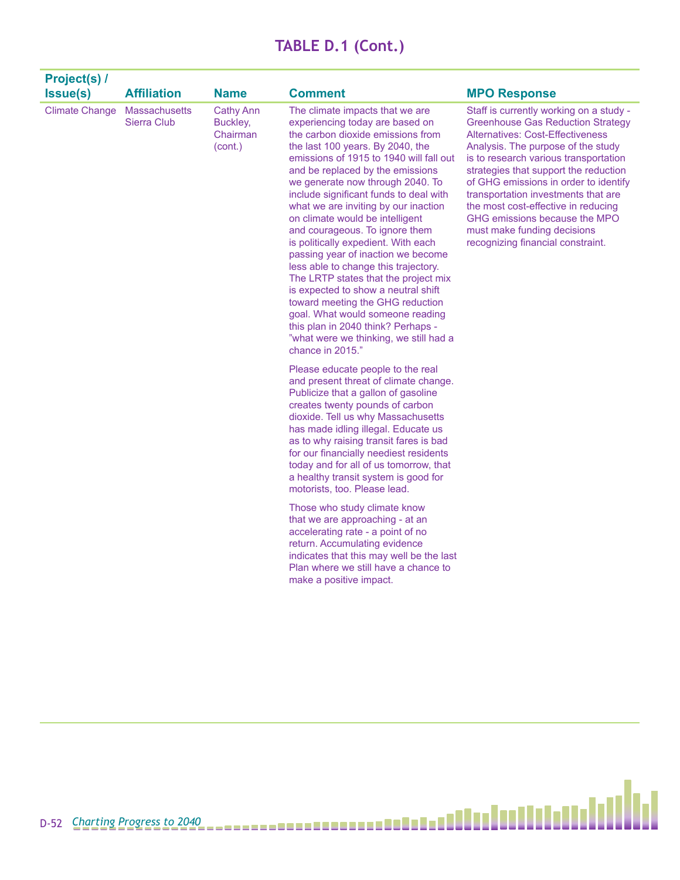| Project(s) /<br>Issue(s) | <b>Affiliation</b>           | <b>Name</b>                                         | <b>Comment</b>                                                                                                                                                                                                                                                                                                                                                                                                                                                                                                                                                                                                                                                                                                                                                                                        | <b>MPO Response</b>                                                                                                                                                                                                                                                                                                                                                                                                                                                         |
|--------------------------|------------------------------|-----------------------------------------------------|-------------------------------------------------------------------------------------------------------------------------------------------------------------------------------------------------------------------------------------------------------------------------------------------------------------------------------------------------------------------------------------------------------------------------------------------------------------------------------------------------------------------------------------------------------------------------------------------------------------------------------------------------------------------------------------------------------------------------------------------------------------------------------------------------------|-----------------------------------------------------------------------------------------------------------------------------------------------------------------------------------------------------------------------------------------------------------------------------------------------------------------------------------------------------------------------------------------------------------------------------------------------------------------------------|
| <b>Climate Change</b>    | Massachusetts<br>Sierra Club | <b>Cathy Ann</b><br>Buckley,<br>Chairman<br>(cont.) | The climate impacts that we are<br>experiencing today are based on<br>the carbon dioxide emissions from<br>the last 100 years. By 2040, the<br>emissions of 1915 to 1940 will fall out<br>and be replaced by the emissions<br>we generate now through 2040. To<br>include significant funds to deal with<br>what we are inviting by our inaction<br>on climate would be intelligent<br>and courageous. To ignore them<br>is politically expedient. With each<br>passing year of inaction we become<br>less able to change this trajectory.<br>The LRTP states that the project mix<br>is expected to show a neutral shift<br>toward meeting the GHG reduction<br>goal. What would someone reading<br>this plan in 2040 think? Perhaps -<br>"what were we thinking, we still had a<br>chance in 2015." | Staff is currently working on a study -<br><b>Greenhouse Gas Reduction Strategy</b><br>Alternatives: Cost-Effectiveness<br>Analysis. The purpose of the study<br>is to research various transportation<br>strategies that support the reduction<br>of GHG emissions in order to identify<br>transportation investments that are<br>the most cost-effective in reducing<br>GHG emissions because the MPO<br>must make funding decisions<br>recognizing financial constraint. |
|                          |                              |                                                     | Please educate people to the real<br>and present threat of climate change.<br>Publicize that a gallon of gasoline<br>creates twenty pounds of carbon<br>dioxide. Tell us why Massachusetts<br>has made idling illegal. Educate us<br>as to why raising transit fares is bad<br>for our financially neediest residents<br>today and for all of us tomorrow, that<br>a healthy transit system is good for<br>motorists, too. Please lead.                                                                                                                                                                                                                                                                                                                                                               |                                                                                                                                                                                                                                                                                                                                                                                                                                                                             |
|                          |                              |                                                     | Those who study climate know<br>that we are approaching - at an<br>accelerating rate - a point of no<br>return. Accumulating evidence<br>indicates that this may well be the last<br>Plan where we still have a chance to<br>make a positive impact.                                                                                                                                                                                                                                                                                                                                                                                                                                                                                                                                                  |                                                                                                                                                                                                                                                                                                                                                                                                                                                                             |

Ы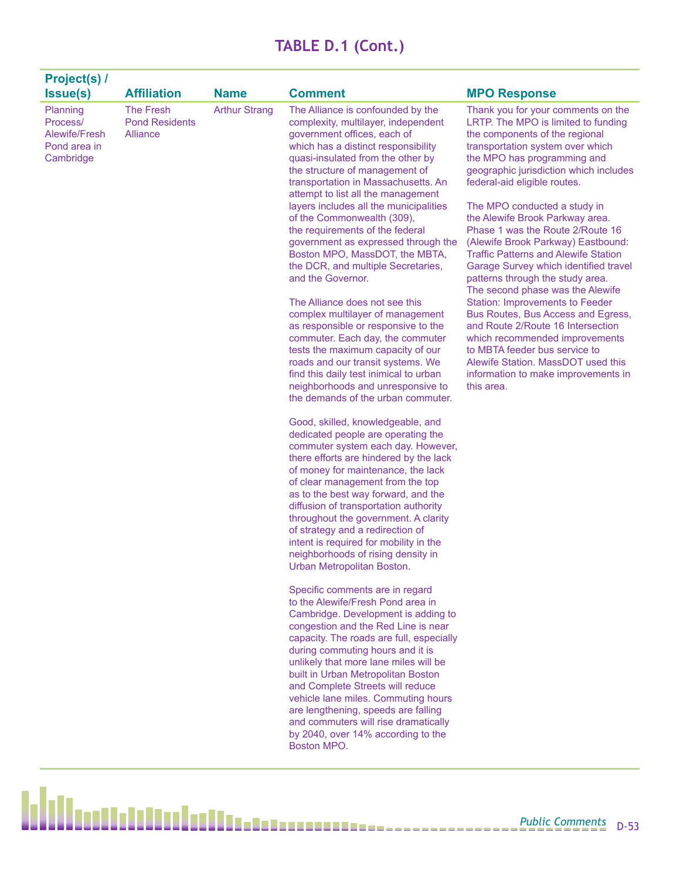| Project(s) /<br><b>Issue(s)</b>                                    | <b>Affiliation</b>                                    | <b>Name</b>          | <b>Comment</b>                                                                                                                                                                                                                                                                                                                                                                                                                                                                                                                                                                                                                                                                                                                                                                                                                                                                                                                                                                                                                                                                                                                                                                                                                                                                                                                                                                                                                                                                                                                                                                                                                                                                                                                                                                                                                                                                                                                                       | <b>MPO Response</b>                                                                                                                                                                                                                                                                                                                                                                                                                                                                                                                                                                                                                                                                                                                                                                                                                                      |
|--------------------------------------------------------------------|-------------------------------------------------------|----------------------|------------------------------------------------------------------------------------------------------------------------------------------------------------------------------------------------------------------------------------------------------------------------------------------------------------------------------------------------------------------------------------------------------------------------------------------------------------------------------------------------------------------------------------------------------------------------------------------------------------------------------------------------------------------------------------------------------------------------------------------------------------------------------------------------------------------------------------------------------------------------------------------------------------------------------------------------------------------------------------------------------------------------------------------------------------------------------------------------------------------------------------------------------------------------------------------------------------------------------------------------------------------------------------------------------------------------------------------------------------------------------------------------------------------------------------------------------------------------------------------------------------------------------------------------------------------------------------------------------------------------------------------------------------------------------------------------------------------------------------------------------------------------------------------------------------------------------------------------------------------------------------------------------------------------------------------------------|----------------------------------------------------------------------------------------------------------------------------------------------------------------------------------------------------------------------------------------------------------------------------------------------------------------------------------------------------------------------------------------------------------------------------------------------------------------------------------------------------------------------------------------------------------------------------------------------------------------------------------------------------------------------------------------------------------------------------------------------------------------------------------------------------------------------------------------------------------|
| Planning<br>Process/<br>Alewife/Fresh<br>Pond area in<br>Cambridge | <b>The Fresh</b><br><b>Pond Residents</b><br>Alliance | <b>Arthur Strang</b> | The Alliance is confounded by the<br>complexity, multilayer, independent<br>government offices, each of<br>which has a distinct responsibility<br>quasi-insulated from the other by<br>the structure of management of<br>transportation in Massachusetts. An<br>attempt to list all the management<br>layers includes all the municipalities<br>of the Commonwealth (309),<br>the requirements of the federal<br>government as expressed through the<br>Boston MPO, MassDOT, the MBTA,<br>the DCR, and multiple Secretaries,<br>and the Governor.<br>The Alliance does not see this<br>complex multilayer of management<br>as responsible or responsive to the<br>commuter. Each day, the commuter<br>tests the maximum capacity of our<br>roads and our transit systems. We<br>find this daily test inimical to urban<br>neighborhoods and unresponsive to<br>the demands of the urban commuter.<br>Good, skilled, knowledgeable, and<br>dedicated people are operating the<br>commuter system each day. However,<br>there efforts are hindered by the lack<br>of money for maintenance, the lack<br>of clear management from the top<br>as to the best way forward, and the<br>diffusion of transportation authority<br>throughout the government. A clarity<br>of strategy and a redirection of<br>intent is required for mobility in the<br>neighborhoods of rising density in<br>Urban Metropolitan Boston.<br>Specific comments are in regard<br>to the Alewife/Fresh Pond area in<br>Cambridge. Development is adding to<br>congestion and the Red Line is near<br>capacity. The roads are full, especially<br>during commuting hours and it is<br>unlikely that more lane miles will be<br>built in Urban Metropolitan Boston<br>and Complete Streets will reduce<br>vehicle lane miles. Commuting hours<br>are lengthening, speeds are falling<br>and commuters will rise dramatically<br>by 2040, over 14% according to the<br>Boston MPO. | Thank you for your comments on the<br>LRTP. The MPO is limited to funding<br>the components of the regional<br>transportation system over which<br>the MPO has programming and<br>geographic jurisdiction which includes<br>federal-aid eligible routes.<br>The MPO conducted a study in<br>the Alewife Brook Parkway area.<br>Phase 1 was the Route 2/Route 16<br>(Alewife Brook Parkway) Eastbound:<br><b>Traffic Patterns and Alewife Station</b><br>Garage Survey which identified travel<br>patterns through the study area.<br>The second phase was the Alewife<br><b>Station: Improvements to Feeder</b><br>Bus Routes, Bus Access and Egress,<br>and Route 2/Route 16 Intersection<br>which recommended improvements<br>to MBTA feeder bus service to<br>Alewife Station. MassDOT used this<br>information to make improvements in<br>this area. |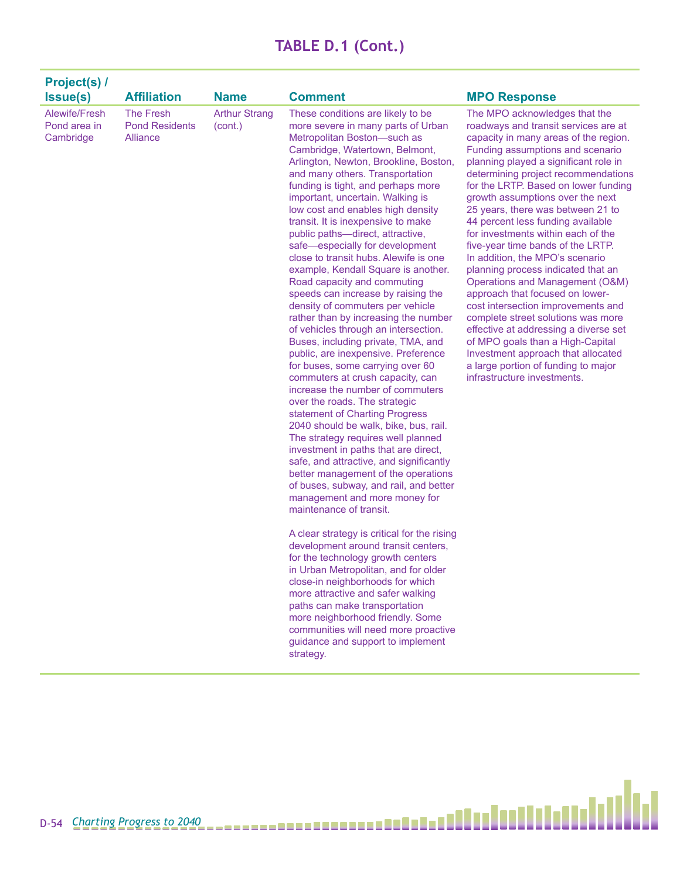| <b>Project(s) /</b><br><b>Issue(s)</b>     | <b>Affiliation</b>                                    | <b>Name</b>                     | <b>Comment</b>                                                                                                                                                                                                                                                                                                                                                                                                                                                                                                                                                                                                                                                                                                                                                                                                                                                                                                                                                                                                                                                                                                                                                                                                                                                                                                                                                                                                                                                                                                                                                                                                                                                                                                  | <b>MPO Response</b>                                                                                                                                                                                                                                                                                                                                                                                                                                                                                                                                                                                                                                                                                                                                                                                                                                                                     |
|--------------------------------------------|-------------------------------------------------------|---------------------------------|-----------------------------------------------------------------------------------------------------------------------------------------------------------------------------------------------------------------------------------------------------------------------------------------------------------------------------------------------------------------------------------------------------------------------------------------------------------------------------------------------------------------------------------------------------------------------------------------------------------------------------------------------------------------------------------------------------------------------------------------------------------------------------------------------------------------------------------------------------------------------------------------------------------------------------------------------------------------------------------------------------------------------------------------------------------------------------------------------------------------------------------------------------------------------------------------------------------------------------------------------------------------------------------------------------------------------------------------------------------------------------------------------------------------------------------------------------------------------------------------------------------------------------------------------------------------------------------------------------------------------------------------------------------------------------------------------------------------|-----------------------------------------------------------------------------------------------------------------------------------------------------------------------------------------------------------------------------------------------------------------------------------------------------------------------------------------------------------------------------------------------------------------------------------------------------------------------------------------------------------------------------------------------------------------------------------------------------------------------------------------------------------------------------------------------------------------------------------------------------------------------------------------------------------------------------------------------------------------------------------------|
| Alewife/Fresh<br>Pond area in<br>Cambridge | <b>The Fresh</b><br><b>Pond Residents</b><br>Alliance | <b>Arthur Strang</b><br>(cont.) | These conditions are likely to be<br>more severe in many parts of Urban<br>Metropolitan Boston-such as<br>Cambridge, Watertown, Belmont,<br>Arlington, Newton, Brookline, Boston,<br>and many others. Transportation<br>funding is tight, and perhaps more<br>important, uncertain. Walking is<br>low cost and enables high density<br>transit. It is inexpensive to make<br>public paths-direct, attractive,<br>safe-especially for development<br>close to transit hubs. Alewife is one<br>example, Kendall Square is another.<br>Road capacity and commuting<br>speeds can increase by raising the<br>density of commuters per vehicle<br>rather than by increasing the number<br>of vehicles through an intersection.<br>Buses, including private, TMA, and<br>public, are inexpensive. Preference<br>for buses, some carrying over 60<br>commuters at crush capacity, can<br>increase the number of commuters<br>over the roads. The strategic<br>statement of Charting Progress<br>2040 should be walk, bike, bus, rail.<br>The strategy requires well planned<br>investment in paths that are direct,<br>safe, and attractive, and significantly<br>better management of the operations<br>of buses, subway, and rail, and better<br>management and more money for<br>maintenance of transit.<br>A clear strategy is critical for the rising<br>development around transit centers,<br>for the technology growth centers<br>in Urban Metropolitan, and for older<br>close-in neighborhoods for which<br>more attractive and safer walking<br>paths can make transportation<br>more neighborhood friendly. Some<br>communities will need more proactive<br>guidance and support to implement<br>strategy. | The MPO acknowledges that the<br>roadways and transit services are at<br>capacity in many areas of the region.<br>Funding assumptions and scenario<br>planning played a significant role in<br>determining project recommendations<br>for the LRTP. Based on lower funding<br>growth assumptions over the next<br>25 years, there was between 21 to<br>44 percent less funding available<br>for investments within each of the<br>five-year time bands of the LRTP.<br>In addition, the MPO's scenario<br>planning process indicated that an<br>Operations and Management (O&M)<br>approach that focused on lower-<br>cost intersection improvements and<br>complete street solutions was more<br>effective at addressing a diverse set<br>of MPO goals than a High-Capital<br>Investment approach that allocated<br>a large portion of funding to major<br>infrastructure investments. |

Ы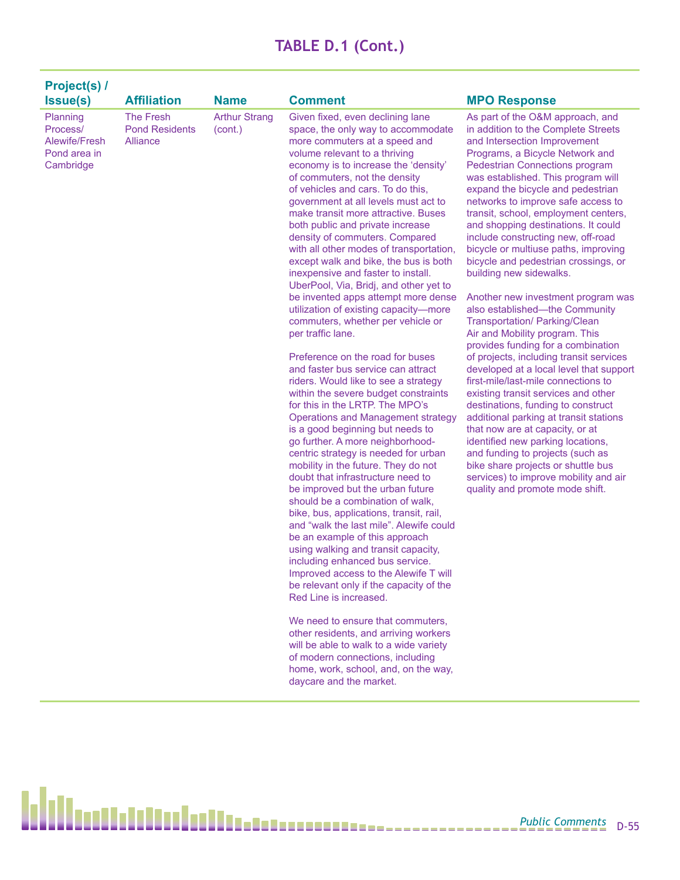| Project(s) /<br><b>Issue(s)</b>                                    | <b>Affiliation</b>                                    | <b>Name</b>                     | <b>Comment</b>                                                                                                                                                                                                                                                                                                                                                                                                                                                                                                                                                                                                                                                                                                                                                                                                                                                                                                                                                                                                                                                                                                                                                                                                                                                                                                                                                                                                                                                                                                                                                                                                                                                                                                                                                                         | <b>MPO Response</b>                                                                                                                                                                                                                                                                                                                                                                                                                                                                                                                                                                                                                                                                                                                                                                                                                                                                                                                                                                                                                                                                                                                                                                              |
|--------------------------------------------------------------------|-------------------------------------------------------|---------------------------------|----------------------------------------------------------------------------------------------------------------------------------------------------------------------------------------------------------------------------------------------------------------------------------------------------------------------------------------------------------------------------------------------------------------------------------------------------------------------------------------------------------------------------------------------------------------------------------------------------------------------------------------------------------------------------------------------------------------------------------------------------------------------------------------------------------------------------------------------------------------------------------------------------------------------------------------------------------------------------------------------------------------------------------------------------------------------------------------------------------------------------------------------------------------------------------------------------------------------------------------------------------------------------------------------------------------------------------------------------------------------------------------------------------------------------------------------------------------------------------------------------------------------------------------------------------------------------------------------------------------------------------------------------------------------------------------------------------------------------------------------------------------------------------------|--------------------------------------------------------------------------------------------------------------------------------------------------------------------------------------------------------------------------------------------------------------------------------------------------------------------------------------------------------------------------------------------------------------------------------------------------------------------------------------------------------------------------------------------------------------------------------------------------------------------------------------------------------------------------------------------------------------------------------------------------------------------------------------------------------------------------------------------------------------------------------------------------------------------------------------------------------------------------------------------------------------------------------------------------------------------------------------------------------------------------------------------------------------------------------------------------|
| Planning<br>Process/<br>Alewife/Fresh<br>Pond area in<br>Cambridge | The Fresh<br><b>Pond Residents</b><br><b>Alliance</b> | <b>Arthur Strang</b><br>(cont.) | Given fixed, even declining lane<br>space, the only way to accommodate<br>more commuters at a speed and<br>volume relevant to a thriving<br>economy is to increase the 'density'<br>of commuters, not the density<br>of vehicles and cars. To do this,<br>government at all levels must act to<br>make transit more attractive. Buses<br>both public and private increase<br>density of commuters. Compared<br>with all other modes of transportation,<br>except walk and bike, the bus is both<br>inexpensive and faster to install.<br>UberPool, Via, Bridj, and other yet to<br>be invented apps attempt more dense<br>utilization of existing capacity-more<br>commuters, whether per vehicle or<br>per traffic lane.<br>Preference on the road for buses<br>and faster bus service can attract<br>riders. Would like to see a strategy<br>within the severe budget constraints<br>for this in the LRTP. The MPO's<br><b>Operations and Management strategy</b><br>is a good beginning but needs to<br>go further. A more neighborhood-<br>centric strategy is needed for urban<br>mobility in the future. They do not<br>doubt that infrastructure need to<br>be improved but the urban future<br>should be a combination of walk,<br>bike, bus, applications, transit, rail,<br>and "walk the last mile". Alewife could<br>be an example of this approach<br>using walking and transit capacity,<br>including enhanced bus service.<br>Improved access to the Alewife T will<br>be relevant only if the capacity of the<br>Red Line is increased.<br>We need to ensure that commuters,<br>other residents, and arriving workers<br>will be able to walk to a wide variety<br>of modern connections, including<br>home, work, school, and, on the way,<br>daycare and the market. | As part of the O&M approach, and<br>in addition to the Complete Streets<br>and Intersection Improvement<br>Programs, a Bicycle Network and<br>Pedestrian Connections program<br>was established. This program will<br>expand the bicycle and pedestrian<br>networks to improve safe access to<br>transit, school, employment centers,<br>and shopping destinations. It could<br>include constructing new, off-road<br>bicycle or multiuse paths, improving<br>bicycle and pedestrian crossings, or<br>building new sidewalks.<br>Another new investment program was<br>also established-the Community<br>Transportation/ Parking/Clean<br>Air and Mobility program. This<br>provides funding for a combination<br>of projects, including transit services<br>developed at a local level that support<br>first-mile/last-mile connections to<br>existing transit services and other<br>destinations, funding to construct<br>additional parking at transit stations<br>that now are at capacity, or at<br>identified new parking locations,<br>and funding to projects (such as<br>bike share projects or shuttle bus<br>services) to improve mobility and air<br>quality and promote mode shift. |